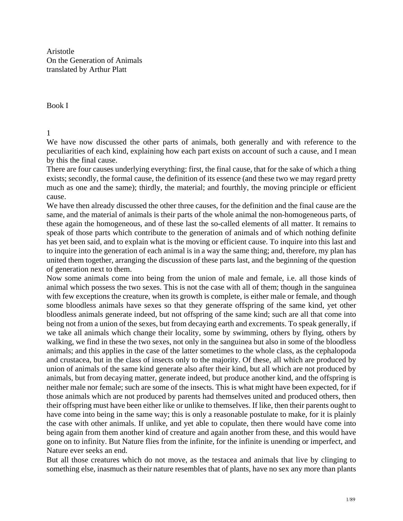Aristotle On the Generation of Animals translated by Arthur Platt

Book I

1

We have now discussed the other parts of animals, both generally and with reference to the peculiarities of each kind, explaining how each part exists on account of such a cause, and I mean by this the final cause.

There are four causes underlying everything: first, the final cause, that for the sake of which a thing exists; secondly, the formal cause, the definition of its essence (and these two we may regard pretty much as one and the same); thirdly, the material; and fourthly, the moving principle or efficient cause.

We have then already discussed the other three causes, for the definition and the final cause are the same, and the material of animals is their parts of the whole animal the non-homogeneous parts, of these again the homogeneous, and of these last the so-called elements of all matter. It remains to speak of those parts which contribute to the generation of animals and of which nothing definite has yet been said, and to explain what is the moving or efficient cause. To inquire into this last and to inquire into the generation of each animal is in a way the same thing; and, therefore, my plan has united them together, arranging the discussion of these parts last, and the beginning of the question of generation next to them.

Now some animals come into being from the union of male and female, i.e. all those kinds of animal which possess the two sexes. This is not the case with all of them; though in the sanguinea with few exceptions the creature, when its growth is complete, is either male or female, and though some bloodless animals have sexes so that they generate offspring of the same kind, yet other bloodless animals generate indeed, but not offspring of the same kind; such are all that come into being not from a union of the sexes, but from decaying earth and excrements. To speak generally, if we take all animals which change their locality, some by swimming, others by flying, others by walking, we find in these the two sexes, not only in the sanguinea but also in some of the bloodless animals; and this applies in the case of the latter sometimes to the whole class, as the cephalopoda and crustacea, but in the class of insects only to the majority. Of these, all which are produced by union of animals of the same kind generate also after their kind, but all which are not produced by animals, but from decaying matter, generate indeed, but produce another kind, and the offspring is neither male nor female; such are some of the insects. This is what might have been expected, for if those animals which are not produced by parents had themselves united and produced others, then their offspring must have been either like or unlike to themselves. If like, then their parents ought to have come into being in the same way; this is only a reasonable postulate to make, for it is plainly the case with other animals. If unlike, and yet able to copulate, then there would have come into being again from them another kind of creature and again another from these, and this would have gone on to infinity. But Nature flies from the infinite, for the infinite is unending or imperfect, and Nature ever seeks an end.

But all those creatures which do not move, as the testacea and animals that live by clinging to something else, inasmuch as their nature resembles that of plants, have no sex any more than plants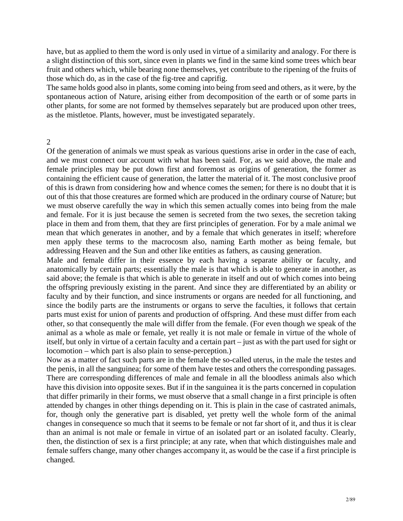have, but as applied to them the word is only used in virtue of a similarity and analogy. For there is a slight distinction of this sort, since even in plants we find in the same kind some trees which bear fruit and others which, while bearing none themselves, yet contribute to the ripening of the fruits of those which do, as in the case of the fig-tree and caprifig.

The same holds good also in plants, some coming into being from seed and others, as it were, by the spontaneous action of Nature, arising either from decomposition of the earth or of some parts in other plants, for some are not formed by themselves separately but are produced upon other trees, as the mistletoe. Plants, however, must be investigated separately.

2

Of the generation of animals we must speak as various questions arise in order in the case of each, and we must connect our account with what has been said. For, as we said above, the male and female principles may be put down first and foremost as origins of generation, the former as containing the efficient cause of generation, the latter the material of it. The most conclusive proof of this is drawn from considering how and whence comes the semen; for there is no doubt that it is out of this that those creatures are formed which are produced in the ordinary course of Nature; but we must observe carefully the way in which this semen actually comes into being from the male and female. For it is just because the semen is secreted from the two sexes, the secretion taking place in them and from them, that they are first principles of generation. For by a male animal we mean that which generates in another, and by a female that which generates in itself; wherefore men apply these terms to the macrocosm also, naming Earth mother as being female, but addressing Heaven and the Sun and other like entities as fathers, as causing generation.

Male and female differ in their essence by each having a separate ability or faculty, and anatomically by certain parts; essentially the male is that which is able to generate in another, as said above; the female is that which is able to generate in itself and out of which comes into being the offspring previously existing in the parent. And since they are differentiated by an ability or faculty and by their function, and since instruments or organs are needed for all functioning, and since the bodily parts are the instruments or organs to serve the faculties, it follows that certain parts must exist for union of parents and production of offspring. And these must differ from each other, so that consequently the male will differ from the female. (For even though we speak of the animal as a whole as male or female, yet really it is not male or female in virtue of the whole of itself, but only in virtue of a certain faculty and a certain part – just as with the part used for sight or locomotion – which part is also plain to sense-perception.)

Now as a matter of fact such parts are in the female the so-called uterus, in the male the testes and the penis, in all the sanguinea; for some of them have testes and others the corresponding passages. There are corresponding differences of male and female in all the bloodless animals also which have this division into opposite sexes. But if in the sanguinea it is the parts concerned in copulation that differ primarily in their forms, we must observe that a small change in a first principle is often attended by changes in other things depending on it. This is plain in the case of castrated animals, for, though only the generative part is disabled, yet pretty well the whole form of the animal changes in consequence so much that it seems to be female or not far short of it, and thus it is clear than an animal is not male or female in virtue of an isolated part or an isolated faculty. Clearly, then, the distinction of sex is a first principle; at any rate, when that which distinguishes male and female suffers change, many other changes accompany it, as would be the case if a first principle is changed.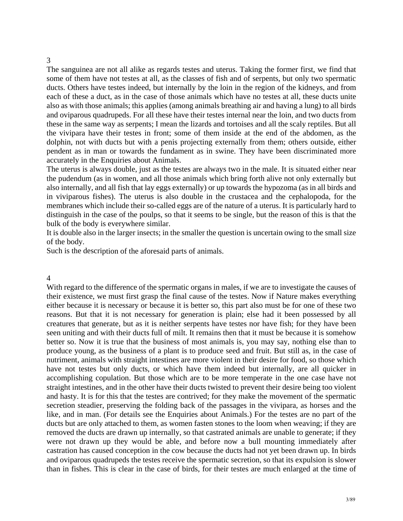#### 3

The sanguinea are not all alike as regards testes and uterus. Taking the former first, we find that some of them have not testes at all, as the classes of fish and of serpents, but only two spermatic ducts. Others have testes indeed, but internally by the loin in the region of the kidneys, and from each of these a duct, as in the case of those animals which have no testes at all, these ducts unite also as with those animals; this applies (among animals breathing air and having a lung) to all birds and oviparous quadrupeds. For all these have their testes internal near the loin, and two ducts from these in the same way as serpents; I mean the lizards and tortoises and all the scaly reptiles. But all the vivipara have their testes in front; some of them inside at the end of the abdomen, as the dolphin, not with ducts but with a penis projecting externally from them; others outside, either pendent as in man or towards the fundament as in swine. They have been discriminated more accurately in the Enquiries about Animals.

The uterus is always double, just as the testes are always two in the male. It is situated either near the pudendum (as in women, and all those animals which bring forth alive not only externally but also internally, and all fish that lay eggs externally) or up towards the hypozoma (as in all birds and in viviparous fishes). The uterus is also double in the crustacea and the cephalopoda, for the membranes which include their so-called eggs are of the nature of a uterus. It is particularly hard to distinguish in the case of the poulps, so that it seems to be single, but the reason of this is that the bulk of the body is everywhere similar.

It is double also in the larger insects; in the smaller the question is uncertain owing to the small size of the body.

Such is the description of the aforesaid parts of animals.

#### 4

With regard to the difference of the spermatic organs in males, if we are to investigate the causes of their existence, we must first grasp the final cause of the testes. Now if Nature makes everything either because it is necessary or because it is better so, this part also must be for one of these two reasons. But that it is not necessary for generation is plain; else had it been possessed by all creatures that generate, but as it is neither serpents have testes nor have fish; for they have been seen uniting and with their ducts full of milt. It remains then that it must be because it is somehow better so. Now it is true that the business of most animals is, you may say, nothing else than to produce young, as the business of a plant is to produce seed and fruit. But still as, in the case of nutriment, animals with straight intestines are more violent in their desire for food, so those which have not testes but only ducts, or which have them indeed but internally, are all quicker in accomplishing copulation. But those which are to be more temperate in the one case have not straight intestines, and in the other have their ducts twisted to prevent their desire being too violent and hasty. It is for this that the testes are contrived; for they make the movement of the spermatic secretion steadier, preserving the folding back of the passages in the vivipara, as horses and the like, and in man. (For details see the Enquiries about Animals.) For the testes are no part of the ducts but are only attached to them, as women fasten stones to the loom when weaving; if they are removed the ducts are drawn up internally, so that castrated animals are unable to generate; if they were not drawn up they would be able, and before now a bull mounting immediately after castration has caused conception in the cow because the ducts had not yet been drawn up. In birds and oviparous quadrupeds the testes receive the spermatic secretion, so that its expulsion is slower than in fishes. This is clear in the case of birds, for their testes are much enlarged at the time of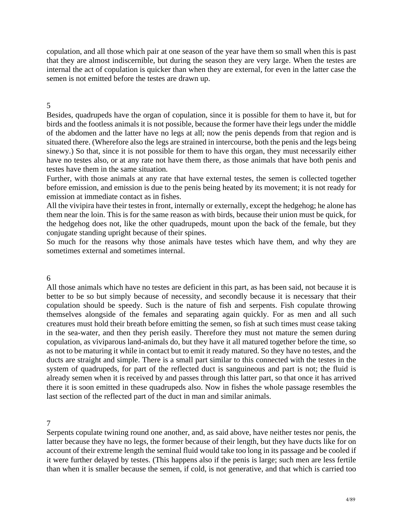copulation, and all those which pair at one season of the year have them so small when this is past that they are almost indiscernible, but during the season they are very large. When the testes are internal the act of copulation is quicker than when they are external, for even in the latter case the semen is not emitted before the testes are drawn up.

### 5

Besides, quadrupeds have the organ of copulation, since it is possible for them to have it, but for birds and the footless animals it is not possible, because the former have their legs under the middle of the abdomen and the latter have no legs at all; now the penis depends from that region and is situated there. (Wherefore also the legs are strained in intercourse, both the penis and the legs being sinewy.) So that, since it is not possible for them to have this organ, they must necessarily either have no testes also, or at any rate not have them there, as those animals that have both penis and testes have them in the same situation.

Further, with those animals at any rate that have external testes, the semen is collected together before emission, and emission is due to the penis being heated by its movement; it is not ready for emission at immediate contact as in fishes.

All the vivipira have their testes in front, internally or externally, except the hedgehog; he alone has them near the loin. This is for the same reason as with birds, because their union must be quick, for the hedgehog does not, like the other quadrupeds, mount upon the back of the female, but they conjugate standing upright because of their spines.

So much for the reasons why those animals have testes which have them, and why they are sometimes external and sometimes internal.

### 6

All those animals which have no testes are deficient in this part, as has been said, not because it is better to be so but simply because of necessity, and secondly because it is necessary that their copulation should be speedy. Such is the nature of fish and serpents. Fish copulate throwing themselves alongside of the females and separating again quickly. For as men and all such creatures must hold their breath before emitting the semen, so fish at such times must cease taking in the sea-water, and then they perish easily. Therefore they must not mature the semen during copulation, as viviparous land-animals do, but they have it all matured together before the time, so as not to be maturing it while in contact but to emit it ready matured. So they have no testes, and the ducts are straight and simple. There is a small part similar to this connected with the testes in the system of quadrupeds, for part of the reflected duct is sanguineous and part is not; the fluid is already semen when it is received by and passes through this latter part, so that once it has arrived there it is soon emitted in these quadrupeds also. Now in fishes the whole passage resembles the last section of the reflected part of the duct in man and similar animals.

7

Serpents copulate twining round one another, and, as said above, have neither testes nor penis, the latter because they have no legs, the former because of their length, but they have ducts like for on account of their extreme length the seminal fluid would take too long in its passage and be cooled if it were further delayed by testes. (This happens also if the penis is large; such men are less fertile than when it is smaller because the semen, if cold, is not generative, and that which is carried too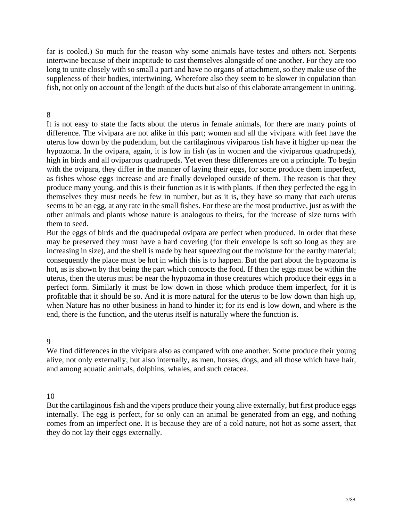far is cooled.) So much for the reason why some animals have testes and others not. Serpents intertwine because of their inaptitude to cast themselves alongside of one another. For they are too long to unite closely with so small a part and have no organs of attachment, so they make use of the suppleness of their bodies, intertwining. Wherefore also they seem to be slower in copulation than fish, not only on account of the length of the ducts but also of this elaborate arrangement in uniting.

# 8

It is not easy to state the facts about the uterus in female animals, for there are many points of difference. The vivipara are not alike in this part; women and all the vivipara with feet have the uterus low down by the pudendum, but the cartilaginous viviparous fish have it higher up near the hypozoma. In the ovipara, again, it is low in fish (as in women and the viviparous quadrupeds), high in birds and all oviparous quadrupeds. Yet even these differences are on a principle. To begin with the ovipara, they differ in the manner of laying their eggs, for some produce them imperfect, as fishes whose eggs increase and are finally developed outside of them. The reason is that they produce many young, and this is their function as it is with plants. If then they perfected the egg in themselves they must needs be few in number, but as it is, they have so many that each uterus seems to be an egg, at any rate in the small fishes. For these are the most productive, just as with the other animals and plants whose nature is analogous to theirs, for the increase of size turns with them to seed.

may be preserved they must have a hard covering (for their envelope is soft so long as they are But the eggs of birds and the quadrupedal ovipara are perfect when produced. In order that these increasing in size), and the shell is made by heat squeezing out the moisture for the earthy material; consequently the place must be hot in which this is to happen. But the part about the hypozoma is hot, as is shown by that being the part which concocts the food. If then the eggs must be within the uterus, then the uterus must be near the hypozoma in those creatures which produce their eggs in a perfect form. Similarly it must be low down in those which produce them imperfect, for it is profitable that it should be so. And it is more natural for the uterus to be low down than high up, when Nature has no other business in hand to hinder it; for its end is low down, and where is the end, there is the function, and the uterus itself is naturally where the function is.

### 9

We find differences in the vivipara also as compared with one another. Some produce their young alive, not only externally, but also internally, as men, horses, dogs, and all those which have hair, and among aquatic animals, dolphins, whales, and such cetacea.

### 10

But the cartilaginous fish and the vipers produce their young alive externally, but first produce eggs internally. The egg is perfect, for so only can an animal be generated from an egg, and nothing comes from an imperfect one. It is because they are of a cold nature, not hot as some assert, that they do not lay their eggs externally.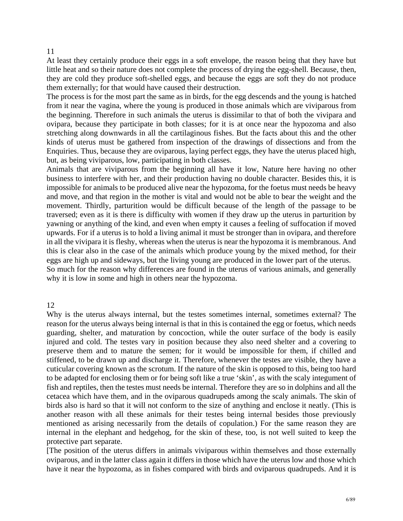11

At least they certainly produce their eggs in a soft envelope, the reason being that they have but little heat and so their nature does not complete the process of drying the egg-shell. Because, then, they are cold they produce soft-shelled eggs, and because the eggs are soft they do not produce them externally; for that would have caused their destruction.

The process is for the most part the same as in birds, for the egg descends and the young is hatched from it near the vagina, where the young is produced in those animals which are viviparous from the beginning. Therefore in such animals the uterus is dissimilar to that of both the vivipara and ovipara, because they participate in both classes; for it is at once near the hypozoma and also stretching along downwards in all the cartilaginous fishes. But the facts about this and the other kinds of uterus must be gathered from inspection of the drawings of dissections and from the Enquiries. Thus, because they are oviparous, laying perfect eggs, they have the uterus placed high, but, as being viviparous, low, participating in both classes.

Animals that are viviparous from the beginning all have it low, Nature here having no other why it is low in some and high in others near the hypozoma. business to interfere with her, and their production having no double character. Besides this, it is impossible for animals to be produced alive near the hypozoma, for the foetus must needs be heavy and move, and that region in the mother is vital and would not be able to bear the weight and the movement. Thirdly, parturition would be difficult because of the length of the passage to be traversed; even as it is there is difficulty with women if they draw up the uterus in parturition by yawning or anything of the kind, and even when empty it causes a feeling of suffocation if moved upwards. For if a uterus is to hold a living animal it must be stronger than in ovipara, and therefore in all the vivipara it is fleshy, whereas when the uterus is near the hypozoma it is membranous. And this is clear also in the case of the animals which produce young by the mixed method, for their eggs are high up and sideways, but the living young are produced in the lower part of the uterus. So much for the reason why differences are found in the uterus of various animals, and generally

2 1

Why is the uterus always internal, but the testes sometimes internal, sometimes external? The reason for the uterus always being internal is that in this is contained the egg or foetus, which needs guarding, shelter, and maturation by concoction, while the outer surface of the body is easily injured and cold. The testes vary in position because they also need shelter and a covering to preserve them and to mature the semen; for it would be impossible for them, if chilled and stiffened, to be drawn up and discharge it. Therefore, whenever the testes are visible, they have a cuticular covering known as the scrotum. If the nature of the skin is opposed to this, being too hard to be adapted for enclosing them or for being soft like a true 'skin', as with the scaly integument of fish and reptiles, then the testes must needs be internal. Therefore they are so in dolphins and all the cetacea which have them, and in the oviparous quadrupeds among the scaly animals. The skin of birds also is hard so that it will not conform to the size of anything and enclose it neatly. (This is another reason with all these animals for their testes being internal besides those previously mentioned as arising necessarily from the details of copulation.) For the same reason they are internal in the elephant and hedgehog, for the skin of these, too, is not well suited to keep the protective part separate.

oviparous, and in the latter class again it differs in those which have the uterus low and those which have it near the hypozoma, as in fishes compared with birds and oviparous quadrupeds. And it is [The position of the uterus differs in animals viviparous within themselves and those externally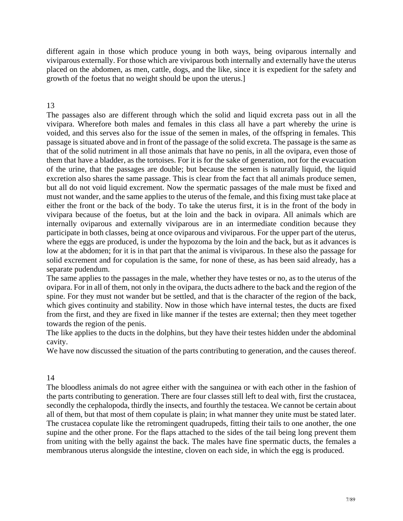different again in those which produce young in both ways, being oviparous internally and viviparous externally. For those which are viviparous both internally and externally have the uterus placed on the abdomen, as men, cattle, dogs, and the like, since it is expedient for the safety and growth of the foetus that no weight should be upon the uterus.]

# 13

The passages also are different through which the solid and liquid excreta pass out in all the vivipara. Wherefore both males and females in this class all have a part whereby the urine is voided, and this serves also for the issue of the semen in males, of the offspring in females. This passage is situated above and in front of the passage of the solid excreta. The passage is the same as that of the solid nutriment in all those animals that have no penis, in all the ovipara, even those of them that have a bladder, as the tortoises. For it is for the sake of generation, not for the evacuation of the urine, that the passages are double; but because the semen is naturally liquid, the liquid excretion also shares the same passage. This is clear from the fact that all animals produce semen, but all do not void liquid excrement. Now the spermatic passages of the male must be fixed and must not wander, and the same applies to the uterus of the female, and this fixing must take place at either the front or the back of the body. To take the uterus first, it is in the front of the body in vivipara because of the foetus, but at the loin and the back in ovipara. All animals which are internally oviparous and externally viviparous are in an intermediate condition because they participate in both classes, being at once oviparous and viviparous. For the upper part of the uterus, where the eggs are produced, is under the hypozoma by the loin and the back, but as it advances is low at the abdomen; for it is in that part that the animal is viviparous. In these also the passage for solid excrement and for copulation is the same, for none of these, as has been said already, has a separate pudendum.

spine. For they must not wander but be settled, and that is the character of the region of the back, The same applies to the passages in the male, whether they have testes or no, as to the uterus of the ovipara. For in all of them, not only in the ovipara, the ducts adhere to the back and the region of the which gives continuity and stability. Now in those which have internal testes, the ducts are fixed from the first, and they are fixed in like manner if the testes are external; then they meet together towards the region of the penis.

The like applies to the ducts in the dolphins, but they have their testes hidden under the abdominal cavity.

We have now discussed the situation of the parts contributing to generation, and the causes thereof.

## 14

The bloodless animals do not agree either with the sanguinea or with each other in the fashion of the parts contributing to generation. There are four classes still left to deal with, first the crustacea, secondly the cephalopoda, thirdly the insects, and fourthly the testacea. We cannot be certain about all of them, but that most of them copulate is plain; in what manner they unite must be stated later. The crustacea copulate like the retromingent quadrupeds, fitting their tails to one another, the one supine and the other prone. For the flaps attached to the sides of the tail being long prevent them from uniting with the belly against the back. The males have fine spermatic ducts, the females a membranous uterus alongside the intestine, cloven on each side, in which the egg is produced.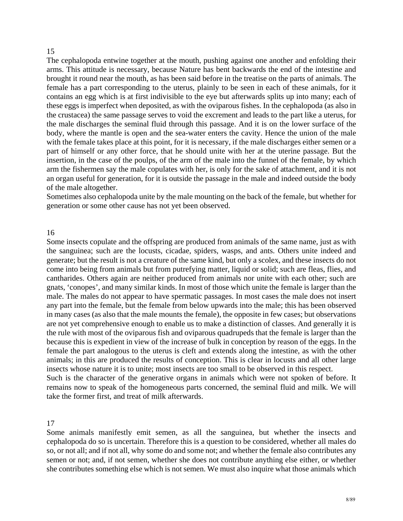#### 15

The cephalopoda entwine together at the mouth, pushing against one another and enfolding their arms. This attitude is necessary, because Nature has bent backwards the end of the intestine and brought it round near the mouth, as has been said before in the treatise on the parts of animals. The female has a part corresponding to the uterus, plainly to be seen in each of these animals, for it contains an egg which is at first indivisible to the eye but afterwards splits up into many; each of these eggs is imperfect when deposited, as with the oviparous fishes. In the cephalopoda (as also in the crustacea) the same passage serves to void the excrement and leads to the part like a uterus, for the male discharges the seminal fluid through this passage. And it is on the lower surface of the body, where the mantle is open and the sea-water enters the cavity. Hence the union of the male with the female takes place at this point, for it is necessary, if the male discharges either semen or a part of himself or any other force, that he should unite with her at the uterine passage. But the insertion, in the case of the poulps, of the arm of the male into the funnel of the female, by which arm the fishermen say the male copulates with her, is only for the sake of attachment, and it is not an organ useful for generation, for it is outside the passage in the male and indeed outside the body of the male altogether.

Sometimes also cephalopoda unite by the male mounting on the back of the female, but whether for generation or some other cause has not yet been observed.

#### 16

Some insects copulate and the offspring are produced from animals of the same name, just as with generate; but the result is not a creature of the same kind, but only a scolex, and these insects do not come into being from animals but from putrefying matter, liquid or solid; such are fleas, flies, and cantharides. Others again are neither produced from animals nor unite with each other; such are gnats, 'conopes', and many similar kinds. In most of those which unite the female is larger than the the sanguinea; such are the locusts, cicadae, spiders, wasps, and ants. Others unite indeed and male. The males do not appear to have spermatic passages. In most cases the male does not insert any part into the female, but the female from below upwards into the male; this has been observed in many cases (as also that the male mounts the female), the opposite in few cases; but observations are not yet comprehensive enough to enable us to make a distinction of classes. And generally it is the rule with most of the oviparous fish and oviparous quadrupeds that the female is larger than the because this is expedient in view of the increase of bulk in conception by reason of the eggs. In the female the part analogous to the uterus is cleft and extends along the intestine, as with the other animals; in this are produced the results of conception. This is clear in locusts and all other large insects whose nature it is to unite; most insects are too small to be observed in this respect.

Such is the character of the generative organs in animals which were not spoken of before. It remains now to speak of the homogeneous parts concerned, the seminal fluid and milk. We will take the former first, and treat of milk afterwards.

### 17

Some animals manifestly emit semen, as all the sanguinea, but whether the insects and semen or not; and, if not semen, whether she does not contribute anything else either, or whether she contributes something else which is not semen. We must also inquire what those animals which cephalopoda do so is uncertain. Therefore this is a question to be considered, whether all males do so, or not all; and if not all, why some do and some not; and whether the female also contributes any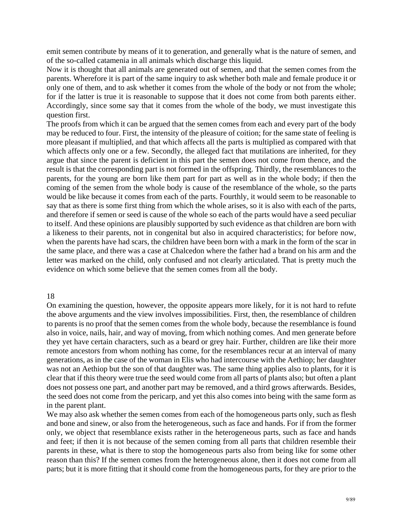emit semen contribute by means of it to generation, and generally what is the nature of semen, and of the so-called catamenia in all animals which discharge this liquid.

Now it is thought that all animals are generated out of semen, and that the semen comes from the parents. Wherefore it is part of the same inquiry to ask whether both male and female produce it or only one of them, and to ask whether it comes from the whole of the body or not from the whole; for if the latter is true it is reasonable to suppose that it does not come from both parents either. Accordingly, since some say that it comes from the whole of the body, we must investigate this question first.

The proofs from which it can be argued that the semen comes from each and every part of the body parents, for the young are born like them part for part as well as in the whole body; if then the may be reduced to four. First, the intensity of the pleasure of coition; for the same state of feeling is more pleasant if multiplied, and that which affects all the parts is multiplied as compared with that which affects only one or a few. Secondly, the alleged fact that mutilations are inherited, for they argue that since the parent is deficient in this part the semen does not come from thence, and the result is that the corresponding part is not formed in the offspring. Thirdly, the resemblances to the coming of the semen from the whole body is cause of the resemblance of the whole, so the parts would be like because it comes from each of the parts. Fourthly, it would seem to be reasonable to say that as there is some first thing from which the whole arises, so it is also with each of the parts, and therefore if semen or seed is cause of the whole so each of the parts would have a seed peculiar to itself. And these opinions are plausibly supported by such evidence as that children are born with a likeness to their parents, not in congenital but also in acquired characteristics; for before now, when the parents have had scars, the children have been born with a mark in the form of the scar in the same place, and there was a case at Chalcedon where the father had a brand on his arm and the letter was marked on the child, only confused and not clearly articulated. That is pretty much the evidence on which some believe that the semen comes from all the body.

## 18

they yet have certain characters, such as a beard or grey hair. Further, children are like their more remote ancestors from whom nothing has come, for the resemblances recur at an interval of many generations, as in the case of the woman in Elis who had intercourse with the Aethiop; her daughter was not an Aethiop but the son of that daughter was. The same thing applies also to plants, for it is On examining the question, however, the opposite appears more likely, for it is not hard to refute the above arguments and the view involves impossibilities. First, then, the resemblance of children to parents is no proof that the semen comes from the whole body, because the resemblance is found also in voice, nails, hair, and way of moving, from which nothing comes. And men generate before clear that if this theory were true the seed would come from all parts of plants also; but often a plant does not possess one part, and another part may be removed, and a third grows afterwards. Besides, the seed does not come from the pericarp, and yet this also comes into being with the same form as in the parent plant.

parts; but it is more fitting that it should come from the homogeneous parts, for they are prior to the We may also ask whether the semen comes from each of the homogeneous parts only, such as flesh and bone and sinew, or also from the heterogeneous, such as face and hands. For if from the former only, we object that resemblance exists rather in the heterogeneous parts, such as face and hands and feet; if then it is not because of the semen coming from all parts that children resemble their parents in these, what is there to stop the homogeneous parts also from being like for some other reason than this? If the semen comes from the heterogeneous alone, then it does not come from all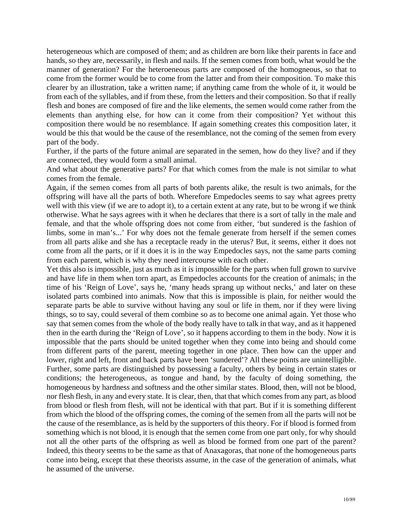heterogeneous which are composed of them; and as children are born like their parents in face and hands, so they are, necessarily, in flesh and nails. If the semen comes from both, what would be the manner of generation? For the heteroeneous parts are composed of the homogneous, so that to come from the former would be to come from the latter and from their composition. To make this clearer by an illustration, take a written name; if anything came from the whole of it, it would be from each of the syllables, and if from these, from the letters and their composition. So that if really flesh and bones are composed of fire and the like elements, the semen would come rather from the elements than anything else, for how can it come from their composition? Yet without this composition there would be no resemblance. If again something creates this composition later, it would be this that would be the cause of the resemblance, not the coming of the semen from every part of the body.

Further, if the parts of the future animal are separated in the semen, how do they live? and if they are connected, they would form a small animal.

And what about the generative parts? For that which comes from the male is not similar to what comes from the female.

female, and that the whole offspring does not come from either, 'but sundered is the fashion of from all parts alike and she has a receptacle ready in the uterus? But, it seems, either it does not from each parent, which is why they need intercourse with each other. Again, if the semen comes from all parts of both parents alike, the result is two animals, for the offspring will have all the parts of both. Wherefore Empedocles seems to say what agrees pretty well with this view (if we are to adopt it), to a certain extent at any rate, but to be wrong if we think otherwise. What he says agrees with it when he declares that there is a sort of tally in the male and limbs, some in man's...' For why does not the female generate from herself if the semen comes come from all the parts, or if it does it is in the way Empedocles says, not the same parts coming

impossible that the parts should be united together when they come into being and should come Yet this also is impossible, just as much as it is impossible for the parts when full grown to survive and have life in them when torn apart, as Empedocles accounts for the creation of animals; in the time of his 'Reign of Love', says he, 'many heads sprang up without necks,' and later on these isolated parts combined into animals. Now that this is impossible is plain, for neither would the separate parts be able to survive without having any soul or life in them, nor if they were living things, so to say, could several of them combine so as to become one animal again. Yet those who say that semen comes from the whole of the body really have to talk in that way, and as it happened then in the earth during the 'Reign of Love', so it happens according to them in the body. Now it is from different parts of the parent, meeting together in one place. Then how can the upper and lower, right and left, front and back parts have been 'sundered'? All these points are unintelligible. Further, some parts are distinguished by possessing a faculty, others by being in certain states or conditions; the heterogeneous, as tongue and hand, by the faculty of doing something, the homogeneous by hardness and softness and the other similar states. Blood, then, will not be blood, nor flesh flesh, in any and every state. It is clear, then, that that which comes from any part, as blood from blood or flesh from flesh, will not be identical with that part. But if it is something different from which the blood of the offspring comes, the coming of the semen from all the parts will not be the cause of the resemblance, as is held by the supporters of this theory. For if blood is formed from something which is not blood, it is enough that the semen come from one part only, for why should not all the other parts of the offspring as well as blood be formed from one part of the parent? Indeed, this theory seems to be the same as that of Anaxagoras, that none of the homogeneous parts come into being, except that these theorists assume, in the case of the generation of animals, what he assumed of the universe.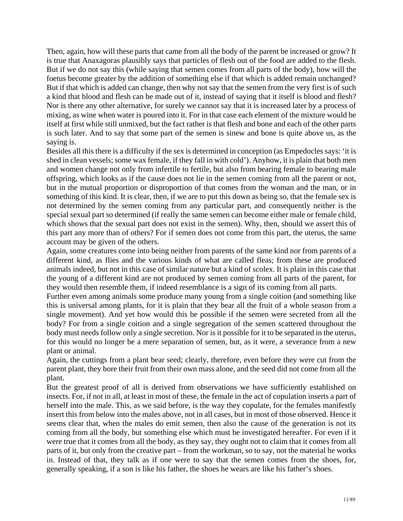Then, again, how will these parts that came from all the body of the parent be increased or grow? It is true that Anaxagoras plausibly says that particles of flesh out of the food are added to the flesh. But if we do not say this (while saying that semen comes from all parts of the body), how will the foetus become greater by the addition of something else if that which is added remain unchanged? But if that which is added can change, then why not say that the semen from the very first is of such a kind that blood and flesh can be made out of it, instead of saying that it itself is blood and flesh? Nor is there any other alternative, for surely we cannot say that it is increased later by a process of mixing, as wine when water is poured into it. For in that case each element of the mixture would be itself at first while still unmixed, but the fact rather is that flesh and bone and each of the other parts is such later. And to say that some part of the semen is sinew and bone is quite above us, as the saying is.

which shows that the sexual part does not exist in the semen). Why, then, should we assert this of Besides all this there is a difficulty if the sex is determined in conception (as Empedocles says: 'it is shed in clean vessels; some wax female, if they fall in with cold'). Anyhow, it is plain that both men and women change not only from infertile to fertile, but also from bearing female to bearing male offspring, which looks as if the cause does not lie in the semen coming from all the parent or not, but in the mutual proportion or disproportion of that comes from the woman and the man, or in something of this kind. It is clear, then, if we are to put this down as being so, that the female sex is not determined by the semen coming from any particular part, and consequently neither is the special sexual part so determined (if really the same semen can become either male or female child, this part any more than of others? For if semen does not come from this part, the uterus, the same account may be given of the others.

Again, some creatures come into being neither from parents of the same kind nor from parents of a different kind, as flies and the various kinds of what are called fleas; from these are produced animals indeed, but not in this case of similar nature but a kind of scolex. It is plain in this case that the young of a different kind are not produced by semen coming from all parts of the parent, for they would then resemble them, if indeed resemblance is a sign of its coming from all parts.

body? For from a single coition and a single segregation of the semen scattered throughout the Further even among animals some produce many young from a single coition (and something like this is universal among plants, for it is plain that they bear all the fruit of a whole season from a single movement). And yet how would this be possible if the semen were secreted from all the body must needs follow only a single secretion. Nor is it possible for it to be separated in the uterus, for this would no longer be a mere separation of semen, but, as it were, a severance from a new plant or animal.

parent plant, they bore their fruit from their own mass alone, and the seed did not come from all the Again, the cuttings from a plant bear seed; clearly, therefore, even before they were cut from the plant.

coming from all the body, but something else which must be investigated hereafter. For even if it in. Instead of that, they talk as if one were to say that the semen comes from the shoes, for, generally speaking, if a son is like his father, the shoes he wears are like his father's shoes. But the greatest proof of all is derived from observations we have sufficiently established on insects. For, if not in all, at least in most of these, the female in the act of copulation inserts a part of herself into the male. This, as we said before, is the way they copulate, for the females manifestly insert this from below into the males above, not in all cases, but in most of those observed. Hence it seems clear that, when the males do emit semen, then also the cause of the generation is not its were true that it comes from all the body, as they say, they ought not to claim that it comes from all parts of it, but only from the creative part – from the workman, so to say, not the material he works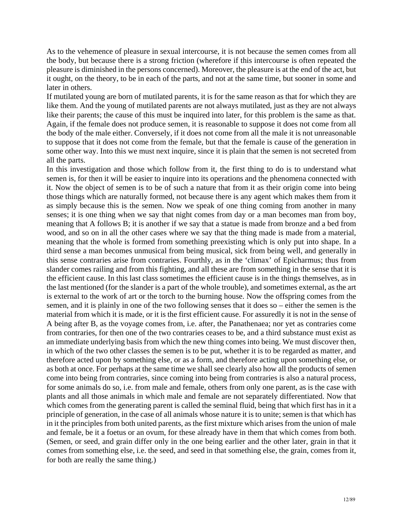As to the vehemence of pleasure in sexual intercourse, it is not because the semen comes from all the body, but because there is a strong friction (wherefore if this intercourse is often repeated the pleasure is diminished in the persons concerned). Moreover, the pleasure is at the end of the act, but it ought, on the theory, to be in each of the parts, and not at the same time, but sooner in some and later in others.

If mutilated young are born of mutilated parents, it is for the same reason as that for which they are like them. And the young of mutilated parents are not always mutilated, just as they are not always like their parents; the cause of this must be inquired into later, for this problem is the same as that. Again, if the female does not produce semen, it is reasonable to suppose it does not come from all the body of the male either. Conversely, if it does not come from all the male it is not unreasonable to suppose that it does not come from the female, but that the female is cause of the generation in some other way. Into this we must next inquire, since it is plain that the semen is not secreted from all the parts.

it. Now the object of semen is to be of such a nature that from it as their origin come into being meaning that A follows B; it is another if we say that a statue is made from bronze and a bed from slander comes railing and from this fighting, and all these are from something in the sense that it is In this investigation and those which follow from it, the first thing to do is to understand what semen is, for then it will be easier to inquire into its operations and the phenomena connected with those things which are naturally formed, not because there is any agent which makes them from it as simply because this is the semen. Now we speak of one thing coming from another in many senses; it is one thing when we say that night comes from day or a man becomes man from boy, wood, and so on in all the other cases where we say that the thing made is made from a material, meaning that the whole is formed from something preexisting which is only put into shape. In a third sense a man becomes unmusical from being musical, sick from being well, and generally in this sense contraries arise from contraries. Fourthly, as in the 'climax' of Epicharmus; thus from the efficient cause. In this last class sometimes the efficient cause is in the things themselves, as in the last mentioned (for the slander is a part of the whole trouble), and sometimes external, as the art is external to the work of art or the torch to the burning house. Now the offspring comes from the semen, and it is plainly in one of the two following senses that it does so – either the semen is the material from which it is made, or it is the first efficient cause. For assuredly it is not in the sense of A being after B, as the voyage comes from, i.e. after, the Panathenaea; nor yet as contraries come from contraries, for then one of the two contraries ceases to be, and a third substance must exist as an immediate underlying basis from which the new thing comes into being. We must discover then, in which of the two other classes the semen is to be put, whether it is to be regarded as matter, and therefore acted upon by something else, or as a form, and therefore acting upon something else, or as both at once. For perhaps at the same time we shall see clearly also how all the products of semen come into being from contraries, since coming into being from contraries is also a natural process, for some animals do so, i.e. from male and female, others from only one parent, as is the case with plants and all those animals in which male and female are not separately differentiated. Now that which comes from the generating parent is called the seminal fluid, being that which first has in it a principle of generation, in the case of all animals whose nature it is to unite; semen is that which has in it the principles from both united parents, as the first mixture which arises from the union of male and female, be it a foetus or an ovum, for these already have in them that which comes from both. (Semen, or seed, and grain differ only in the one being earlier and the other later, grain in that it comes from something else, i.e. the seed, and seed in that something else, the grain, comes from it, for both are really the same thing.)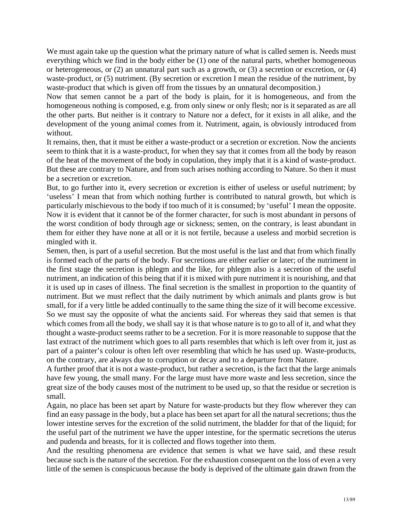We must again take up the question what the primary nature of what is called semen is. Needs must everything which we find in the body either be (1) one of the natural parts, whether homogeneous or heterogeneous, or (2) an unnatural part such as a growth, or (3) a secretion or excretion, or (4) waste-product, or (5) nutriment. (By secretion or excretion I mean the residue of the nutriment, by waste-product that which is given off from the tissues by an unnatural decomposition.)

Now that semen cannot be a part of the body is plain, for it is homogeneous, and from the homogeneous nothing is composed, e.g. from only sinew or only flesh; nor is it separated as are all the other parts. But neither is it contrary to Nature nor a defect, for it exists in all alike, and the development of the young animal comes from it. Nutriment, again, is obviously introduced from without.

It remains, then, that it must be either a waste-product or a secretion or excretion. Now the ancients seem to think that it is a waste-product, for when they say that it comes from all the body by reason of the heat of the movement of the body in copulation, they imply that it is a kind of waste-product. But these are contrary to Nature, and from such arises nothing according to Nature. So then it must be a secretion or excretion.

particularly mischievous to the body if too much of it is consumed; by 'useful' I mean the opposite. But, to go further into it, every secretion or excretion is either of useless or useful nutriment; by 'useless' I mean that from which nothing further is contributed to natural growth, but which is Now it is evident that it cannot be of the former character, for such is most abundant in persons of the worst condition of body through age or sickness; semen, on the contrary, is least abundant in them for either they have none at all or it is not fertile, because a useless and morbid secretion is mingled with it.

Semen, then, is part of a useful secretion. But the most useful is the last and that from which finally nutriment. But we must reflect that the daily nutriment by which animals and plants grow is but on the contrary, are always due to corruption or decay and to a departure from Nature. is formed each of the parts of the body. For secretions are either earlier or later; of the nutriment in the first stage the secretion is phlegm and the like, for phlegm also is a secretion of the useful nutriment, an indication of this being that if it is mixed with pure nutriment it is nourishing, and that it is used up in cases of illness. The final secretion is the smallest in proportion to the quantity of small, for if a very little be added continually to the same thing the size of it will become excessive. So we must say the opposite of what the ancients said. For whereas they said that semen is that which comes from all the body, we shall say it is that whose nature is to go to all of it, and what they thought a waste-product seems rather to be a secretion. For it is more reasonable to suppose that the last extract of the nutriment which goes to all parts resembles that which is left over from it, just as part of a painter's colour is often left over resembling that which he has used up. Waste-products,

A further proof that it is not a waste-product, but rather a secretion, is the fact that the large animals have few young, the small many. For the large must have more waste and less secretion, since the great size of the body causes most of the nutriment to be used up, so that the residue or secretion is small.

the useful part of the nutriment we have the upper intestine, for the spermatic secretions the uterus Again, no place has been set apart by Nature for waste-products but they flow wherever they can find an easy passage in the body, but a place has been set apart for all the natural secretions; thus the lower intestine serves for the excretion of the solid nutriment, the bladder for that of the liquid; for and pudenda and breasts, for it is collected and flows together into them.

And the resulting phenomena are evidence that semen is what we have said, and these result because such is the nature of the secretion. For the exhaustion consequent on the loss of even a very little of the semen is conspicuous because the body is deprived of the ultimate gain drawn from the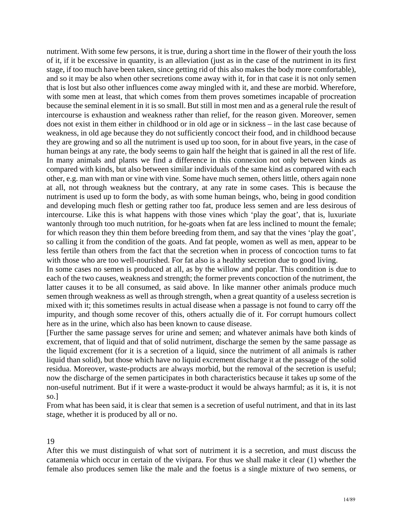nutriment. With some few persons, it is true, during a short time in the flower of their youth the loss of it, if it be excessive in quantity, is an alleviation (just as in the case of the nutriment in its first with some men at least, that which comes from them proves sometimes incapable of procreation they are growing and so all the nutriment is used up too soon, for in about five years, in the case of stage, if too much have been taken, since getting rid of this also makes the body more comfortable), and so it may be also when other secretions come away with it, for in that case it is not only semen that is lost but also other influences come away mingled with it, and these are morbid. Wherefore, because the seminal element in it is so small. But still in most men and as a general rule the result of intercourse is exhaustion and weakness rather than relief, for the reason given. Moreover, semen does not exist in them either in childhood or in old age or in sickness – in the last case because of weakness, in old age because they do not sufficiently concoct their food, and in childhood because human beings at any rate, the body seems to gain half the height that is gained in all the rest of life. In many animals and plants we find a difference in this connexion not only between kinds as compared with kinds, but also between similar individuals of the same kind as compared with each other, e.g. man with man or vine with vine. Some have much semen, others little, others again none at all, not through weakness but the contrary, at any rate in some cases. This is because the nutriment is used up to form the body, as with some human beings, who, being in good condition and developing much flesh or getting rather too fat, produce less semen and are less desirous of intercourse. Like this is what happens with those vines which 'play the goat', that is, luxuriate wantonly through too much nutrition, for he-goats when fat are less inclined to mount the female; for which reason they thin them before breeding from them, and say that the vines 'play the goat', so calling it from the condition of the goats. And fat people, women as well as men, appear to be less fertile than others from the fact that the secretion when in process of concoction turns to fat with those who are too well-nourished. For fat also is a healthy secretion due to good living.

latter causes it to be all consumed, as said above. In like manner other animals produce much In some cases no semen is produced at all, as by the willow and poplar. This condition is due to each of the two causes, weakness and strength; the former prevents concoction of the nutriment, the semen through weakness as well as through strength, when a great quantity of a useless secretion is mixed with it; this sometimes results in actual disease when a passage is not found to carry off the impurity, and though some recover of this, others actually die of it. For corrupt humours collect here as in the urine, which also has been known to cause disease.

[Further the same passage serves for urine and semen; and whatever animals have both kinds of excrement, that of liquid and that of solid nutriment, discharge the semen by the same passage as the liquid excrement (for it is a secretion of a liquid, since the nutriment of all animals is rather liquid than solid), but those which have no liquid excrement discharge it at the passage of the solid residua. Moreover, waste-products are always morbid, but the removal of the secretion is useful; now the discharge of the semen participates in both characteristics because it takes up some of the non-useful nutriment. But if it were a waste-product it would be always harmful; as it is, it is not so.]

From what has been said, it is clear that semen is a secretion of useful nutriment, and that in its last stage, whether it is produced by all or no.

19

female also produces semen like the male and the foetus is a single mixture of two semens, or After this we must distinguish of what sort of nutriment it is a secretion, and must discuss the catamenia which occur in certain of the vivipara. For thus we shall make it clear (1) whether the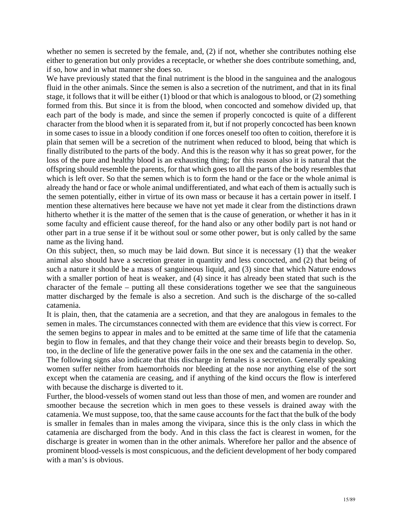whether no semen is secreted by the female, and, (2) if not, whether she contributes nothing else either to generation but only provides a receptacle, or whether she does contribute something, and, if so, how and in what manner she does so.

We have previously stated that the final nutriment is the blood in the sanguinea and the analogous fluid in the other animals. Since the semen is also a secretion of the nutriment, and that in its final stage, it follows that it will be either (1) blood or that which is analogous to blood, or (2) something formed from this. But since it is from the blood, when concocted and somehow divided up, that each part of the body is made, and since the semen if properly concocted is quite of a different in some cases to issue in a bloody condition if one forces oneself too often to coition, therefore it is plain that semen will be a secretion of the nutriment when reduced to blood, being that which is finally distributed to the parts of the body. And this is the reason why it has so great power, for the loss of the pure and healthy blood is an exhausting thing; for this reason also it is natural that the hitherto whether it is the matter of the semen that is the cause of generation, or whether it has in it character from the blood when it is separated from it, but if not properly concocted has been known offspring should resemble the parents, for that which goes to all the parts of the body resembles that which is left over. So that the semen which is to form the hand or the face or the whole animal is already the hand or face or whole animal undifferentiated, and what each of them is actually such is the semen potentially, either in virtue of its own mass or because it has a certain power in itself. I mention these alternatives here because we have not yet made it clear from the distinctions drawn some faculty and efficient cause thereof, for the hand also or any other bodily part is not hand or other part in a true sense if it be without soul or some other power, but is only called by the same name as the living hand.

On this subject, then, so much may be laid down. But since it is necessary (1) that the weaker animal also should have a secretion greater in quantity and less concocted, and (2) that being of such a nature it should be a mass of sanguineous liquid, and (3) since that which Nature endows with a smaller portion of heat is weaker, and (4) since it has already been stated that such is the character of the female – putting all these considerations together we see that the sanguineous matter discharged by the female is also a secretion. And such is the discharge of the so-called catamenia.

It is plain, then, that the catamenia are a secretion, and that they are analogous in females to the semen in males. The circumstances connected with them are evidence that this view is correct. For the semen begins to appear in males and to be emitted at the same time of life that the catamenia begin to flow in females, and that they change their voice and their breasts begin to develop. So, too, in the decline of life the generative power fails in the one sex and the catamenia in the other.

The following signs also indicate that this discharge in females is a secretion. Generally speaking women suffer neither from haemorrhoids nor bleeding at the nose nor anything else of the sort except when the catamenia are ceasing, and if anything of the kind occurs the flow is interfered with because the discharge is diverted to it.

prominent blood-vessels is most conspicuous, and the deficient development of her body compared Further, the blood-vessels of women stand out less than those of men, and women are rounder and smoother because the secretion which in men goes to these vessels is drained away with the catamenia. We must suppose, too, that the same cause accounts for the fact that the bulk of the body is smaller in females than in males among the vivipara, since this is the only class in which the catamenia are discharged from the body. And in this class the fact is clearest in women, for the discharge is greater in women than in the other animals. Wherefore her pallor and the absence of with a man's is obvious.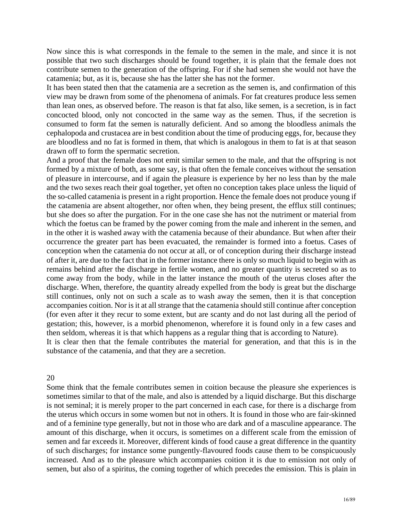Now since this is what corresponds in the female to the semen in the male, and since it is not possible that two such discharges should be found together, it is plain that the female does not contribute semen to the generation of the offspring. For if she had semen she would not have the catamenia; but, as it is, because she has the latter she has not the former.

concocted blood, only not concocted in the same way as the semen. Thus, if the secretion is It has been stated then that the catamenia are a secretion as the semen is, and confirmation of this view may be drawn from some of the phenomena of animals. For fat creatures produce less semen than lean ones, as observed before. The reason is that fat also, like semen, is a secretion, is in fact consumed to form fat the semen is naturally deficient. And so among the bloodless animals the cephalopoda and crustacea are in best condition about the time of producing eggs, for, because they are bloodless and no fat is formed in them, that which is analogous in them to fat is at that season drawn off to form the spermatic secretion.

and the two sexes reach their goal together, yet often no conception takes place unless the liquid of which the foetus can be framed by the power coming from the male and inherent in the semen, and still continues, only not on such a scale as to wash away the semen, then it is that conception And a proof that the female does not emit similar semen to the male, and that the offspring is not formed by a mixture of both, as some say, is that often the female conceives without the sensation of pleasure in intercourse, and if again the pleasure is experience by her no less than by the male the so-called catamenia is present in a right proportion. Hence the female does not produce young if the catamenia are absent altogether, nor often when, they being present, the efflux still continues; but she does so after the purgation. For in the one case she has not the nutriment or material from in the other it is washed away with the catamenia because of their abundance. But when after their occurrence the greater part has been evacuated, the remainder is formed into a foetus. Cases of conception when the catamenia do not occur at all, or of conception during their discharge instead of after it, are due to the fact that in the former instance there is only so much liquid to begin with as remains behind after the discharge in fertile women, and no greater quantity is secreted so as to come away from the body, while in the latter instance the mouth of the uterus closes after the discharge. When, therefore, the quantity already expelled from the body is great but the discharge accompanies coition. Nor is it at all strange that the catamenia should still continue after conception (for even after it they recur to some extent, but are scanty and do not last during all the period of gestation; this, however, is a morbid phenomenon, wherefore it is found only in a few cases and then seldom, whereas it is that which happens as a regular thing that is according to Nature). It is clear then that the female contributes the material for generation, and that this is in the substance of the catamenia, and that they are a secretion.

20

Some think that the female contributes semen in coition because the pleasure she experiences is sometimes similar to that of the male, and also is attended by a liquid discharge. But this discharge is not seminal; it is merely proper to the part concerned in each case, for there is a discharge from the uterus which occurs in some women but not in others. It is found in those who are fair-skinned and of a feminine type generally, but not in those who are dark and of a masculine appearance. The amount of this discharge, when it occurs, is sometimes on a different scale from the emission of semen and far exceeds it. Moreover, different kinds of food cause a great difference in the quantity of such discharges; for instance some pungently-flavoured foods cause them to be conspicuously increased. And as to the pleasure which accompanies coition it is due to emission not only of semen, but also of a spiritus, the coming together of which precedes the emission. This is plain in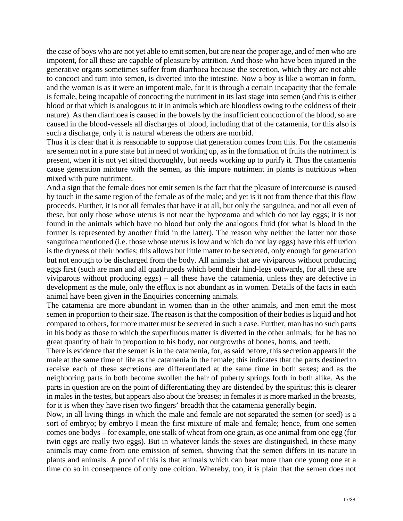the case of boys who are not yet able to emit semen, but are near the proper age, and of men who are impotent, for all these are capable of pleasure by attrition. And those who have been injured in the to concoct and turn into semen, is diverted into the intestine. Now a boy is like a woman in form, and the woman is as it were an impotent male, for it is through a certain incapacity that the female is female, being incapable of concocting the nutriment in its last stage into semen (and this is either blood or that which is analogous to it in animals which are bloodless owing to the coldness of their generative organs sometimes suffer from diarrhoea because the secretion, which they are not able nature). As then diarrhoea is caused in the bowels by the insufficient concoction of the blood, so are caused in the blood-vessels all discharges of blood, including that of the catamenia, for this also is such a discharge, only it is natural whereas the others are morbid.

Thus it is clear that it is reasonable to suppose that generation comes from this. For the catamenia are semen not in a pure state but in need of working up, as in the formation of fruits the nutriment is present, when it is not yet sifted thoroughly, but needs working up to purify it. Thus the catamenia cause generation mixture with the semen, as this impure nutriment in plants is nutritious when mixed with pure nutriment.

animal have been given in the Enquiries concerning animals. And a sign that the female does not emit semen is the fact that the pleasure of intercourse is caused by touch in the same region of the female as of the male; and yet is it not from thence that this flow proceeds. Further, it is not all females that have it at all, but only the sanguinea, and not all even of these, but only those whose uterus is not near the hypozoma and which do not lay eggs; it is not found in the animals which have no blood but only the analogous fluid (for what is blood in the former is represented by another fluid in the latter). The reason why neither the latter nor those sanguinea mentioned (i.e. those whose uterus is low and which do not lay eggs) have this effluxion is the dryness of their bodies; this allows but little matter to be secreted, only enough for generation but not enough to be discharged from the body. All animals that are viviparous without producing eggs first (such are man and all quadrupeds which bend their hind-legs outwards, for all these are viviparous without producing eggs) – all these have the catamenia, unless they are defective in development as the mule, only the efflux is not abundant as in women. Details of the facts in each

great quantity of hair in proportion to his body, nor outgrowths of bones, horns, and teeth. The catamenia are more abundant in women than in the other animals, and men emit the most semen in proportion to their size. The reason is that the composition of their bodies is liquid and hot compared to others, for more matter must be secreted in such a case. Further, man has no such parts in his body as those to which the superfluous matter is diverted in the other animals; for he has no

There is evidence that the semen is in the catamenia, for, as said before, this secretion appears in the male at the same time of life as the catamenia in the female; this indicates that the parts destined to receive each of these secretions are differentiated at the same time in both sexes; and as the neighboring parts in both become swollen the hair of puberty springs forth in both alike. As the parts in question are on the point of differentiating they are distended by the spiritus; this is clearer in males in the testes, but appears also about the breasts; in females it is more marked in the breasts, for it is when they have risen two fingers' breadth that the catamenia generally begin.

time do so in consequence of only one coition. Whereby, too, it is plain that the semen does not Now, in all living things in which the male and female are not separated the semen (or seed) is a sort of embryo; by embryo I mean the first mixture of male and female; hence, from one semen comes one bodys – for example, one stalk of wheat from one grain, as one animal from one egg (for twin eggs are really two eggs). But in whatever kinds the sexes are distinguished, in these many animals may come from one emission of semen, showing that the semen differs in its nature in plants and animals. A proof of this is that animals which can bear more than one young one at a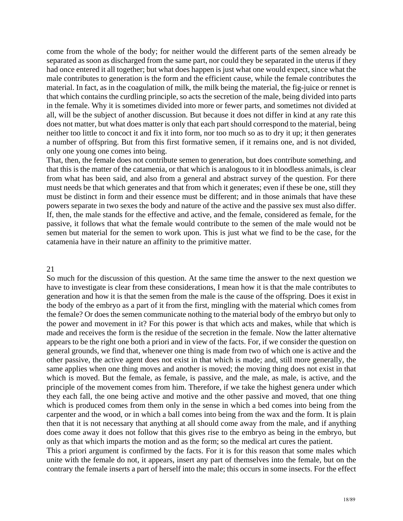come from the whole of the body; for neither would the different parts of the semen already be separated as soon as discharged from the same part, nor could they be separated in the uterus if they had once entered it all together; but what does happen is just what one would expect, since what the male contributes to generation is the form and the efficient cause, while the female contributes the material. In fact, as in the coagulation of milk, the milk being the material, the fig-juice or rennet is that which contains the curdling principle, so acts the secretion of the male, being divided into parts in the female. Why it is sometimes divided into more or fewer parts, and sometimes not divided at all, will be the subject of another discussion. But because it does not differ in kind at any rate this does not matter, but what does matter is only that each part should correspond to the material, being neither too little to concoct it and fix it into form, nor too much so as to dry it up; it then generates a number of offspring. But from this first formative semen, if it remains one, and is not divided, only one young one comes into being.

That, then, the female does not contribute semen to generation, but does contribute something, and that this is the matter of the catamenia, or that which is analogous to it in bloodless animals, is clear from what has been said, and also from a general and abstract survey of the question. For there must needs be that which generates and that from which it generates; even if these be one, still they must be distinct in form and their essence must be different; and in those animals that have these powers separate in two sexes the body and nature of the active and the passive sex must also differ. If, then, the male stands for the effective and active, and the female, considered as female, for the passive, it follows that what the female would contribute to the semen of the male would not be semen but material for the semen to work upon. This is just what we find to be the case, for the catamenia have in their nature an affinity to the primitive matter.

### 21

made and receives the form is the residue of the secretion in the female. Now the latter alternative then that it is not necessary that anything at all should come away from the male, and if anything does come away it does not follow that this gives rise to the embryo as being in the embryo, but only as that which imparts the motion and as the form; so the medical art cures the patient. So much for the discussion of this question. At the same time the answer to the next question we have to investigate is clear from these considerations, I mean how it is that the male contributes to generation and how it is that the semen from the male is the cause of the offspring. Does it exist in the body of the embryo as a part of it from the first, mingling with the material which comes from the female? Or does the semen communicate nothing to the material body of the embryo but only to the power and movement in it? For this power is that which acts and makes, while that which is appears to be the right one both a priori and in view of the facts. For, if we consider the question on general grounds, we find that, whenever one thing is made from two of which one is active and the other passive, the active agent does not exist in that which is made; and, still more generally, the same applies when one thing moves and another is moved; the moving thing does not exist in that which is moved. But the female, as female, is passive, and the male, as male, is active, and the principle of the movement comes from him. Therefore, if we take the highest genera under which they each fall, the one being active and motive and the other passive and moved, that one thing which is produced comes from them only in the sense in which a bed comes into being from the carpenter and the wood, or in which a ball comes into being from the wax and the form. It is plain

This a priori argument is confirmed by the facts. For it is for this reason that some males which unite with the female do not, it appears, insert any part of themselves into the female, but on the contrary the female inserts a part of herself into the male; this occurs in some insects. For the effect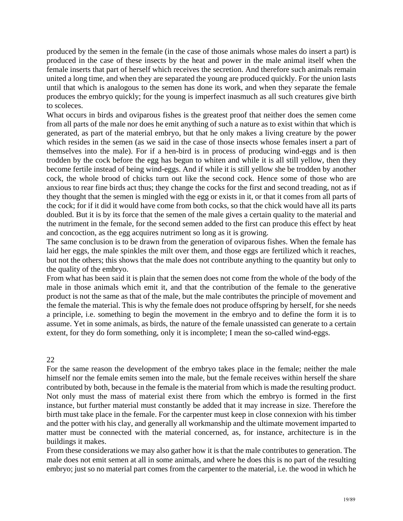produced by the semen in the female (in the case of those animals whose males do insert a part) is produced in the case of these insects by the heat and power in the male animal itself when the female inserts that part of herself which receives the secretion. And therefore such animals remain united a long time, and when they are separated the young are produced quickly. For the union lasts until that which is analogous to the semen has done its work, and when they separate the female produces the embryo quickly; for the young is imperfect inasmuch as all such creatures give birth to scoleces.

What occurs in birds and oviparous fishes is the greatest proof that neither does the semen come from all parts of the male nor does he emit anything of such a nature as to exist within that which is generated, as part of the material embryo, but that he only makes a living creature by the power which resides in the semen (as we said in the case of those insects whose females insert a part of themselves into the male). For if a hen-bird is in process of producing wind-eggs and is then trodden by the cock before the egg has begun to whiten and while it is all still yellow, then they become fertile instead of being wind-eggs. And if while it is still yellow she be trodden by another cock, the whole brood of chicks turn out like the second cock. Hence some of those who are anxious to rear fine birds act thus; they change the cocks for the first and second treading, not as if they thought that the semen is mingled with the egg or exists in it, or that it comes from all parts of the cock; for if it did it would have come from both cocks, so that the chick would have all its parts doubled. But it is by its force that the semen of the male gives a certain quality to the material and the nutriment in the female, for the second semen added to the first can produce this effect by heat and concoction, as the egg acquires nutriment so long as it is growing.

The same conclusion is to be drawn from the generation of oviparous fishes. When the female has laid her eggs, the male spinkles the milt over them, and those eggs are fertilized which it reaches, but not the others; this shows that the male does not contribute anything to the quantity but only to the quality of the embryo.

product is not the same as that of the male, but the male contributes the principle of movement and From what has been said it is plain that the semen does not come from the whole of the body of the male in those animals which emit it, and that the contribution of the female to the generative the female the material. This is why the female does not produce offspring by herself, for she needs a principle, i.e. something to begin the movement in the embryo and to define the form it is to assume. Yet in some animals, as birds, the nature of the female unassisted can generate to a certain extent, for they do form something, only it is incomplete; I mean the so-called wind-eggs.

22

and the potter with his clay, and generally all workmanship and the ultimate movement imparted to For the same reason the development of the embryo takes place in the female; neither the male himself nor the female emits semen into the male, but the female receives within herself the share contributed by both, because in the female is the material from which is made the resulting product. Not only must the mass of material exist there from which the embryo is formed in the first instance, but further material must constantly be added that it may increase in size. Therefore the birth must take place in the female. For the carpenter must keep in close connexion with his timber matter must be connected with the material concerned, as, for instance, architecture is in the buildings it makes.

male does not emit semen at all in some animals, and where he does this is no part of the resulting embryo; just so no material part comes from the carpenter to the material, i.e. the wood in which he From these considerations we may also gather how it is that the male contributes to generation. The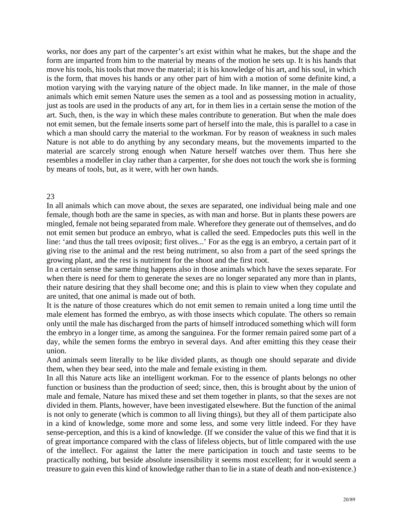works, nor does any part of the carpenter's art exist within what he makes, but the shape and the form are imparted from him to the material by means of the motion he sets up. It is his hands that move his tools, his tools that move the material; it is his knowledge of his art, and his soul, in which is the form, that moves his hands or any other part of him with a motion of some definite kind, a motion varying with the varying nature of the object made. In like manner, in the male of those animals which emit semen Nature uses the semen as a tool and as possessing motion in actuality, just as tools are used in the products of any art, for in them lies in a certain sense the motion of the art. Such, then, is the way in which these males contribute to generation. But when the male does not emit semen, but the female inserts some part of herself into the male, this is parallel to a case in which a man should carry the material to the workman. For by reason of weakness in such males Nature is not able to do anything by any secondary means, but the movements imparted to the material are scarcely strong enough when Nature herself watches over them. Thus here she resembles a modeller in clay rather than a carpenter, for she does not touch the work she is forming by means of tools, but, as it were, with her own hands.

## 23

female, though both are the same in species, as with man and horse. But in plants these powers are In all animals which can move about, the sexes are separated, one individual being male and one mingled, female not being separated from male. Wherefore they generate out of themselves, and do not emit semen but produce an embryo, what is called the seed. Empedocles puts this well in the line: 'and thus the tall trees oviposit; first olives...' For as the egg is an embryo, a certain part of it giving rise to the animal and the rest being nutriment, so also from a part of the seed springs the growing plant, and the rest is nutriment for the shoot and the first root.

In a certain sense the same thing happens also in those animals which have the sexes separate. For when there is need for them to generate the sexes are no longer separated any more than in plants, their nature desiring that they shall become one; and this is plain to view when they copulate and are united, that one animal is made out of both.

It is the nature of those creatures which do not emit semen to remain united a long time until the male element has formed the embryo, as with those insects which copulate. The others so remain only until the male has discharged from the parts of himself introduced something which will form the embryo in a longer time, as among the sanguinea. For the former remain paired some part of a day, while the semen forms the embryo in several days. And after emitting this they cease their union.

And animals seem literally to be like divided plants, as though one should separate and divide them, when they bear seed, into the male and female existing in them.

In all this Nature acts like an intelligent workman. For to the essence of plants belongs no other function or business than the production of seed; since, then, this is brought about by the union of male and female, Nature has mixed these and set them together in plants, so that the sexes are not practically nothing, but beside absolute insensibility it seems most excellent; for it would seem a treasure to gain even this kind of knowledge rather than to lie in a state of death and non-existence.) divided in them. Plants, however, have been investigated elsewhere. But the function of the animal is not only to generate (which is common to all living things), but they all of them participate also in a kind of knowledge, some more and some less, and some very little indeed. For they have sense-perception, and this is a kind of knowledge. (If we consider the value of this we find that it is of great importance compared with the class of lifeless objects, but of little compared with the use of the intellect. For against the latter the mere participation in touch and taste seems to be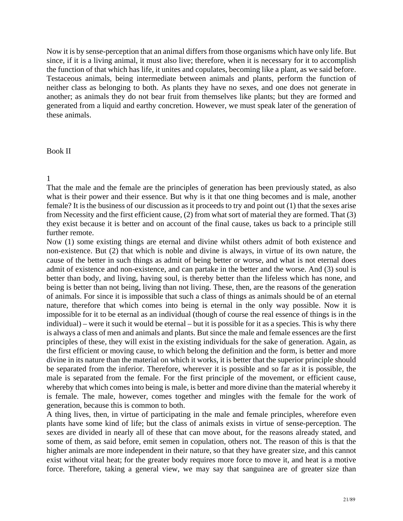Now it is by sense-perception that an animal differs from those organisms which have only life. But since, if it is a living animal, it must also live; therefore, when it is necessary for it to accomplish the function of that which has life, it unites and copulates, becoming like a plant, as we said before. Testaceous animals, being intermediate between animals and plants, perform the function of neither class as belonging to both. As plants they have no sexes, and one does not generate in another; as animals they do not bear fruit from themselves like plants; but they are formed and generated from a liquid and earthy concretion. However, we must speak later of the generation of these animals.

### Book II

## 1

That the male and the female are the principles of generation has been previously stated, as also what is their power and their essence. But why is it that one thing becomes and is male, another female? It is the business of our discussion as it proceeds to try and point out (1) that the sexes arise from Necessity and the first efficient cause, (2) from what sort of material they are formed. That (3) they exist because it is better and on account of the final cause, takes us back to a principle still further remote.

being is better than not being, living than not living. These, then, are the reasons of the generation is always a class of men and animals and plants. But since the male and female essences are the first principles of these, they will exist in the existing individuals for the sake of generation. Again, as the first efficient or moving cause, to which belong the definition and the form, is better and more divine in its nature than the material on which it works, it is better that the superior principle should be separated from the inferior. Therefore, wherever it is possible and so far as it is possible, the male is separated from the female. For the first principle of the movement, or efficient cause, whereby that which comes into being is male, is better and more divine than the material whereby it is female. The male, however, comes together and mingles with the female for the work of Now (1) some existing things are eternal and divine whilst others admit of both existence and non-existence. But (2) that which is noble and divine is always, in virtue of its own nature, the cause of the better in such things as admit of being better or worse, and what is not eternal does admit of existence and non-existence, and can partake in the better and the worse. And (3) soul is better than body, and living, having soul, is thereby better than the lifeless which has none, and of animals. For since it is impossible that such a class of things as animals should be of an eternal nature, therefore that which comes into being is eternal in the only way possible. Now it is impossible for it to be eternal as an individual (though of course the real essence of things is in the individual) – were it such it would be eternal – but it is possible for it as a species. This is why there generation, because this is common to both.

higher animals are more independent in their nature, so that they have greater size, and this cannot A thing lives, then, in virtue of participating in the male and female principles, wherefore even plants have some kind of life; but the class of animals exists in virtue of sense-perception. The sexes are divided in nearly all of these that can move about, for the reasons already stated, and some of them, as said before, emit semen in copulation, others not. The reason of this is that the exist without vital heat; for the greater body requires more force to move it, and heat is a motive force. Therefore, taking a general view, we may say that sanguinea are of greater size than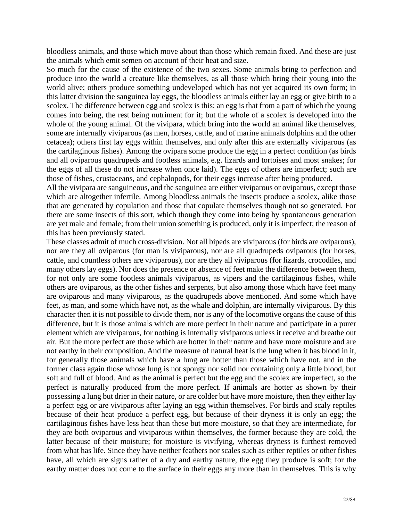bloodless animals, and those which move about than those which remain fixed. And these are just the animals which emit semen on account of their heat and size.

So much for the cause of the existence of the two sexes. Some animals bring to perfection and produce into the world a creature like themselves, as all those which bring their young into the world alive; others produce something undeveloped which has not yet acquired its own form; in this latter division the sanguinea lay eggs, the bloodless animals either lay an egg or give birth to a scolex. The difference between egg and scolex is this: an egg is that from a part of which the young comes into being, the rest being nutriment for it; but the whole of a scolex is developed into the whole of the young animal. Of the vivipara, which bring into the world an animal like themselves, some are internally viviparous (as men, horses, cattle, and of marine animals dolphins and the other cetacea); others first lay eggs within themselves, and only after this are externally viviparous (as the cartilaginous fishes). Among the ovipara some produce the egg in a perfect condition (as birds and all oviparous quadrupeds and footless animals, e.g. lizards and tortoises and most snakes; for the eggs of all these do not increase when once laid). The eggs of others are imperfect; such are those of fishes, crustaceans, and cephalopods, for their eggs increase after being produced.

All the vivipara are sanguineous, and the sanguinea are either viviparous or oviparous, except those which are altogether infertile. Among bloodless animals the insects produce a scolex, alike those that are generated by copulation and those that copulate themselves though not so generated. For there are some insects of this sort, which though they come into being by spontaneous generation are yet male and female; from their union something is produced, only it is imperfect; the reason of this has been previously stated.

for not only are some footless animals viviparous, as vipers and the cartilaginous fishes, while a perfect egg or are viviparous after laying an egg within themselves. For birds and scaly reptiles have, all which are signs rather of a dry and earthy nature, the egg they produce is soft; for the earthy matter does not come to the surface in their eggs any more than in themselves. This is why These classes admit of much cross-division. Not all bipeds are viviparous (for birds are oviparous), nor are they all oviparous (for man is viviparous), nor are all quadrupeds oviparous (for horses, cattle, and countless others are viviparous), nor are they all viviparous (for lizards, crocodiles, and many others lay eggs). Nor does the presence or absence of feet make the difference between them, others are oviparous, as the other fishes and serpents, but also among those which have feet many are oviparous and many viviparous, as the quadrupeds above mentioned. And some which have feet, as man, and some which have not, as the whale and dolphin, are internally viviparous. By this character then it is not possible to divide them, nor is any of the locomotive organs the cause of this difference, but it is those animals which are more perfect in their nature and participate in a purer element which are viviparous, for nothing is internally viviparous unless it receive and breathe out air. But the more perfect are those which are hotter in their nature and have more moisture and are not earthy in their composition. And the measure of natural heat is the lung when it has blood in it, for generally those animals which have a lung are hotter than those which have not, and in the former class again those whose lung is not spongy nor solid nor containing only a little blood, but soft and full of blood. And as the animal is perfect but the egg and the scolex are imperfect, so the perfect is naturally produced from the more perfect. If animals are hotter as shown by their possessing a lung but drier in their nature, or are colder but have more moisture, then they either lay because of their heat produce a perfect egg, but because of their dryness it is only an egg; the cartilaginous fishes have less heat than these but more moisture, so that they are intermediate, for they are both oviparous and viviparous within themselves, the former because they are cold, the latter because of their moisture; for moisture is vivifying, whereas dryness is furthest removed from what has life. Since they have neither feathers nor scales such as either reptiles or other fishes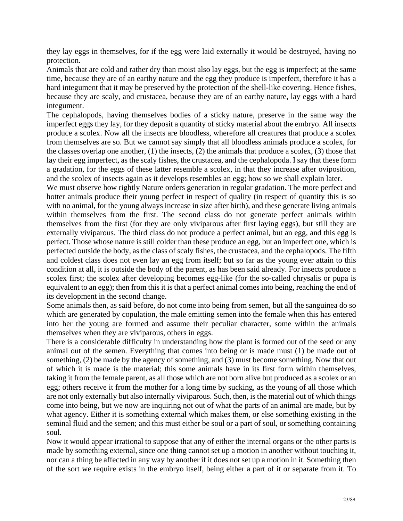they lay eggs in themselves, for if the egg were laid externally it would be destroyed, having no protection.

Animals that are cold and rather dry than moist also lay eggs, but the egg is imperfect; at the same time, because they are of an earthy nature and the egg they produce is imperfect, therefore it has a hard integument that it may be preserved by the protection of the shell-like covering. Hence fishes, because they are scaly, and crustacea, because they are of an earthy nature, lay eggs with a hard integument.

The cephalopods, having themselves bodies of a sticky nature, preserve in the same way the imperfect eggs they lay, for they deposit a quantity of sticky material about the embryo. All insects produce a scolex. Now all the insects are bloodless, wherefore all creatures that produce a scolex from themselves are so. But we cannot say simply that all bloodless animals produce a scolex, for the classes overlap one another, (1) the insects, (2) the animals that produce a scolex, (3) those that lay their egg imperfect, as the scaly fishes, the crustacea, and the cephalopoda. I say that these form a gradation, for the eggs of these latter resemble a scolex, in that they increase after oviposition, and the scolex of insects again as it develops resembles an egg; how so we shall explain later.

We must observe how rightly Nature orders generation in regular gradation. The more perfect and hotter animals produce their young perfect in respect of quality (in respect of quantity this is so with no animal, for the young always increase in size after birth), and these generate living animals within themselves from the first. The second class do not generate perfect animals within themselves from the first (for they are only viviparous after first laying eggs), but still they are externally viviparous. The third class do not produce a perfect animal, but an egg, and this egg is perfect. Those whose nature is still colder than these produce an egg, but an imperfect one, which is perfected outside the body, as the class of scaly fishes, the crustacea, and the cephalopods. The fifth and coldest class does not even lay an egg from itself; but so far as the young ever attain to this condition at all, it is outside the body of the parent, as has been said already. For insects produce a scolex first; the scolex after developing becomes egg-like (for the so-called chrysalis or pupa is equivalent to an egg); then from this it is that a perfect animal comes into being, reaching the end of its development in the second change.

Some animals then, as said before, do not come into being from semen, but all the sanguinea do so which are generated by copulation, the male emitting semen into the female when this has entered into her the young are formed and assume their peculiar character, some within the animals themselves when they are viviparous, others in eggs.

There is a considerable difficulty in understanding how the plant is formed out of the seed or any seminal fluid and the semen; and this must either be soul or a part of soul, or something containing animal out of the semen. Everything that comes into being or is made must (1) be made out of something, (2) be made by the agency of something, and (3) must become something. Now that out of which it is made is the material; this some animals have in its first form within themselves, taking it from the female parent, as all those which are not born alive but produced as a scolex or an egg; others receive it from the mother for a long time by sucking, as the young of all those which are not only externally but also internally viviparous. Such, then, is the material out of which things come into being, but we now are inquiring not out of what the parts of an animal are made, but by what agency. Either it is something external which makes them, or else something existing in the soul.

Now it would appear irrational to suppose that any of either the internal organs or the other parts is made by something external, since one thing cannot set up a motion in another without touching it, nor can a thing be affected in any way by another if it does not set up a motion in it. Something then of the sort we require exists in the embryo itself, being either a part of it or separate from it. To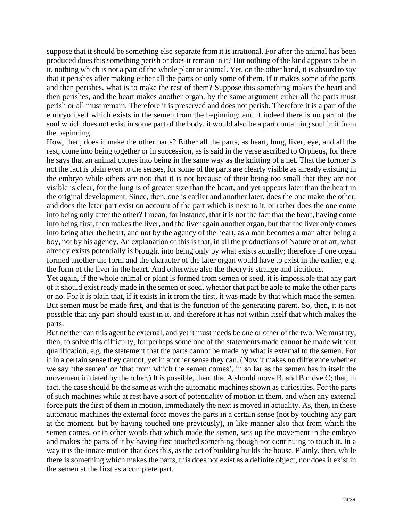suppose that it should be something else separate from it is irrational. For after the animal has been produced does this something perish or does it remain in it? But nothing of the kind appears to be in it, nothing which is not a part of the whole plant or animal. Yet, on the other hand, it is absurd to say that it perishes after making either all the parts or only some of them. If it makes some of the parts and then perishes, what is to make the rest of them? Suppose this something makes the heart and then perishes, and the heart makes another organ, by the same argument either all the parts must perish or all must remain. Therefore it is preserved and does not perish. Therefore it is a part of the embryo itself which exists in the semen from the beginning; and if indeed there is no part of the soul which does not exist in some part of the body, it would also be a part containing soul in it from the beginning.

rest, come into being together or in succession, as is said in the verse ascribed to Orpheus, for there already exists potentially is brought into being only by what exists actually; therefore if one organ How, then, does it make the other parts? Either all the parts, as heart, lung, liver, eye, and all the he says that an animal comes into being in the same way as the knitting of a net. That the former is not the fact is plain even to the senses, for some of the parts are clearly visible as already existing in the embryo while others are not; that it is not because of their being too small that they are not visible is clear, for the lung is of greater size than the heart, and yet appears later than the heart in the original development. Since, then, one is earlier and another later, does the one make the other, and does the later part exist on account of the part which is next to it, or rather does the one come into being only after the other? I mean, for instance, that it is not the fact that the heart, having come into being first, then makes the liver, and the liver again another organ, but that the liver only comes into being after the heart, and not by the agency of the heart, as a man becomes a man after being a boy, not by his agency. An explanation of this is that, in all the productions of Nature or of art, what formed another the form and the character of the later organ would have to exist in the earlier, e.g. the form of the liver in the heart. And otherwise also the theory is strange and fictitious.

Yet again, if the whole animal or plant is formed from semen or seed, it is impossible that any part of it should exist ready made in the semen or seed, whether that part be able to make the other parts or no. For it is plain that, if it exists in it from the first, it was made by that which made the semen. But semen must be made first, and that is the function of the generating parent. So, then, it is not possible that any part should exist in it, and therefore it has not within itself that which makes the parts.

movement initiated by the other.) It is possible, then, that A should move B, and B move C; that, in But neither can this agent be external, and yet it must needs be one or other of the two. We must try, then, to solve this difficulty, for perhaps some one of the statements made cannot be made without qualification, e.g. the statement that the parts cannot be made by what is external to the semen. For if in a certain sense they cannot, yet in another sense they can. (Now it makes no difference whether we say 'the semen' or 'that from which the semen comes', in so far as the semen has in itself the fact, the case should be the same as with the automatic machines shown as curiosities. For the parts of such machines while at rest have a sort of potentiality of motion in them, and when any external force puts the first of them in motion, immediately the next is moved in actuality. As, then, in these automatic machines the external force moves the parts in a certain sense (not by touching any part at the moment, but by having touched one previously), in like manner also that from which the semen comes, or in other words that which made the semen, sets up the movement in the embryo and makes the parts of it by having first touched something though not continuing to touch it. In a way it is the innate motion that does this, as the act of building builds the house. Plainly, then, while there is something which makes the parts, this does not exist as a definite object, nor does it exist in the semen at the first as a complete part.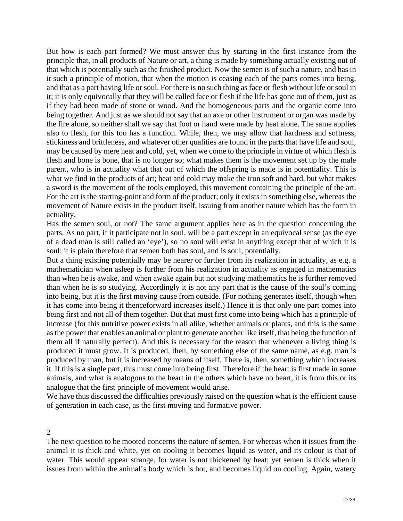But how is each part formed? We must answer this by starting in the first instance from the principle that, in all products of Nature or art, a thing is made by something actually existing out of that which is potentially such as the finished product. Now the semen is of such a nature, and has in it such a principle of motion, that when the motion is ceasing each of the parts comes into being, and that as a part having life or soul. For there is no such thing as face or flesh without life or soul in it; it is only equivocally that they will be called face or flesh if the life has gone out of them, just as may be caused by mere heat and cold, yet, when we come to the principle in virtue of which flesh is if they had been made of stone or wood. And the homogeneous parts and the organic come into being together. And just as we should not say that an axe or other instrument or organ was made by the fire alone, so neither shall we say that foot or hand were made by heat alone. The same applies also to flesh, for this too has a function. While, then, we may allow that hardness and softness, stickiness and brittleness, and whatever other qualities are found in the parts that have life and soul, flesh and bone is bone, that is no longer so; what makes them is the movement set up by the male parent, who is in actuality what that out of which the offspring is made is in potentiality. This is what we find in the products of art; heat and cold may make the iron soft and hard, but what makes a sword is the movement of the tools employed, this movement containing the principle of the art. For the art is the starting-point and form of the product; only it exists in something else, whereas the movement of Nature exists in the product itself, issuing from another nature which has the form in actuality.

Has the semen soul, or not? The same argument applies here as in the question concerning the parts. As no part, if it participate not in soul, will be a part except in an equivocal sense (as the eye of a dead man is still called an 'eye'), so no soul will exist in anything except that of which it is soul; it is plain therefore that semen both has soul, and is soul, potentially.

it has come into being it thenceforward increases itself.) Hence it is that only one part comes into But a thing existing potentially may be nearer or further from its realization in actuality, as e.g. a mathematician when asleep is further from his realization in actuality as engaged in mathematics than when he is awake, and when awake again but not studying mathematics he is further removed than when he is so studying. Accordingly it is not any part that is the cause of the soul's coming into being, but it is the first moving cause from outside. (For nothing generates itself, though when being first and not all of them together. But that must first come into being which has a principle of increase (for this nutritive power exists in all alike, whether animals or plants, and this is the same as the power that enables an animal or plant to generate another like itself, that being the function of them all if naturally perfect). And this is necessary for the reason that whenever a living thing is produced it must grow. It is produced, then, by something else of the same name, as e.g. man is produced by man, but it is increased by means of itself. There is, then, something which increases it. If this is a single part, this must come into being first. Therefore if the heart is first made in some animals, and what is analogous to the heart in the others which have no heart, it is from this or its analogue that the first principle of movement would arise.

We have thus discussed the difficulties previously raised on the question what is the efficient cause of generation in each case, as the first moving and formative power.

 $\mathcal{D}_{\alpha}$ 

issues from within the animal's body which is hot, and becomes liquid on cooling. Again, watery The next question to be mooted concerns the nature of semen. For whereas when it issues from the animal it is thick and white, yet on cooling it becomes liquid as water, and its colour is that of water. This would appear strange, for water is not thickened by heat; yet semen is thick when it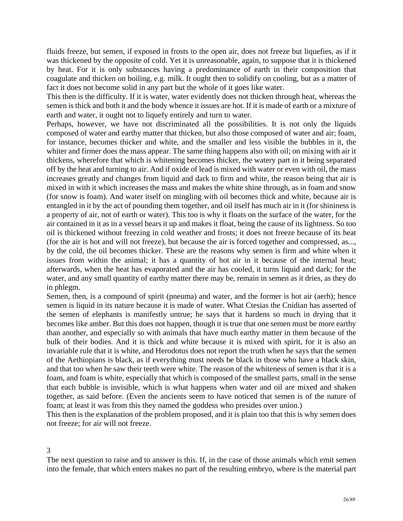fluids freeze, but semen, if exposed in frosts to the open air, does not freeze but liquefies, as if it was thickened by the opposite of cold. Yet it is unreasonable, again, to suppose that it is thickened by heat. For it is only substances having a predominance of earth in their composition that coagulate and thicken on boiling, e.g. milk. It ought then to solidify on cooling, but as a matter of fact it does not become solid in any part but the whole of it goes like water.

This then is the difficulty. If it is water, water evidently does not thicken through heat, whereas the semen is thick and both it and the body whence it issues are hot. If it is made of earth or a mixture of earth and water, it ought not to liquefy entirely and turn to water.

oil is thickened without freezing in cold weather and frosts; it does not freeze because of its heat by the cold, the oil becomes thicker. These are the reasons why semen is firm and white when it issues from within the animal; it has a quantity of hot air in it because of the internal heat; afterwards, when the heat has evaporated and the air has cooled, it turns liquid and dark; for the water, and any small quantity of earthy matter there may be, remain in semen as it dries, as they do Perhaps, however, we have not discriminated all the possibilities. It is not only the liquids composed of water and earthy matter that thicken, but also those composed of water and air; foam, for instance, becomes thicker and white, and the smaller and less visible the bubbles in it, the whiter and firmer does the mass appear. The same thing happens also with oil; on mixing with air it thickens, wherefore that which is whitening becomes thicker, the watery part in it being separated off by the heat and turning to air. And if oxide of lead is mixed with water or even with oil, the mass increases greatly and changes from liquid and dark to firm and white, the reason being that air is mixed in with it which increases the mass and makes the white shine through, as in foam and snow (for snow is foam). And water itself on mingling with oil becomes thick and white, because air is entangled in it by the act of pounding them together, and oil itself has much air in it (for shininess is a property of air, not of earth or water). This too is why it floats on the surface of the water, for the air contained in it as in a vessel bears it up and makes it float, being the cause of its lightness. So too (for the air is hot and will not freeze), but because the air is forced together and compressed, as..., in phlegm.

of the Aethiopians is black, as if everything must needs be black in those who have a black skin, that each bubble is invisible, which is what happens when water and oil are mixed and shaken Semen, then, is a compound of spirit (pneuma) and water, and the former is hot air (aerh); hence semen is liquid in its nature because it is made of water. What Ctesias the Cnidian has asserted of the semen of elephants is manifestly untrue; he says that it hardens so much in drying that it becomes like amber. But this does not happen, though it is true that one semen must be more earthy than another, and especially so with animals that have much earthy matter in them because of the bulk of their bodies. And it is thick and white because it is mixed with spirit, for it is also an invariable rule that it is white, and Herodotus does not report the truth when he says that the semen and that too when he saw their teeth were white. The reason of the whiteness of semen is that it is a foam, and foam is white, especially that which is composed of the smallest parts, small in the sense together, as said before. (Even the ancients seem to have noticed that semen is of the nature of foam; at least it was from this they named the goddess who presides over union.)

This then is the explanation of the problem proposed, and it is plain too that this is why semen does not freeze; for air will not freeze.

## 3

The next question to raise and to answer is this. If, in the case of those animals which emit semen into the female, that which enters makes no part of the resulting embryo, where is the material part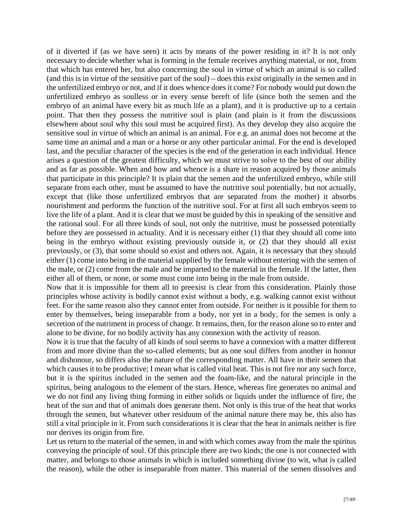of it diverted if (as we have seen) it acts by means of the power residing in it? It is not only necessary to decide whether what is forming in the female receives anything material, or not, from that which has entered her, but also concerning the soul in virtue of which an animal is so called (and this is in virtue of the sensitive part of the soul) – does this exist originally in the semen and in the unfertilized embryo or not, and if it does whence does it come? For nobody would put down the unfertilized embryo as soulless or in every sense bereft of life (since both the semen and the embryo of an animal have every bit as much life as a plant), and it is productive up to a certain point. That then they possess the nutritive soul is plain (and plain is it from the discussions elsewhere about soul why this soul must be acquired first). As they develop they also acquire the sensitive soul in virtue of which an animal is an animal. For e.g. an animal does not become at the previously, or (3), that some should so exist and others not. Again, it is necessary that they should the male, or (2) come from the male and be imparted to the material in the female. If the latter, then either all of them, or none, or some must come into being in the male from outside. same time an animal and a man or a horse or any other particular animal. For the end is developed last, and the peculiar character of the species is the end of the generation in each individual. Hence arises a question of the greatest difficulty, which we must strive to solve to the best of our ability and as far as possible. When and how and whence is a share in reason acquired by those animals that participate in this principle? It is plain that the semen and the unfertilized embryo, while still separate from each other, must be assumed to have the nutritive soul potentially, but not actually, except that (like those unfertilized embryos that are separated from the mother) it absorbs nourishment and performs the function of the nutritive soul. For at first all such embryos seem to live the life of a plant. And it is clear that we must be guided by this in speaking of the sensitive and the rational soul. For all three kinds of soul, not only the nutritive, must be possessed potentially before they are possessed in actuality. And it is necessary either (1) that they should all come into being in the embryo without existing previously outside it, or (2) that they should all exist either (1) come into being in the material supplied by the female without entering with the semen of

Now that it is impossible for them all to preexist is clear from this consideration. Plainly those principles whose activity is bodily cannot exist without a body, e.g. walking cannot exist without feet. For the same reason also they cannot enter from outside. For neither is it possible for them to enter by themselves, being inseparable from a body, nor yet in a body, for the semen is only a secretion of the nutriment in process of change. It remains, then, for the reason alone so to enter and alone to be divine, for no bodily activity has any connexion with the activity of reason.

Now it is true that the faculty of all kinds of soul seems to have a connexion with a matter different from and more divine than the so-called elements; but as one soul differs from another in honour and dishonour, so differs also the nature of the corresponding matter. All have in their semen that which causes it to be productive; I mean what is called vital heat. This is not fire nor any such force, but it is the spiritus included in the semen and the foam-like, and the natural principle in the spiritus, being analogous to the element of the stars. Hence, whereas fire generates no animal and we do not find any living thing forming in either solids or liquids under the influence of fire, the heat of the sun and that of animals does generate them. Not only is this true of the heat that works through the semen, but whatever other residuum of the animal nature there may be, this also has still a vital principle in it. From such considerations it is clear that the heat in animals neither is fire nor derives its origin from fire.

Let us return to the material of the semen, in and with which comes away from the male the spiritus conveying the principle of soul. Of this principle there are two kinds; the one is not connected with matter, and belongs to those animals in which is included something divine (to wit, what is called the reason), while the other is inseparable from matter. This material of the semen dissolves and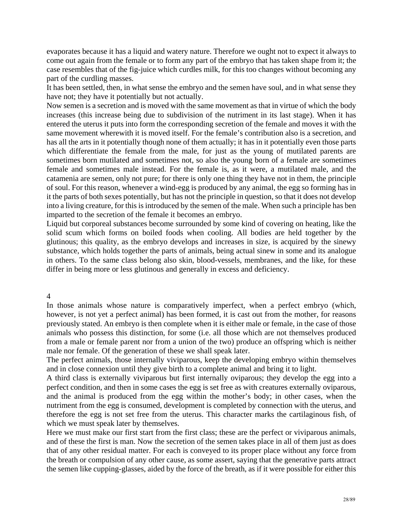evaporates because it has a liquid and watery nature. Therefore we ought not to expect it always to come out again from the female or to form any part of the embryo that has taken shape from it; the case resembles that of the fig-juice which curdles milk, for this too changes without becoming any part of the curdling masses.

It has been settled, then, in what sense the embryo and the semen have soul, and in what sense they have not; they have it potentially but not actually.

Now semen is a secretion and is moved with the same movement as that in virtue of which the body increases (this increase being due to subdivision of the nutriment in its last stage). When it has entered the uterus it puts into form the corresponding secretion of the female and moves it with the same movement wherewith it is moved itself. For the female's contribution also is a secretion, and of soul. For this reason, whenever a wind-egg is produced by any animal, the egg so forming has in has all the arts in it potentially though none of them actually; it has in it potentially even those parts which differentiate the female from the male, for just as the young of mutilated parents are sometimes born mutilated and sometimes not, so also the young born of a female are sometimes female and sometimes male instead. For the female is, as it were, a mutilated male, and the catamenia are semen, only not pure; for there is only one thing they have not in them, the principle it the parts of both sexes potentially, but has not the principle in question, so that it does not develop into a living creature, for this is introduced by the semen of the male. When such a principle has ben imparted to the secretion of the female it becomes an embryo.

Liquid but corporeal substances become surrounded by some kind of covering on heating, like the solid scum which forms on boiled foods when cooling. All bodies are held together by the glutinous; this quality, as the embryo develops and increases in size, is acquired by the sinewy substance, which holds together the parts of animals, being actual sinew in some and its analogue in others. To the same class belong also skin, blood-vessels, membranes, and the like, for these differ in being more or less glutinous and generally in excess and deficiency.

4

In those animals whose nature is comparatively imperfect, when a perfect embryo (which, however, is not yet a perfect animal) has been formed, it is cast out from the mother, for reasons previously stated. An embryo is then complete when it is either male or female, in the case of those animals who possess this distinction, for some (i.e. all those which are not themselves produced from a male or female parent nor from a union of the two) produce an offspring which is neither male nor female. Of the generation of these we shall speak later.

The perfect animals, those internally viviparous, keep the developing embryo within themselves and in close connexion until they give birth to a complete animal and bring it to light.

A third class is externally viviparous but first internally oviparous; they develop the egg into a perfect condition, and then in some cases the egg is set free as with creatures externally oviparous, and the animal is produced from the egg within the mother's body; in other cases, when the nutriment from the egg is consumed, development is completed by connection with the uterus, and therefore the egg is not set free from the uterus. This character marks the cartilaginous fish, of which we must speak later by themselves.

Here we must make our first start from the first class; these are the perfect or viviparous animals, and of these the first is man. Now the secretion of the semen takes place in all of them just as does that of any other residual matter. For each is conveyed to its proper place without any force from the breath or compulsion of any other cause, as some assert, saying that the generative parts attract the semen like cupping-glasses, aided by the force of the breath, as if it were possible for either this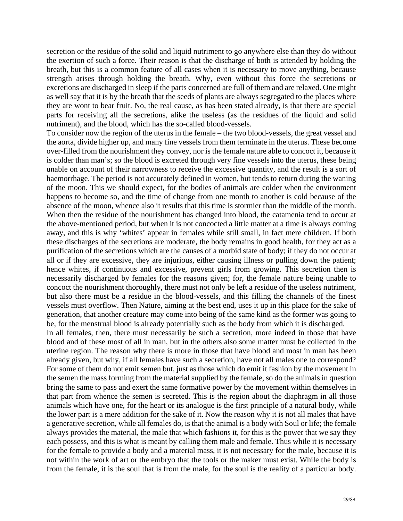secretion or the residue of the solid and liquid nutriment to go anywhere else than they do without the exertion of such a force. Their reason is that the discharge of both is attended by holding the breath, but this is a common feature of all cases when it is necessary to move anything, because strength arises through holding the breath. Why, even without this force the secretions or excretions are discharged in sleep if the parts concerned are full of them and are relaxed. One might as well say that it is by the breath that the seeds of plants are always segregated to the places where they are wont to bear fruit. No, the real cause, as has been stated already, is that there are special parts for receiving all the secretions, alike the useless (as the residues of the liquid and solid nutriment), and the blood, which has the so-called blood-vessels.

To consider now the region of the uterus in the female – the two blood-vessels, the great vessel and the aorta, divide higher up, and many fine vessels from them terminate in the uterus. These become over-filled from the nourishment they convey, nor is the female nature able to concoct it, because it absence of the moon, whence also it results that this time is stormier than the middle of the month. the above-mentioned period, but when it is not concocted a little matter at a time is always coming necessarily discharged by females for the reasons given; for, the female nature being unable to is colder than man's; so the blood is excreted through very fine vessels into the uterus, these being unable on account of their narrowness to receive the excessive quantity, and the result is a sort of haemorrhage. The period is not accurately defined in women, but tends to return during the waning of the moon. This we should expect, for the bodies of animals are colder when the environment happens to become so, and the time of change from one month to another is cold because of the When then the residue of the nourishment has changed into blood, the catamenia tend to occur at away, and this is why 'whites' appear in females while still small, in fact mere children. If both these discharges of the secretions are moderate, the body remains in good health, for they act as a purification of the secretions which are the causes of a morbid state of body; if they do not occur at all or if they are excessive, they are injurious, either causing illness or pulling down the patient; hence whites, if continuous and excessive, prevent girls from growing. This secretion then is concoct the nourishment thoroughly, there must not only be left a residue of the useless nutriment, but also there must be a residue in the blood-vessels, and this filling the channels of the finest vessels must overflow. Then Nature, aiming at the best end, uses it up in this place for the sake of generation, that another creature may come into being of the same kind as the former was going to be, for the menstrual blood is already potentially such as the body from which it is discharged.

In all females, then, there must necessarily be such a secretion, more indeed in those that have blood and of these most of all in man, but in the others also some matter must be collected in the uterine region. The reason why there is more in those that have blood and most in man has been already given, but why, if all females have such a secretion, have not all males one to correspond? For some of them do not emit semen but, just as those which do emit it fashion by the movement in the semen the mass forming from the material supplied by the female, so do the animals in question bring the same to pass and exert the same formative power by the movement within themselves in that part from whence the semen is secreted. This is the region about the diaphragm in all those animals which have one, for the heart or its analogue is the first principle of a natural body, while the lower part is a mere addition for the sake of it. Now the reason why it is not all males that have a generative secretion, while all females do, is that the animal is a body with Soul or life; the female always provides the material, the male that which fashions it, for this is the power that we say they each possess, and this is what is meant by calling them male and female. Thus while it is necessary for the female to provide a body and a material mass, it is not necessary for the male, because it is not within the work of art or the embryo that the tools or the maker must exist. While the body is from the female, it is the soul that is from the male, for the soul is the reality of a particular body.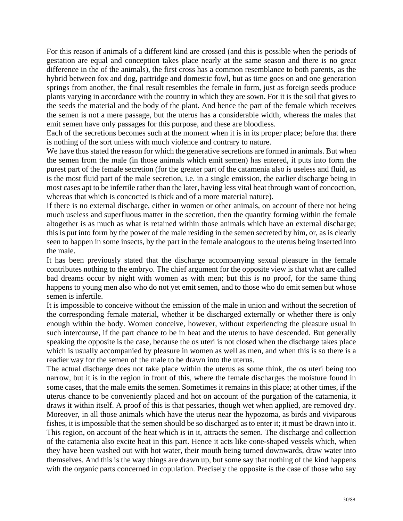For this reason if animals of a different kind are crossed (and this is possible when the periods of gestation are equal and conception takes place nearly at the same season and there is no great difference in the of the animals), the first cross has a common resemblance to both parents, as the hybrid between fox and dog, partridge and domestic fowl, but as time goes on and one generation springs from another, the final result resembles the female in form, just as foreign seeds produce plants varying in accordance with the country in which they are sown. For it is the soil that gives to the seeds the material and the body of the plant. And hence the part of the female which receives the semen is not a mere passage, but the uterus has a considerable width, whereas the males that emit semen have only passages for this purpose, and these are bloodless.

Each of the secretions becomes such at the moment when it is in its proper place; before that there is nothing of the sort unless with much violence and contrary to nature.

We have thus stated the reason for which the generative secretions are formed in animals. But when the semen from the male (in those animals which emit semen) has entered, it puts into form the purest part of the female secretion (for the greater part of the catamenia also is useless and fluid, as is the most fluid part of the male secretion, i.e. in a single emission, the earlier discharge being in most cases apt to be infertile rather than the later, having less vital heat through want of concoction, whereas that which is concocted is thick and of a more material nature).

If there is no external discharge, either in women or other animals, on account of there not being much useless and superfluous matter in the secretion, then the quantity forming within the female altogether is as much as what is retained within those animals which have an external discharge; this is put into form by the power of the male residing in the semen secreted by him, or, as is clearly seen to happen in some insects, by the part in the female analogous to the uterus being inserted into the male.

It has been previously stated that the discharge accompanying sexual pleasure in the female contributes nothing to the embryo. The chief argument for the opposite view is that what are called bad dreams occur by night with women as with men; but this is no proof, for the same thing happens to young men also who do not yet emit semen, and to those who do emit semen but whose semen is infertile.

It is impossible to conceive without the emission of the male in union and without the secretion of the corresponding female material, whether it be discharged externally or whether there is only enough within the body. Women conceive, however, without experiencing the pleasure usual in such intercourse, if the part chance to be in heat and the uterus to have descended. But generally speaking the opposite is the case, because the os uteri is not closed when the discharge takes place which is usually accompanied by pleasure in women as well as men, and when this is so there is a readier way for the semen of the male to be drawn into the uterus.

fishes, it is impossible that the semen should be so discharged as to enter it; it must be drawn into it. of the catamenia also excite heat in this part. Hence it acts like cone-shaped vessels which, when The actual discharge does not take place within the uterus as some think, the os uteri being too narrow, but it is in the region in front of this, where the female discharges the moisture found in some cases, that the male emits the semen. Sometimes it remains in this place; at other times, if the uterus chance to be conveniently placed and hot on account of the purgation of the catamenia, it draws it within itself. A proof of this is that pessaries, though wet when applied, are removed dry. Moreover, in all those animals which have the uterus near the hypozoma, as birds and viviparous This region, on account of the heat which is in it, attracts the semen. The discharge and collection they have been washed out with hot water, their mouth being turned downwards, draw water into themselves. And this is the way things are drawn up, but some say that nothing of the kind happens with the organic parts concerned in copulation. Precisely the opposite is the case of those who say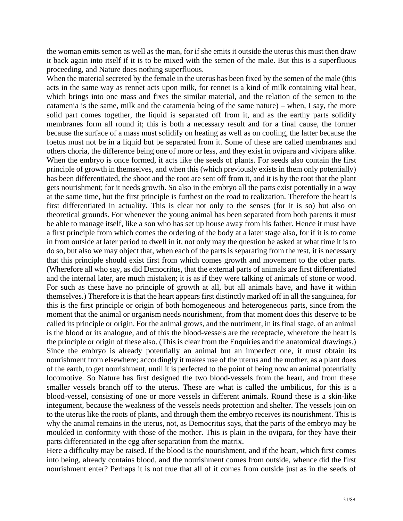the woman emits semen as well as the man, for if she emits it outside the uterus this must then draw it back again into itself if it is to be mixed with the semen of the male. But this is a superfluous proceeding, and Nature does nothing superfluous.

When the material secreted by the female in the uterus has been fixed by the semen of the male (this acts in the same way as rennet acts upon milk, for rennet is a kind of milk containing vital heat, which brings into one mass and fixes the similar material, and the relation of the semen to the catamenia is the same, milk and the catamenia being of the same nature) – when, I say, the more solid part comes together, the liquid is separated off from it, and as the earthy parts solidify membranes form all round it; this is both a necessary result and for a final cause, the former principle of growth in themselves, and when this (which previously exists in them only potentially) a first principle from which comes the ordering of the body at a later stage also, for if it is to come of the earth, to get nourishment, until it is perfected to the point of being now an animal potentially because the surface of a mass must solidify on heating as well as on cooling, the latter because the foetus must not be in a liquid but be separated from it. Some of these are called membranes and others choria, the difference being one of more or less, and they exist in ovipara and vivipara alike. When the embryo is once formed, it acts like the seeds of plants. For seeds also contain the first has been differentiated, the shoot and the root are sent off from it, and it is by the root that the plant gets nourishment; for it needs growth. So also in the embryo all the parts exist potentially in a way at the same time, but the first principle is furthest on the road to realization. Therefore the heart is first differentiated in actuality. This is clear not only to the senses (for it is so) but also on theoretical grounds. For whenever the young animal has been separated from both parents it must be able to manage itself, like a son who has set up house away from his father. Hence it must have in from outside at later period to dwell in it, not only may the question be asked at what time it is to do so, but also we may object that, when each of the parts is separating from the rest, it is necessary that this principle should exist first from which comes growth and movement to the other parts. (Wherefore all who say, as did Democritus, that the external parts of animals are first differentiated and the internal later, are much mistaken; it is as if they were talking of animals of stone or wood. For such as these have no principle of growth at all, but all animals have, and have it within themselves.) Therefore it is that the heart appears first distinctly marked off in all the sanguinea, for this is the first principle or origin of both homogeneous and heterogeneous parts, since from the moment that the animal or organism needs nourishment, from that moment does this deserve to be called its principle or origin. For the animal grows, and the nutriment, in its final stage, of an animal is the blood or its analogue, and of this the blood-vessels are the receptacle, wherefore the heart is the principle or origin of these also. (This is clear from the Enquiries and the anatomical drawings.) Since the embryo is already potentially an animal but an imperfect one, it must obtain its nourishment from elsewhere; accordingly it makes use of the uterus and the mother, as a plant does locomotive. So Nature has first designed the two blood-vessels from the heart, and from these smaller vessels branch off to the uterus. These are what is called the umbilicus, for this is a blood-vessel, consisting of one or more vessels in different animals. Round these is a skin-like integument, because the weakness of the vessels needs protection and shelter. The vessels join on to the uterus like the roots of plants, and through them the embryo receives its nourishment. This is why the animal remains in the uterus, not, as Democritus says, that the parts of the embryo may be moulded in conformity with those of the mother. This is plain in the ovipara, for they have their parts differentiated in the egg after separation from the matrix.

into being, already contains blood, and the nourishment comes from outside, whence did the first nourishment enter? Perhaps it is not true that all of it comes from outside just as in the seeds of Here a difficulty may be raised. If the blood is the nourishment, and if the heart, which first comes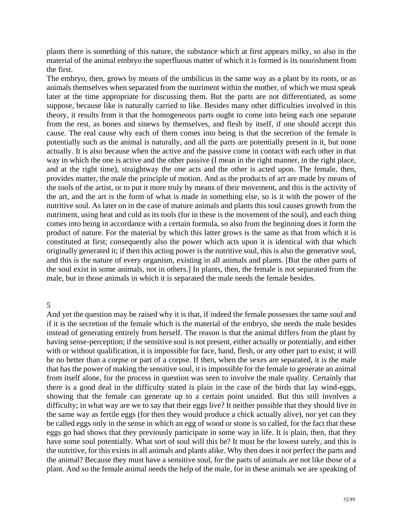plants there is something of this nature, the substance which at first appears milky, so also in the material of the animal embryo the superfluous matter of which it is formed is its nourishment from the first.

The embryo, then, grows by means of the umbilicus in the same way as a plant by its roots, or as animals themselves when separated from the nutriment within the mother, of which we must speak later at the time appropriate for discussing them. But the parts are not differentiated, as some suppose, because like is naturally carried to like. Besides many other difficulties involved in this theory, it results from it that the homogeneous parts ought to come into being each one separate from the rest, as bones and sinews by themselves, and flesh by itself, if one should accept this cause. The real cause why each of them comes into being is that the secretion of the female is potentially such as the animal is naturally, and all the parts are potentially present in it, but none actually. It is also because when the active and the passive come in contact with each other in that way in which the one is active and the other passive (I mean in the right manner, in the right place, and at the right time), straightway the one acts and the other is acted upon. The female, then, provides matter, the male the principle of motion. And as the products of art are made by means of the tools of the artist, or to put it more truly by means of their movement, and this is the activity of the art, and the art is the form of what is made in something else, so is it with the power of the nutritive soul. As later on in the case of mature animals and plants this soul causes growth from the nutriment, using heat and cold as its tools (for in these is the movement of the soul), and each thing comes into being in accordance with a certain formula, so also from the beginning does it form the product of nature. For the material by which this latter grows is the same as that from which it is constituted at first; consequently also the power which acts upon it is identical with that which originally generated it; if then this acting power is the nutritive soul, this is also the generative soul, and this is the nature of every organism, existing in all animals and plants. [But the other parts of the soul exist in some animals, not in others.] In plants, then, the female is not separated from the male, but in those animals in which it is separated the male needs the female besides.

## 5

having sense-perception; if the sensitive soul is not present, either actually or potentially, and either showing that the female can generate up to a certain point unaided. But this still involves a And yet the question may be raised why it is that, if indeed the female possesses the same soul and if it is the secretion of the female which is the material of the embryo, she needs the male besides instead of generating entirely from herself. The reason is that the animal differs from the plant by with or without qualification, it is impossible for face, hand, flesh, or any other part to exist; it will be no better than a corpse or part of a corpse. If then, when the sexes are separated, it is the male that has the power of making the sensitive soul, it is impossible for the female to generate an animal from itself alone, for the process in question was seen to involve the male quality. Certainly that there is a good deal in the difficulty stated is plain in the case of the birds that lay wind-eggs, difficulty; in what way are we to say that their eggs live? It neither possible that they should live in the same way as fertile eggs (for then they would produce a chick actually alive), nor yet can they be called eggs only in the sense in which an egg of wood or stone is so called, for the fact that these eggs go bad shows that they previously participate in some way in life. It is plain, then, that they have some soul potentially. What sort of soul will this be? It must be the lowest surely, and this is the nutritive, for this exists in all animals and plants alike. Why then does it not perfect the parts and the animal? Because they must have a sensitive soul, for the parts of animals are not like those of a plant. And so the female animal needs the help of the male, for in these animals we are speaking of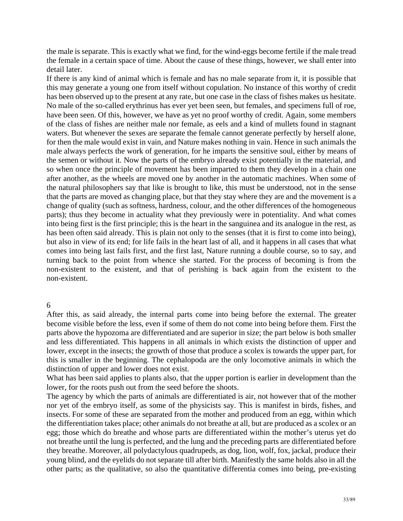the male is separate. This is exactly what we find, for the wind-eggs become fertile if the male tread the female in a certain space of time. About the cause of these things, however, we shall enter into detail later.

If there is any kind of animal which is female and has no male separate from it, it is possible that this may generate a young one from itself without copulation. No instance of this worthy of credit has been observed up to the present at any rate, but one case in the class of fishes makes us hesitate. No male of the so-called erythrinus has ever yet been seen, but females, and specimens full of roe, have been seen. Of this, however, we have as yet no proof worthy of credit. Again, some members of the class of fishes are neither male nor female, as eels and a kind of mullets found in stagnant waters. But whenever the sexes are separate the female cannot generate perfectly by herself alone, for then the male would exist in vain, and Nature makes nothing in vain. Hence in such animals the male always perfects the work of generation, for he imparts the sensitive soul, either by means of the semen or without it. Now the parts of the embryo already exist potentially in the material, and so when once the principle of movement has been imparted to them they develop in a chain one after another, as the wheels are moved one by another in the automatic machines. When some of the natural philosophers say that like is brought to like, this must be understood, not in the sense that the parts are moved as changing place, but that they stay where they are and the movement is a hange of quality (such as softness, hardness, colour, and the other differences of the homogeneous c parts); thus they become in actuality what they previously were in potentiality. And what comes into being first is the first principle; this is the heart in the sanguinea and its analogue in the rest, as has been often said already. This is plain not only to the senses (that it is first to come into being), but also in view of its end; for life fails in the heart last of all, and it happens in all cases that what comes into being last fails first, and the first last, Nature running a double course, so to say, and turning back to the point from whence she started. For the process of becoming is from the non-existent to the existent, and that of perishing is back again from the existent to the non-existent.

### 6

After this, as said already, the internal parts come into being before the external. The greater become visible before the less, even if some of them do not come into being before them. First the parts above the hypozoma are differentiated and are superior in size; the part below is both smaller and less differentiated. This happens in all animals in which exists the distinction of upper and lower, except in the insects; the growth of those that produce a scolex is towards the upper part, for this is smaller in the beginning. The cephalopoda are the only locomotive animals in which the distinction of upper and lower does not exist.

What has been said applies to plants also, that the upper portion is earlier in development than the lower, for the roots push out from the seed before the shoots.

nor yet of the embryo itself, as some of the physicists say. This is manifest in birds, fishes, and The agency by which the parts of animals are differentiated is air, not however that of the mother insects. For some of these are separated from the mother and produced from an egg, within which the differentiation takes place; other animals do not breathe at all, but are produced as a scolex or an egg; those which do breathe and whose parts are differentiated within the mother's uterus yet do not breathe until the lung is perfected, and the lung and the preceding parts are differentiated before they breathe. Moreover, all polydactylous quadrupeds, as dog, lion, wolf, fox, jackal, produce their young blind, and the eyelids do not separate till after birth. Manifestly the same holds also in all the other parts; as the qualitative, so also the quantitative differentia comes into being, pre-existing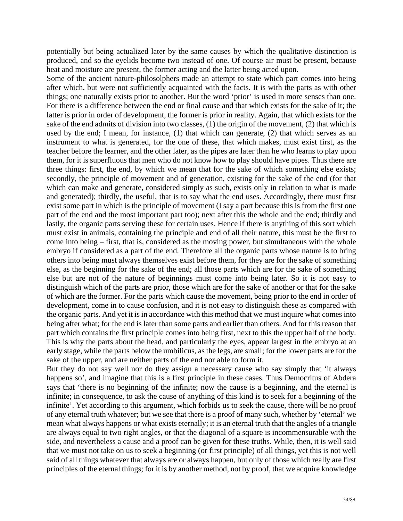potentially but being actualized later by the same causes by which the qualitative distinction is produced, and so the eyelids become two instead of one. Of course air must be present, because heat and moisture are present, the former acting and the latter being acted upon.

Some of the ancient nature-philosolphers made an attempt to state which part comes into being after which, but were not sufficiently acquainted with the facts. It is with the parts as with other things; one naturally exists prior to another. But the word 'prior' is used in more senses than one. For there is a difference between the end or final cause and that which exists for the sake of it; the latter is prior in order of development, the former is prior in reality. Again, that which exists for the sake of the end admits of division into two classes, (1) the origin of the movement, (2) that which is used by the end; I mean, for instance, (1) that which can generate, (2) that which serves as an instrument to what is generated, for the one of these, that which makes, must exist first, as the teacher before the learner, and the other later, as the pipes are later than he who learns to play upon them, for it is superfluous that men who do not know how to play should have pipes. Thus there are three things: first, the end, by which we mean that for the sake of which something else exists; secondly, the principle of movement and of generation, existing for the sake of the end (for that which can make and generate, considered simply as such, exists only in relation to what is made and generated); thirdly, the useful, that is to say what the end uses. Accordingly, there must first exist some part in which is the principle of movement (I say a part because this is from the first one part of the end and the most important part too); next after this the whole and the end; thirdly and else but are not of the nature of beginnings must come into being later. So it is not easy to of which are the former. For the parts which cause the movement, being prior to the end in order of lastly, the organic parts serving these for certain uses. Hence if there is anything of this sort which must exist in animals, containing the principle and end of all their nature, this must be the first to come into being – first, that is, considered as the moving power, but simultaneous with the whole embryo if considered as a part of the end. Therefore all the organic parts whose nature is to bring others into being must always themselves exist before them, for they are for the sake of something else, as the beginning for the sake of the end; all those parts which are for the sake of something distinguish which of the parts are prior, those which are for the sake of another or that for the sake development, come in to cause confusion, and it is not easy to distinguish these as compared with the organic parts. And yet it is in accordance with this method that we must inquire what comes into being after what; for the end is later than some parts and earlier than others. And for this reason that part which contains the first principle comes into being first, next to this the upper half of the body. This is why the parts about the head, and particularly the eyes, appear largest in the embryo at an early stage, while the parts below the umbilicus, as the legs, are small; for the lower parts are for the sake of the upper, and are neither parts of the end nor able to form it.

of any eternal truth whatever; but we see that there is a proof of many such, whether by 'eternal' we But they do not say well nor do they assign a necessary cause who say simply that 'it always happens so', and imagine that this is a first principle in these cases. Thus Democritus of Abdera says that 'there is no beginning of the infinite; now the cause is a beginning, and the eternal is infinite; in consequence, to ask the cause of anything of this kind is to seek for a beginning of the infinite'. Yet according to this argument, which forbids us to seek the cause, there will be no proof mean what always happens or what exists eternally; it is an eternal truth that the angles of a triangle are always equal to two right angles, or that the diagonal of a square is incommensurable with the side, and nevertheless a cause and a proof can be given for these truths. While, then, it is well said that we must not take on us to seek a beginning (or first principle) of all things, yet this is not well said of all things whatever that always are or always happen, but only of those which really are first principles of the eternal things; for it is by another method, not by proof, that we acquire knowledge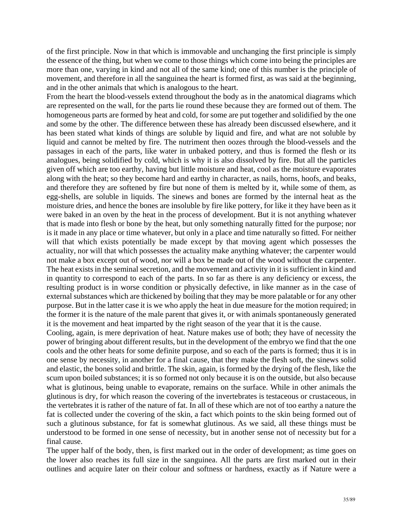of the first principle. Now in that which is immovable and unchanging the first principle is simply the essence of the thing, but when we come to those things which come into being the principles are more than one, varying in kind and not all of the same kind; one of this number is the principle of movement, and therefore in all the sanguinea the heart is formed first, as was said at the beginning, and in the other animals that which is analogous to the heart.

From the heart the blood-vessels extend throughout the body as in the anatomical diagrams which are represented on the wall, for the parts lie round these because they are formed out of them. The homogeneous parts are formed by heat and cold, for some are put together and solidified by the one and some by the other. The difference between these has already been discussed elsewhere, and it has been stated what kinds of things are soluble by liquid and fire, and what are not soluble by liquid and cannot be melted by fire. The nutriment then oozes through the blood-vessels and the passages in each of the parts, like water in unbaked pottery, and thus is formed the flesh or its analogues, being solidified by cold, which is why it is also dissolved by fire. But all the particles given off which are too earthy, having but little moisture and heat, cool as the moisture evaporates along with the heat; so they become hard and earthy in character, as nails, horns, hoofs, and beaks, and therefore they are softened by fire but none of them is melted by it, while some of them, as egg-shells, are soluble in liquids. The sinews and bones are formed by the internal heat as the moisture dries, and hence the bones are insoluble by fire like pottery, for like it they have been as it were baked in an oven by the heat in the process of development. But it is not anything whatever that is made into flesh or bone by the heat, but only something naturally fitted for the purpose; nor is it made in any place or time whatever, but only in a place and time naturally so fitted. For neither will that which exists potentially be made except by that moving agent which possesses the actuality, nor will that which possesses the actuality make anything whatever; the carpenter would not make a box except out of wood, nor will a box be made out of the wood without the carpenter. The heat exists in the seminal secretion, and the movement and activity in it is sufficient in kind and in quantity to correspond to each of the parts. In so far as there is any deficiency or excess, the resulting product is in worse condition or physically defective, in like manner as in the case of external substances which are thickened by boiling that they may be more palatable or for any other purpose. But in the latter case it is we who apply the heat in due measure for the motion required; in the former it is the nature of the male parent that gives it, or with animals spontaneously generated it is the movement and heat imparted by the right season of the year that it is the cause.

Cooling, again, is mere deprivation of heat. Nature makes use of both; they have of necessity the power of bringing about different results, but in the development of the embryo we find that the one cools and the other heats for some definite purpose, and so each of the parts is formed; thus it is in one sense by necessity, in another for a final cause, that they make the flesh soft, the sinews solid and elastic, the bones solid and brittle. The skin, again, is formed by the drying of the flesh, like the scum upon boiled substances; it is so formed not only because it is on the outside, but also because what is glutinous, being unable to evaporate, remains on the surface. While in other animals the glutinous is dry, for which reason the covering of the invertebrates is testaceous or crustaceous, in the vertebrates it is rather of the nature of fat. In all of these which are not of too earthy a nature the fat is collected under the covering of the skin, a fact which points to the skin being formed out of such a glutinous substance, for fat is somewhat glutinous. As we said, all these things must be understood to be formed in one sense of necessity, but in another sense not of necessity but for a final cause.

The upper half of the body, then, is first marked out in the order of development; as time goes on the lower also reaches its full size in the sanguinea. All the parts are first marked out in their outlines and acquire later on their colour and softness or hardness, exactly as if Nature were a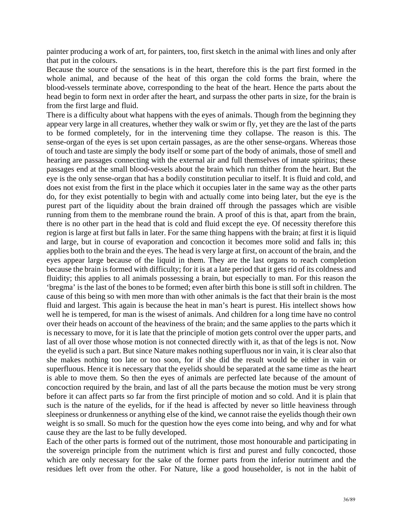painter producing a work of art, for painters, too, first sketch in the animal with lines and only after that put in the colours.

Because the source of the sensations is in the heart, therefore this is the part first formed in the whole animal, and because of the heat of this organ the cold forms the brain, where the blood-vessels terminate above, corresponding to the heat of the heart. Hence the parts about the head begin to form next in order after the heart, and surpass the other parts in size, for the brain is from the first large and fluid.

There is a difficulty about what happens with the eyes of animals. Though from the beginning they appear very large in all creatures, whether they walk or swim or fly, yet they are the last of the parts to be formed completely, for in the intervening time they collapse. The reason is this. The sense-organ of the eyes is set upon certain passages, as are the other sense-organs. Whereas those of touch and taste are simply the body itself or some part of the body of animals, those of smell and hearing are passages connecting with the external air and full themselves of innate spiritus; these passages end at the small blood-vessels about the brain which run thither from the heart. But the eye is the only sense-organ that has a bodily constitution peculiar to itself. It is fluid and cold, and does not exist from the first in the place which it occupies later in the same way as the other parts do, for they exist potentially to begin with and actually come into being later, but the eye is the purest part of the liquidity about the brain drained off through the passages which are visible running from them to the membrane round the brain. A proof of this is that, apart from the brain, there is no other part in the head that is cold and fluid except the eye. Of necessity therefore this region is large at first but falls in later. For the same thing happens with the brain; at first it is liquid and large, but in course of evaporation and concoction it becomes more solid and falls in; this applies both to the brain and the eyes. The head is very large at first, on account of the brain, and the eyes appear large because of the liquid in them. They are the last organs to reach completion because the brain is formed with difficulty; for it is at a late period that it gets rid of its coldness and concoction required by the brain, and last of all the parts because the motion must be very strong cause they are the last to be fully developed. fluidity; this applies to all animals possessing a brain, but especially to man. For this reason the 'bregma' is the last of the bones to be formed; even after birth this bone is still soft in children. The cause of this being so with men more than with other animals is the fact that their brain is the most fluid and largest. This again is because the heat in man's heart is purest. His intellect shows how well he is tempered, for man is the wisest of animals. And children for a long time have no control over their heads on account of the heaviness of the brain; and the same applies to the parts which it is necessary to move, for it is late that the principle of motion gets control over the upper parts, and last of all over those whose motion is not connected directly with it, as that of the legs is not. Now the eyelid is such a part. But since Nature makes nothing superfluous nor in vain, it is clear also that she makes nothing too late or too soon, for if she did the result would be either in vain or superfluous. Hence it is necessary that the eyelids should be separated at the same time as the heart is able to move them. So then the eyes of animals are perfected late because of the amount of before it can affect parts so far from the first principle of motion and so cold. And it is plain that such is the nature of the eyelids, for if the head is affected by never so little heaviness through sleepiness or drunkenness or anything else of the kind, we cannot raise the eyelids though their own weight is so small. So much for the question how the eyes come into being, and why and for what

residues left over from the other. For Nature, like a good householder, is not in the habit of Each of the other parts is formed out of the nutriment, those most honourable and participating in the sovereign principle from the nutriment which is first and purest and fully concocted, those which are only necessary for the sake of the former parts from the inferior nutriment and the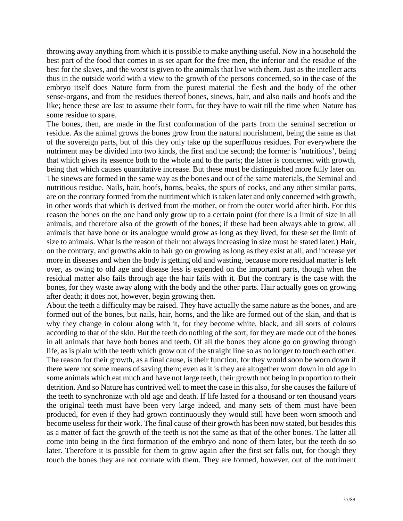throwing away anything from which it is possible to make anything useful. Now in a household the best part of the food that comes in is set apart for the free men, the inferior and the residue of the best for the slaves, and the worst is given to the animals that live with them. Just as the intellect acts thus in the outside world with a view to the growth of the persons concerned, so in the case of the embryo itself does Nature form from the purest material the flesh and the body of the other sense-organs, and from the residues thereof bones, sinews, hair, and also nails and hoofs and the like; hence these are last to assume their form, for they have to wait till the time when Nature has some residue to spare.

The bones, then, are made in the first conformation of the parts from the seminal secretion or residue. As the animal grows the bones grow from the natural nourishment, being the same as that of the sovereign parts, but of this they only take up the superfluous residues. For everywhere the nutriment may be divided into two kinds, the first and the second; the former is 'nutritious', being that which gives its essence both to the whole and to the parts; the latter is concerned with growth, being that which causes quantitative increase. But these must be distinguished more fully later on. The sinews are formed in the same way as the bones and out of the same materials, the Seminal and nutritious residue. Nails, hair, hoofs, horns, beaks, the spurs of cocks, and any other similar parts, are on the contrary formed from the nutriment which is taken later and only concerned with growth, in other words that which is derived from the mother, or from the outer world after birth. For this reason the bones on the one hand only grow up to a certain point (for there is a limit of size in all animals, and therefore also of the growth of the bones; if these had been always able to grow, all animals that have bone or its analogue would grow as long as they lived, for these set the limit of size to animals. What is the reason of their not always increasing in size must be stated later.) Hair, on the contrary, and growths akin to hair go on growing as long as they exist at all, and increase yet more in diseases and when the body is getting old and wasting, because more residual matter is left over, as owing to old age and disease less is expended on the important parts, though when the residual matter also fails through age the hair fails with it. But the contrary is the case with the bones, for they waste away along with the body and the other parts. Hair actually goes on growing after death; it does not, however, begin growing then.

the teeth to synchronize with old age and death. If life lasted for a thousand or ten thousand years About the teeth a difficulty may be raised. They have actually the same nature as the bones, and are formed out of the bones, but nails, hair, horns, and the like are formed out of the skin, and that is why they change in colour along with it, for they become white, black, and all sorts of colours according to that of the skin. But the teeth do nothing of the sort, for they are made out of the bones in all animals that have both bones and teeth. Of all the bones they alone go on growing through life, as is plain with the teeth which grow out of the straight line so as no longer to touch each other. The reason for their growth, as a final cause, is their function, for they would soon be worn down if there were not some means of saving them; even as it is they are altogether worn down in old age in some animals which eat much and have not large teeth, their growth not being in proportion to their detrition. And so Nature has contrived well to meet the case in this also, for she causes the failure of the original teeth must have been very large indeed, and many sets of them must have been produced, for even if they had grown continuously they would still have been worn smooth and become useless for their work. The final cause of their growth has been now stated, but besides this as a matter of fact the growth of the teeth is not the same as that of the other bones. The latter all come into being in the first formation of the embryo and none of them later, but the teeth do so later. Therefore it is possible for them to grow again after the first set falls out, for though they touch the bones they are not connate with them. They are formed, however, out of the nutriment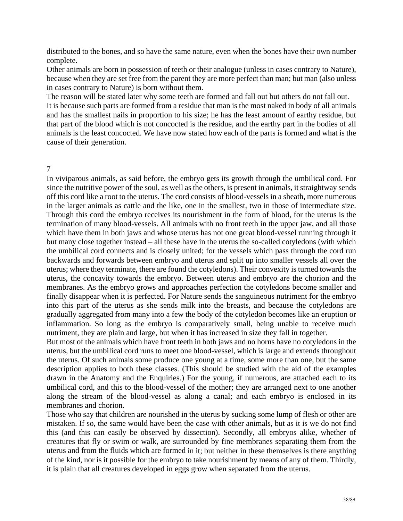distributed to the bones, and so have the same nature, even when the bones have their own number complete.

Other animals are born in possession of teeth or their analogue (unless in cases contrary to Nature), because when they are set free from the parent they are more perfect than man; but man (also unless in cases contrary to Nature) is born without them.

The reason will be stated later why some teeth are formed and fall out but others do not fall out. It is because such parts are formed from a residue that man is the most naked in body of all animals and has the smallest nails in proportion to his size; he has the least amount of earthy residue, but that part of the blood which is not concocted is the residue, and the earthy part in the bodies of all animals is the least concocted. We have now stated how each of the parts is formed and what is the cause of their generation.

7

uterus; where they terminate, there are found the cotyledons). Their convexity is turned towards the In viviparous animals, as said before, the embryo gets its growth through the umbilical cord. For since the nutritive power of the soul, as well as the others, is present in animals, it straightway sends off this cord like a root to the uterus. The cord consists of blood-vessels in a sheath, more numerous in the larger animals as cattle and the like, one in the smallest, two in those of intermediate size. Through this cord the embryo receives its nourishment in the form of blood, for the uterus is the termination of many blood-vessels. All animals with no front teeth in the upper jaw, and all those which have them in both jaws and whose uterus has not one great blood-vessel running through it but many close together instead – all these have in the uterus the so-called cotyledons (with which the umbilical cord connects and is closely united; for the vessels which pass through the cord run backwards and forwards between embryo and uterus and split up into smaller vessels all over the uterus, the concavity towards the embryo. Between uterus and embryo are the chorion and the membranes. As the embryo grows and approaches perfection the cotyledons become smaller and finally disappear when it is perfected. For Nature sends the sanguineous nutriment for the embryo into this part of the uterus as she sends milk into the breasts, and because the cotyledons are gradually aggregated from many into a few the body of the cotyledon becomes like an eruption or inflammation. So long as the embryo is comparatively small, being unable to receive much nutriment, they are plain and large, but when it has increased in size they fall in together.

But most of the animals which have front teeth in both jaws and no horns have no cotyledons in the uterus, but the umbilical cord runs to meet one blood-vessel, which is large and extends throughout the uterus. Of such animals some produce one young at a time, some more than one, but the same description applies to both these classes. (This should be studied with the aid of the examples drawn in the Anatomy and the Enquiries.) For the young, if numerous, are attached each to its umbilical cord, and this to the blood-vessel of the mother; they are arranged next to one another along the stream of the blood-vessel as along a canal; and each embryo is enclosed in its membranes and chorion.

uterus and from the fluids which are formed in it; but neither in these themselves is there anything of the kind, nor is it possible for the embryo to take nourishment by means of any of them. Thirdly, it is plain that all creatures developed in eggs grow when separated from the uterus. Those who say that children are nourished in the uterus by sucking some lump of flesh or other are mistaken. If so, the same would have been the case with other animals, but as it is we do not find this (and this can easily be observed by dissection). Secondly, all embryos alike, whether of creatures that fly or swim or walk, are surrounded by fine membranes separating them from the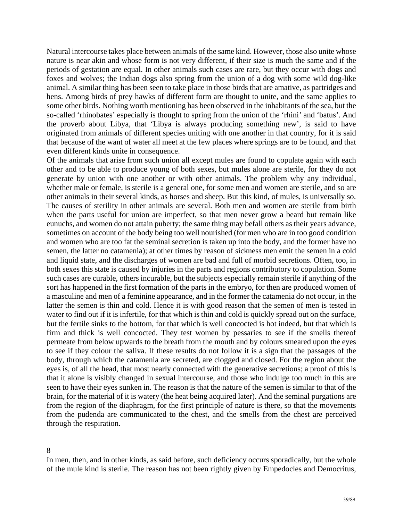Natural intercourse takes place between animals of the same kind. However, those also unite whose nature is near akin and whose form is not very different, if their size is much the same and if the periods of gestation are equal. In other animals such cases are rare, but they occur with dogs and foxes and wolves; the Indian dogs also spring from the union of a dog with some wild dog-like the proverb about Libya, that 'Libya is always producing something new', is said to have originated from animals of different species uniting with one another in that country, for it is said that because of the want of water all meet at the few places where springs are to be found, and that even different kinds unite in consequence. animal. A similar thing has been seen to take place in those birds that are amative, as partridges and hens. Among birds of prey hawks of different form are thought to unite, and the same applies to some other birds. Nothing worth mentioning has been observed in the inhabitants of the sea, but the so-called 'rhinobates' especially is thought to spring from the union of the 'rhini' and 'batus'. And

but the fertile sinks to the bottom, for that which is well concocted is hot indeed, but that which is brain, for the material of it is watery (the heat being acquired later). And the seminal purgations are Of the animals that arise from such union all except mules are found to copulate again with each other and to be able to produce young of both sexes, but mules alone are sterile, for they do not generate by union with one another or with other animals. The problem why any individual, whether male or female, is sterile is a general one, for some men and women are sterile, and so are other animals in their several kinds, as horses and sheep. But this kind, of mules, is universally so. The causes of sterility in other animals are several. Both men and women are sterile from birth when the parts useful for union are imperfect, so that men never grow a beard but remain like eunuchs, and women do not attain puberty; the same thing may befall others as their years advance, sometimes on account of the body being too well nourished (for men who are in too good condition and women who are too fat the seminal secretion is taken up into the body, and the former have no semen, the latter no catamenia); at other times by reason of sickness men emit the semen in a cold and liquid state, and the discharges of women are bad and full of morbid secretions. Often, too, in both sexes this state is caused by injuries in the parts and regions contributory to copulation. Some such cases are curable, others incurable, but the subjects especially remain sterile if anything of the sort has happened in the first formation of the parts in the embryo, for then are produced women of a masculine and men of a feminine appearance, and in the former the catamenia do not occur, in the latter the semen is thin and cold. Hence it is with good reason that the semen of men is tested in water to find out if it is infertile, for that which is thin and cold is quickly spread out on the surface, firm and thick is well concocted. They test women by pessaries to see if the smells thereof permeate from below upwards to the breath from the mouth and by colours smeared upon the eyes to see if they colour the saliva. If these results do not follow it is a sign that the passages of the body, through which the catamenia are secreted, are clogged and closed. For the region about the eyes is, of all the head, that most nearly connected with the generative secretions; a proof of this is that it alone is visibly changed in sexual intercourse, and those who indulge too much in this are seen to have their eyes sunken in. The reason is that the nature of the semen is similar to that of the from the region of the diaphragm, for the first principle of nature is there, so that the movements from the pudenda are communicated to the chest, and the smells from the chest are perceived through the respiration.

## 8

of the mule kind is sterile. The reason has not been rightly given by Empedocles and Democritus, In men, then, and in other kinds, as said before, such deficiency occurs sporadically, but the whole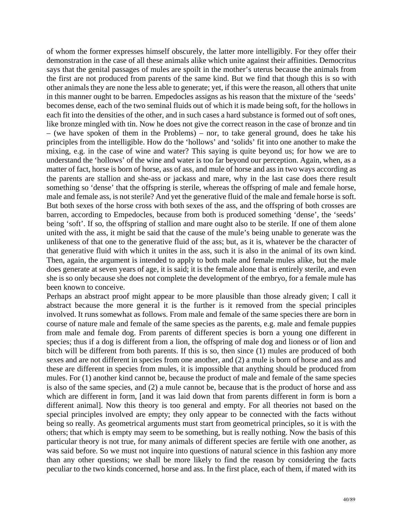of whom the former expresses himself obscurely, the latter more intelligibly. For they offer their demonstration in the case of all these animals alike which unite against their affinities. Democritus says that the genital passages of mules are spoilt in the mother's uterus because the animals from the first are not produced from parents of the same kind. But we find that though this is so with other animals they are none the less able to generate; yet, if this were the reason, all others that unite in this manner ought to be barren. Empedocles assigns as his reason that the mixture of the 'seeds' becomes dense, each of the two seminal fluids out of which it is made being soft, for the hollows in each fit into the densities of the other, and in such cases a hard substance is formed out of soft ones, like bronze mingled with tin. Now he does not give the correct reason in the case of bronze and tin – (we have spoken of them in the Problems) – nor, to take general ground, does he take his principles from the intelligible. How do the 'hollows' and 'solids' fit into one another to make the mixing, e.g. in the case of wine and water? This saying is quite beyond us; for how we are to understand the 'hollows' of the wine and water is too far beyond our perception. Again, when, as a matter of fact, horse is born of horse, ass of ass, and mule of horse and ass in two ways according as the parents are stallion and she-ass or jackass and mare, why in the last case does there result something so 'dense' that the offspring is sterile, whereas the offspring of male and female horse, male and female ass, is not sterile? And yet the generative fluid of the male and female horse is soft. But both sexes of the horse cross with both sexes of the ass, and the offspring of both crosses are barren, according to Empedocles, because from both is produced something 'dense', the 'seeds' being 'soft'. If so, the offspring of stallion and mare ought also to be sterile. If one of them alone united with the ass, it might be said that the cause of the mule's being unable to generate was the unlikeness of that one to the generative fluid of the ass; but, as it is, whatever be the character of that generative fluid with which it unites in the ass, such it is also in the animal of its own kind. Then, again, the argument is intended to apply to both male and female mules alike, but the male does generate at seven years of age, it is said; it is the female alone that is entirely sterile, and even she is so only because she does not complete the development of the embryo, for a female mule has been known to conceive.

being so really. As geometrical arguments must start from geometrical principles, so it is with the others; that which is empty may seem to be something, but is really nothing. Now the basis of this particular theory is not true, for many animals of different species are fertile with one another, as was said before. So we must not inquire into questions of natural science in this fashion any more Perhaps an abstract proof might appear to be more plausible than those already given; I call it abstract because the more general it is the further is it removed from the special principles involved. It runs somewhat as follows. From male and female of the same species there are born in course of nature male and female of the same species as the parents, e.g. male and female puppies from male and female dog. From parents of different species is born a young one different in species; thus if a dog is different from a lion, the offspring of male dog and lioness or of lion and bitch will be different from both parents. If this is so, then since (1) mules are produced of both sexes and are not different in species from one another, and (2) a mule is born of horse and ass and these are different in species from mules, it is impossible that anything should be produced from mules. For (1) another kind cannot be, because the product of male and female of the same species is also of the same species, and (2) a mule cannot be, because that is the product of horse and ass which are different in form, [and it was laid down that from parents different in form is born a different animal]. Now this theory is too general and empty. For all theories not based on the special principles involved are empty; they only appear to be connected with the facts without than any other questions; we shall be more likely to find the reason by considering the facts peculiar to the two kinds concerned, horse and ass. In the first place, each of them, if mated with its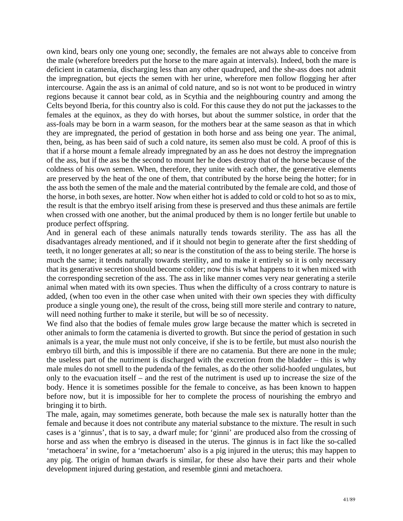own kind, bears only one young one; secondly, the females are not always able to conceive from the male (wherefore breeders put the horse to the mare again at intervals). Indeed, both the mare is deficient in catamenia, discharging less than any other quadruped, and the she-ass does not admit the impregnation, but ejects the semen with her urine, wherefore men follow flogging her after intercourse. Again the ass is an animal of cold nature, and so is not wont to be produced in wintry regions because it cannot bear cold, as in Scythia and the neighbouring country and among the Celts beyond Iberia, for this country also is cold. For this cause they do not put the jackasses to the females at the equinox, as they do with horses, but about the summer solstice, in order that the ass-foals may be born in a warm season, for the mothers bear at the same season as that in which they are impregnated, the period of gestation in both horse and ass being one year. The animal, then, being, as has been said of such a cold nature, its semen also must be cold. A proof of this is that if a horse mount a female already impregnated by an ass he does not destroy the impregnation of the ass, but if the ass be the second to mount her he does destroy that of the horse because of the coldness of his own semen. When, therefore, they unite with each other, the generative elements are preserved by the heat of the one of them, that contributed by the horse being the hotter; for in the ass both the semen of the male and the material contributed by the female are cold, and those of the horse, in both sexes, are hotter. Now when either hot is added to cold or cold to hot so as to mix, the result is that the embryo itself arising from these is preserved and thus these animals are fertile when crossed with one another, but the animal produced by them is no longer fertile but unable to produce perfect offspring.

And in general each of these animals naturally tends towards sterility. The ass has all the disadvantages already mentioned, and if it should not begin to generate after the first shedding of teeth, it no longer generates at all; so near is the constitution of the ass to being sterile. The horse is much the same; it tends naturally towards sterility, and to make it entirely so it is only necessary that its generative secretion should become colder; now this is what happens to it when mixed with the corresponding secretion of the ass. The ass in like manner comes very near generating a sterile animal when mated with its own species. Thus when the difficulty of a cross contrary to nature is added, (when too even in the other case when united with their own species they with difficulty produce a single young one), the result of the cross, being still more sterile and contrary to nature, will need nothing further to make it sterile, but will be so of necessity.

We find also that the bodies of female mules grow large because the matter which is secreted in other animals to form the catamenia is diverted to growth. But since the period of gestation in such animals is a year, the mule must not only conceive, if she is to be fertile, but must also nourish the embryo till birth, and this is impossible if there are no catamenia. But there are none in the mule; the useless part of the nutriment is discharged with the excretion from the bladder – this is why male mules do not smell to the pudenda of the females, as do the other solid-hoofed ungulates, but only to the evacuation itself – and the rest of the nutriment is used up to increase the size of the body. Hence it is sometimes possible for the female to conceive, as has been known to happen before now, but it is impossible for her to complete the process of nourishing the embryo and bringing it to birth.

The male, again, may sometimes generate, both because the male sex is naturally hotter than the female and because it does not contribute any material substance to the mixture. The result in such cases is a 'ginnus', that is to say, a dwarf mule; for 'ginni' are produced also from the crossing of horse and ass when the embryo is diseased in the uterus. The ginnus is in fact like the so-called 'metachoera' in swine, for a 'metachoerum' also is a pig injured in the uterus; this may happen to any pig. The origin of human dwarfs is similar, for these also have their parts and their whole development injured during gestation, and resemble ginni and metachoera.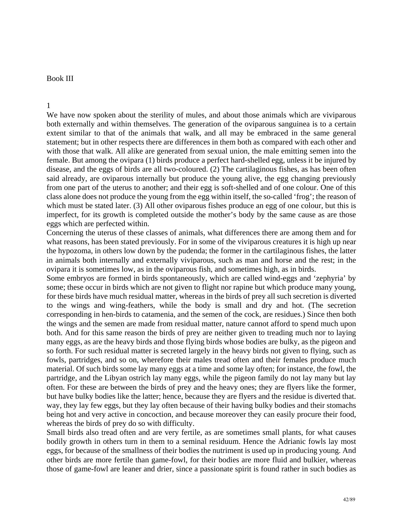## Book III

## 1

We have now spoken about the sterility of mules, and about those animals which are viviparous both externally and within themselves. The generation of the oviparous sanguinea is to a certain extent similar to that of the animals that walk, and all may be embraced in the same general statement; but in other respects there are differences in them both as compared with each other and with those that walk. All alike are generated from sexual union, the male emitting semen into the female. But among the ovipara (1) birds produce a perfect hard-shelled egg, unless it be injured by disease, and the eggs of birds are all two-coloured. (2) The cartilaginous fishes, as has been often said already, are oviparous internally but produce the young alive, the egg changing previously from one part of the uterus to another; and their egg is soft-shelled and of one colour. One of this class alone does not produce the young from the egg within itself, the so-called 'frog'; the reason of which must be stated later. (3) All other oviparous fishes produce an egg of one colour, but this is imperfect, for its growth is completed outside the mother's body by the same cause as are those eggs which are perfected within.

Concerning the uterus of these classes of animals, what differences there are among them and for what reasons, has been stated previously. For in some of the viviparous creatures it is high up near the hypozoma, in others low down by the pudenda; the former in the cartilaginous fishes, the latter in animals both internally and externally viviparous, such as man and horse and the rest; in the ovipara it is sometimes low, as in the oviparous fish, and sometimes high, as in birds.

the wings and the semen are made from residual matter, nature cannot afford to spend much upon being hot and very active in concoction, and because moreover they can easily procure their food, Some embryos are formed in birds spontaneously, which are called wind-eggs and 'zephyria' by some; these occur in birds which are not given to flight nor rapine but which produce many young, for these birds have much residual matter, whereas in the birds of prey all such secretion is diverted to the wings and wing-feathers, while the body is small and dry and hot. (The secretion corresponding in hen-birds to catamenia, and the semen of the cock, are residues.) Since then both both. And for this same reason the birds of prey are neither given to treading much nor to laying many eggs, as are the heavy birds and those flying birds whose bodies are bulky, as the pigeon and so forth. For such residual matter is secreted largely in the heavy birds not given to flying, such as fowls, partridges, and so on, wherefore their males tread often and their females produce much material. Of such birds some lay many eggs at a time and some lay often; for instance, the fowl, the partridge, and the Libyan ostrich lay many eggs, while the pigeon family do not lay many but lay often. For these are between the birds of prey and the heavy ones; they are flyers like the former, but have bulky bodies like the latter; hence, because they are flyers and the residue is diverted that. way, they lay few eggs, but they lay often because of their having bulky bodies and their stomachs whereas the birds of prey do so with difficulty.

those of game-fowl are leaner and drier, since a passionate spirit is found rather in such bodies as Small birds also tread often and are very fertile, as are sometimes small plants, for what causes bodily growth in others turn in them to a seminal residuum. Hence the Adrianic fowls lay most eggs, for because of the smallness of their bodies the nutriment is used up in producing young. And other birds are more fertile than game-fowl, for their bodies are more fluid and bulkier, whereas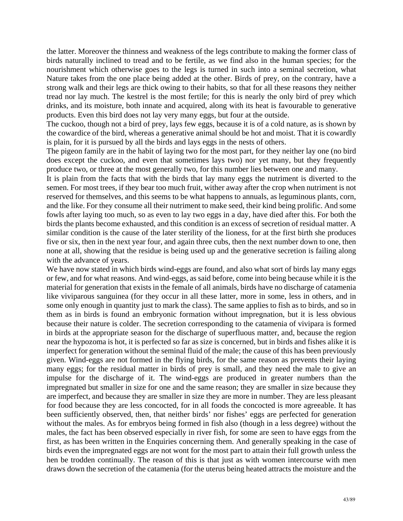the latter. Moreover the thinness and weakness of the legs contribute to making the former class of birds naturally inclined to tread and to be fertile, as we find also in the human species; for the nourishment which otherwise goes to the legs is turned in such into a seminal secretion, what Nature takes from the one place being added at the other. Birds of prey, on the contrary, have a strong walk and their legs are thick owing to their habits, so that for all these reasons they neither tread nor lay much. The kestrel is the most fertile; for this is nearly the only bird of prey which drinks, and its moisture, both innate and acquired, along with its heat is favourable to generative products. Even this bird does not lay very many eggs, but four at the outside.

The cuckoo, though not a bird of prey, lays few eggs, because it is of a cold nature, as is shown by the cowardice of the bird, whereas a generative animal should be hot and moist. That it is cowardly is plain, for it is pursued by all the birds and lays eggs in the nests of others.

The pigeon family are in the habit of laying two for the most part, for they neither lay one (no bird does except the cuckoo, and even that sometimes lays two) nor yet many, but they frequently produce two, or three at the most generally two, for this number lies between one and many.

five or six, then in the next year four, and again three cubs, then the next number down to one, then It is plain from the facts that with the birds that lay many eggs the nutriment is diverted to the semen. For most trees, if they bear too much fruit, wither away after the crop when nutriment is not reserved for themselves, and this seems to be what happens to annuals, as leguminous plants, corn, and the like. For they consume all their nutriment to make seed, their kind being prolific. And some fowls after laying too much, so as even to lay two eggs in a day, have died after this. For both the birds the plants become exhausted, and this condition is an excess of secretion of residual matter. A similar condition is the cause of the later sterility of the lioness, for at the first birth she produces none at all, showing that the residue is being used up and the generative secretion is failing along with the advance of years.

material for generation that exists in the female of all animals, birds have no discharge of catamenia first, as has been written in the Enquiries concerning them. And generally speaking in the case of We have now stated in which birds wind-eggs are found, and also what sort of birds lay many eggs or few, and for what reasons. And wind-eggs, as said before, come into being because while it is the like viviparous sanguinea (for they occur in all these latter, more in some, less in others, and in some only enough in quantity just to mark the class). The same applies to fish as to birds, and so in them as in birds is found an embryonic formation without impregnation, but it is less obvious because their nature is colder. The secretion corresponding to the catamenia of vivipara is formed in birds at the appropriate season for the discharge of superfluous matter, and, because the region near the hypozoma is hot, it is perfected so far as size is concerned, but in birds and fishes alike it is imperfect for generation without the seminal fluid of the male; the cause of this has been previously given. Wind-eggs are not formed in the flying birds, for the same reason as prevents their laying many eggs; for the residual matter in birds of prey is small, and they need the male to give an impulse for the discharge of it. The wind-eggs are produced in greater numbers than the impregnated but smaller in size for one and the same reason; they are smaller in size because they are imperfect, and because they are smaller in size they are more in number. They are less pleasant for food because they are less concocted, for in all foods the concocted is more agreeable. It has been sufficiently observed, then, that neither birds' nor fishes' eggs are perfected for generation without the males. As for embryos being formed in fish also (though in a less degree) without the males, the fact has been observed especially in river fish, for some are seen to have eggs from the birds even the impregnated eggs are not wont for the most part to attain their full growth unless the hen be trodden continually. The reason of this is that just as with women intercourse with men draws down the secretion of the catamenia (for the uterus being heated attracts the moisture and the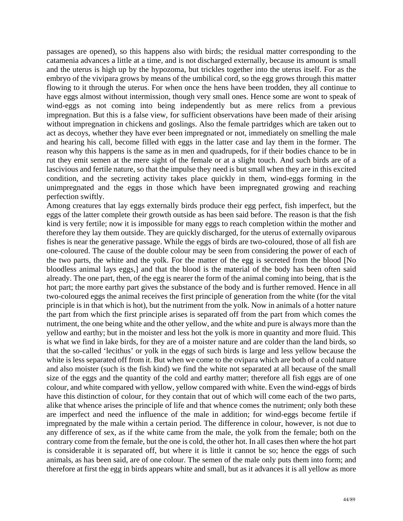passages are opened), so this happens also with birds; the residual matter corresponding to the catamenia advances a little at a time, and is not discharged externally, because its amount is small and the uterus is high up by the hypozoma, but trickles together into the uterus itself. For as the embryo of the vivipara grows by means of the umbilical cord, so the egg grows through this matter flowing to it through the uterus. For when once the hens have been trodden, they all continue to have eggs almost without intermission, though very small ones. Hence some are wont to speak of wind-eggs as not coming into being independently but as mere relics from a previous impregnation. But this is a false view, for sufficient observations have been made of their arising without impregnation in chickens and goslings. Also the female partridges which are taken out to act as decoys, whether they have ever been impregnated or not, immediately on smelling the male and hearing his call, become filled with eggs in the latter case and lay them in the former. The lascivious and fertile nature, so that the impulse they need is but small when they are in this excited reason why this happens is the same as in men and quadrupeds, for if their bodies chance to be in rut they emit semen at the mere sight of the female or at a slight touch. And such birds are of a condition, and the secreting activity takes place quickly in them, wind-eggs forming in the unimpregnated and the eggs in those which have been impregnated growing and reaching perfection swiftly.

hot part; the more earthy part gives the substance of the body and is further removed. Hence in all Among creatures that lay eggs externally birds produce their egg perfect, fish imperfect, but the eggs of the latter complete their growth outside as has been said before. The reason is that the fish kind is very fertile; now it is impossible for many eggs to reach completion within the mother and therefore they lay them outside. They are quickly discharged, for the uterus of externally oviparous fishes is near the generative passage. While the eggs of birds are two-coloured, those of all fish are one-coloured. The cause of the double colour may be seen from considering the power of each of the two parts, the white and the yolk. For the matter of the egg is secreted from the blood [No bloodless animal lays eggs,] and that the blood is the material of the body has been often said already. The one part, then, of the egg is nearer the form of the animal coming into being, that is the two-coloured eggs the animal receives the first principle of generation from the white (for the vital principle is in that which is hot), but the nutriment from the yolk. Now in animals of a hotter nature the part from which the first principle arises is separated off from the part from which comes the nutriment, the one being white and the other yellow, and the white and pure is always more than the yellow and earthy; but in the moister and less hot the yolk is more in quantity and more fluid. This is what we find in lake birds, for they are of a moister nature and are colder than the land birds, so that the so-called 'lecithus' or yolk in the eggs of such birds is large and less yellow because the white is less separated off from it. But when we come to the ovipara which are both of a cold nature and also moister (such is the fish kind) we find the white not separated at all because of the small size of the eggs and the quantity of the cold and earthy matter; therefore all fish eggs are of one colour, and white compared with yellow, yellow compared with white. Even the wind-eggs of birds have this distinction of colour, for they contain that out of which will come each of the two parts, alike that whence arises the principle of life and that whence comes the nutriment; only both these are imperfect and need the influence of the male in addition; for wind-eggs become fertile if impregnated by the male within a certain period. The difference in colour, however, is not due to any difference of sex, as if the white came from the male, the yolk from the female; both on the contrary come from the female, but the one is cold, the other hot. In all cases then where the hot part is considerable it is separated off, but where it is little it cannot be so; hence the eggs of such animals, as has been said, are of one colour. The semen of the male only puts them into form; and therefore at first the egg in birds appears white and small, but as it advances it is all yellow as more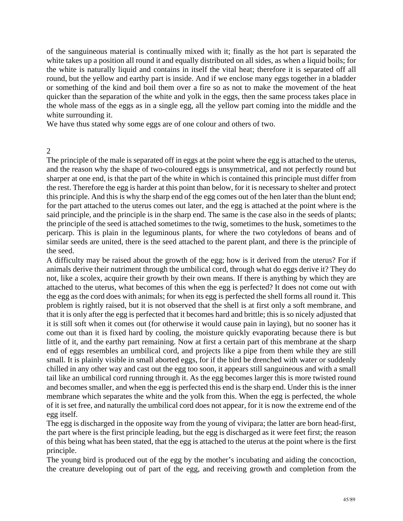of the sanguineous material is continually mixed with it; finally as the hot part is separated the white takes up a position all round it and equally distributed on all sides, as when a liquid boils; for the white is naturally liquid and contains in itself the vital heat; therefore it is separated off all round, but the yellow and earthy part is inside. And if we enclose many eggs together in a bladder or something of the kind and boil them over a fire so as not to make the movement of the heat quicker than the separation of the white and yolk in the eggs, then the same process takes place in the whole mass of the eggs as in a single egg, all the yellow part coming into the middle and the white surrounding it.

We have thus stated why some eggs are of one colour and others of two.

# 2

The principle of the male is separated off in eggs at the point where the egg is attached to the uterus, and the reason why the shape of two-coloured eggs is unsymmetrical, and not perfectly round but sharper at one end, is that the part of the white in which is contained this principle must differ from the rest. Therefore the egg is harder at this point than below, for it is necessary to shelter and protect this principle. And this is why the sharp end of the egg comes out of the hen later than the blunt end; for the part attached to the uterus comes out later, and the egg is attached at the point where is the said principle, and the principle is in the sharp end. The same is the case also in the seeds of plants; the principle of the seed is attached sometimes to the twig, sometimes to the husk, sometimes to the pericarp. This is plain in the leguminous plants, for where the two cotyledons of beans and of similar seeds are united, there is the seed attached to the parent plant, and there is the principle of the seed.

A difficulty may be raised about the growth of the egg; how is it derived from the uterus? For if animals derive their nutriment through the umbilical cord, through what do eggs derive it? They do not, like a scolex, acquire their growth by their own means. If there is anything by which they are attached to the uterus, what becomes of this when the egg is perfected? It does not come out with the egg as the cord does with animals; for when its egg is perfected the shell forms all round it. This problem is rightly raised, but it is not observed that the shell is at first only a soft membrane, and that it is only after the egg is perfected that it becomes hard and brittle; this is so nicely adjusted that it is still soft when it comes out (for otherwise it would cause pain in laying), but no sooner has it come out than it is fixed hard by cooling, the moisture quickly evaporating because there is but little of it, and the earthy part remaining. Now at first a certain part of this membrane at the sharp end of eggs resembles an umbilical cord, and projects like a pipe from them while they are still small. It is plainly visible in small aborted eggs, for if the bird be drenched with water or suddenly chilled in any other way and cast out the egg too soon, it appears still sanguineous and with a small tail like an umbilical cord running through it. As the egg becomes larger this is more twisted round and becomes smaller, and when the egg is perfected this end is the sharp end. Under this is the inner membrane which separates the white and the yolk from this. When the egg is perfected, the whole of it is set free, and naturally the umbilical cord does not appear, for it is now the extreme end of the egg itself.

The egg is discharged in the opposite way from the young of vivipara; the latter are born head-first, the part where is the first principle leading, but the egg is discharged as it were feet first; the reason of this being what has been stated, that the egg is attached to the uterus at the point where is the first principle.

The young bird is produced out of the egg by the mother's incubating and aiding the concoction, the creature developing out of part of the egg, and receiving growth and completion from the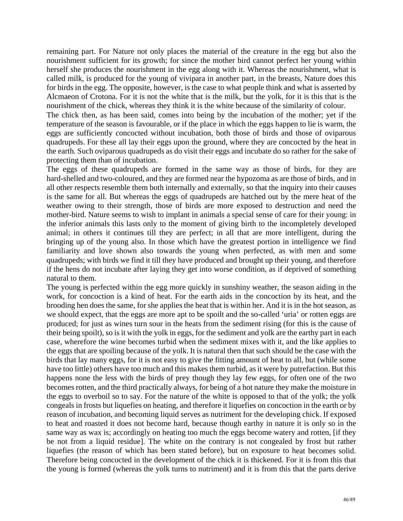remaining part. For Nature not only places the material of the creature in the egg but also the nourishment sufficient for its growth; for since the mother bird cannot perfect her young within herself she produces the nourishment in the egg along with it. Whereas the nourishment, what is called milk, is produced for the young of vivipara in another part, in the breasts, Nature does this for birds in the egg. The opposite, however, is the case to what people think and what is asserted by Alcmaeon of Crotona. For it is not the white that is the milk, but the yolk, for it is this that is the nourishment of the chick, whereas they think it is the white because of the similarity of colour.

The chick then, as has been said, comes into being by the incubation of the mother; yet if the temperature of the season is favourable, or if the place in which the eggs happen to lie is warm, the eggs are sufficiently concocted without incubation, both those of birds and those of oviparous quadrupeds. For these all lay their eggs upon the ground, where they are concocted by the heat in the earth. Such oviparous quadrupeds as do visit their eggs and incubate do so rather for the sake of protecting them than of incubation.

The eggs of these quadrupeds are formed in the same way as those of birds, for they are hard-shelled and two-coloured, and they are formed near the hypozoma as are those of birds, and in all other respects resemble them both internally and externally, so that the inquiry into their causes is the same for all. But whereas the eggs of quadrupeds are hatched out by the mere heat of the weather owing to their strength, those of birds are more exposed to destruction and need the mother-bird. Nature seems to wish to implant in animals a special sense of care for their young: in the inferior animals this lasts only to the moment of giving birth to the incompletely developed animal; in others it continues till they are perfect; in all that are more intelligent, during the bringing up of the young also. In those which have the greatest portion in intelligence we find familiarity and love shown also towards the young when perfected, as with men and some quadrupeds; with birds we find it till they have produced and brought up their young, and therefore if the hens do not incubate after laying they get into worse condition, as if deprived of something natural to them.

The young is perfected within the egg more quickly in sunshiny weather, the season aiding in the liquefies (the reason of which has been stated before), but on exposure to heat becomes solid. work, for concoction is a kind of heat. For the earth aids in the concoction by its heat, and the brooding hen does the same, for she applies the heat that is within her. And it is in the hot season, as we should expect, that the eggs are more apt to be spoilt and the so-called 'uria' or rotten eggs are produced; for just as wines turn sour in the heats from the sediment rising (for this is the cause of their being spoilt), so is it with the yolk in eggs, for the sediment and yolk are the earthy part in each case, wherefore the wine becomes turbid when the sediment mixes with it, and the like applies to the eggs that are spoiling because of the yolk. It is natural then that such should be the case with the birds that lay many eggs, for it is not easy to give the fitting amount of heat to all, but (while some have too little) others have too much and this makes them turbid, as it were by putrefaction. But this happens none the less with the birds of prey though they lay few eggs, for often one of the two becomes rotten, and the third practically always, for being of a hot nature they make the moisture in the eggs to overboil so to say. For the nature of the white is opposed to that of the yolk; the yolk congeals in frosts but liquefies on heating, and therefore it liquefies on concoction in the earth or by reason of incubation, and becoming liquid serves as nutriment for the developing chick. If exposed to heat and roasted it does not become hard, because though earthy in nature it is only so in the same way as wax is; accordingly on heating too much the eggs become watery and rotten, [if they be not from a liquid residue]. The white on the contrary is not congealed by frost but rather Therefore being concocted in the development of the chick it is thickened. For it is from this that the young is formed (whereas the yolk turns to nutriment) and it is from this that the parts derive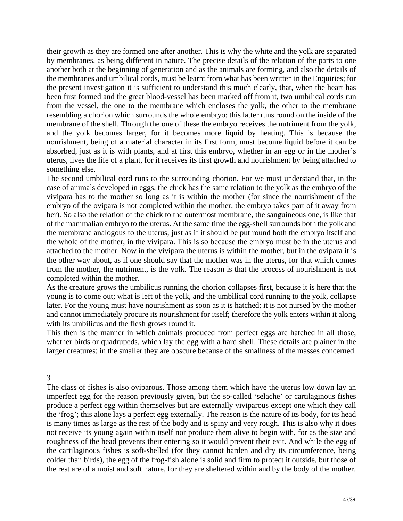their growth as they are formed one after another. This is why the white and the yolk are separated by membranes, as being different in nature. The precise details of the relation of the parts to one absorbed, just as it is with plants, and at first this embryo, whether in an egg or in the mother's another both at the beginning of generation and as the animals are forming, and also the details of the membranes and umbilical cords, must be learnt from what has been written in the Enquiries; for the present investigation it is sufficient to understand this much clearly, that, when the heart has been first formed and the great blood-vessel has been marked off from it, two umbilical cords run from the vessel, the one to the membrane which encloses the yolk, the other to the membrane resembling a chorion which surrounds the whole embryo; this latter runs round on the inside of the membrane of the shell. Through the one of these the embryo receives the nutriment from the yolk, and the yolk becomes larger, for it becomes more liquid by heating. This is because the nourishment, being of a material character in its first form, must become liquid before it can be uterus, lives the life of a plant, for it receives its first growth and nourishment by being attached to something else.

embryo of the ovipara is not completed within the mother, the embryo takes part of it away from The second umbilical cord runs to the surrounding chorion. For we must understand that, in the case of animals developed in eggs, the chick has the same relation to the yolk as the embryo of the vivipara has to the mother so long as it is within the mother (for since the nourishment of the her). So also the relation of the chick to the outermost membrane, the sanguineous one, is like that of the mammalian embryo to the uterus. At the same time the egg-shell surrounds both the yolk and the membrane analogous to the uterus, just as if it should be put round both the embryo itself and the whole of the mother, in the vivipara. This is so because the embryo must be in the uterus and attached to the mother. Now in the vivipara the uterus is within the mother, but in the ovipara it is the other way about, as if one should say that the mother was in the uterus, for that which comes from the mother, the nutriment, is the yolk. The reason is that the process of nourishment is not completed within the mother.

with its umbilicus and the flesh grows round it. As the creature grows the umbilicus running the chorion collapses first, because it is here that the young is to come out; what is left of the yolk, and the umbilical cord running to the yolk, collapse later. For the young must have nourishment as soon as it is hatched; it is not nursed by the mother and cannot immediately procure its nourishment for itself; therefore the yolk enters within it along

This then is the manner in which animals produced from perfect eggs are hatched in all those, whether birds or quadrupeds, which lay the egg with a hard shell. These details are plainer in the larger creatures; in the smaller they are obscure because of the smallness of the masses concerned.

3

The class of fishes is also oviparous. Those among them which have the uterus low down lay an imperfect egg for the reason previously given, but the so-called 'selache' or cartilaginous fishes produce a perfect egg within themselves but are externally viviparous except one which they call the 'frog'; this alone lays a perfect egg externally. The reason is the nature of its body, for its head is many times as large as the rest of the body and is spiny and very rough. This is also why it does not receive its young again within itself nor produce them alive to begin with, for as the size and roughness of the head prevents their entering so it would prevent their exit. And while the egg of the cartilaginous fishes is soft-shelled (for they cannot harden and dry its circumference, being colder than birds), the egg of the frog-fish alone is solid and firm to protect it outside, but those of the rest are of a moist and soft nature, for they are sheltered within and by the body of the mother.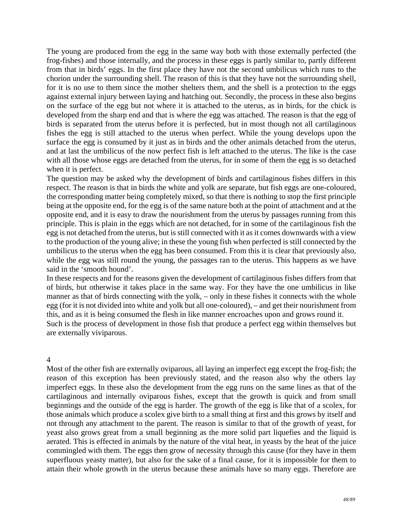The young are produced from the egg in the same way both with those externally perfected (the frog-fishes) and those internally, and the process in these eggs is partly similar to, partly different from that in birds' eggs. In the first place they have not the second umbilicus which runs to the chorion under the surrounding shell. The reason of this is that they have not the surrounding shell, for it is no use to them since the mother shelters them, and the shell is a protection to the eggs against external injury between laying and hatching out. Secondly, the process in these also begins on the surface of the egg but not where it is attached to the uterus, as in birds, for the chick is developed from the sharp end and that is where the egg was attached. The reason is that the egg of birds is separated from the uterus before it is perfected, but in most though not all cartilaginous fishes the egg is still attached to the uterus when perfect. While the young develops upon the surface the egg is consumed by it just as in birds and the other animals detached from the uterus, and at last the umbilicus of the now perfect fish is left attached to the uterus. The like is the case with all those whose eggs are detached from the uterus, for in some of them the egg is so detached when it is perfect.

The question may be asked why the development of birds and cartilaginous fishes differs in this respect. The reason is that in birds the white and yolk are separate, but fish eggs are one-coloured, the corresponding matter being completely mixed, so that there is nothing to stop the first principle being at the opposite end, for the egg is of the same nature both at the point of attachment and at the opposite end, and it is easy to draw the nourishment from the uterus by passages running from this principle. This is plain in the eggs which are not detached, for in some of the cartilaginous fish the egg is not detached from the uterus, but is still connected with it as it comes downwards with a view to the production of the young alive; in these the young fish when perfected is still connected by the umbilicus to the uterus when the egg has been consumed. From this it is clear that previously also, while the egg was still round the young, the passages ran to the uterus. This happens as we have said in the 'smooth hound'.

Such is the process of development in those fish that produce a perfect egg within themselves but In these respects and for the reasons given the development of cartilaginous fishes differs from that of birds, but otherwise it takes place in the same way. For they have the one umbilicus in like manner as that of birds connecting with the yolk, – only in these fishes it connects with the whole egg (for it is not divided into white and yolk but all one-coloured), – and get their nourishment from this, and as it is being consumed the flesh in like manner encroaches upon and grows round it. are externally viviparous.

4

Most of the other fish are externally oviparous, all laying an imperfect egg except the frog-fish; the beginnings and the outside of the egg is harder. The growth of the egg is like that of a scolex, for those animals which produce a scolex give birth to a small thing at first and this grows by itself and not through any attachment to the parent. The reason is similar to that of the growth of yeast, for yeast also grows great from a small beginning as the more solid part liquefies and the liquid is reason of this exception has been previously stated, and the reason also why the others lay imperfect eggs. In these also the development from the egg runs on the same lines as that of the cartilaginous and internally oviparous fishes, except that the growth is quick and from small aerated. This is effected in animals by the nature of the vital heat, in yeasts by the heat of the juice commingled with them. The eggs then grow of necessity through this cause (for they have in them superfluous yeasty matter), but also for the sake of a final cause, for it is impossible for them to attain their whole growth in the uterus because these animals have so many eggs. Therefore are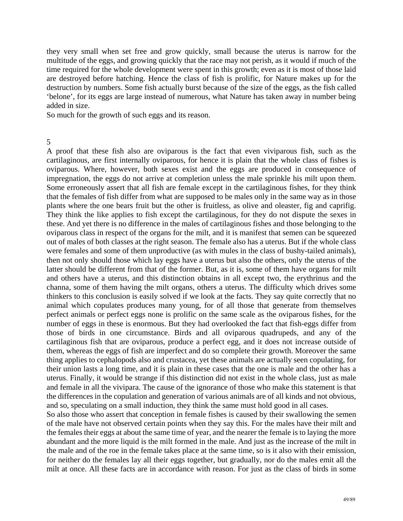they very small when set free and grow quickly, small because the uterus is narrow for the multitude of the eggs, and growing quickly that the race may not perish, as it would if much of the time required for the whole development were spent in this growth; even as it is most of those laid are destroyed before hatching. Hence the class of fish is prolific, for Nature makes up for the destruction by numbers. Some fish actually burst because of the size of the eggs, as the fish called 'belone', for its eggs are large instead of numerous, what Nature has taken away in number being added in size.

So much for the growth of such eggs and its reason.

5

A proof that these fish also are oviparous is the fact that even viviparous fish, such as the cartilaginous, are first internally oviparous, for hence it is plain that the whole class of fishes is oviparous. Where, however, both sexes exist and the eggs are produced in consequence of impregnation, the eggs do not arrive at completion unless the male sprinkle his milt upon them. Some erroneously assert that all fish are female except in the cartilaginous fishes, for they think that the females of fish differ from what are supposed to be males only in the same way as in those plants where the one bears fruit but the other is fruitless, as olive and oleaster, fig and caprifig. They think the like applies to fish except the cartilaginous, for they do not dispute the sexes in these. And yet there is no difference in the males of cartilaginous fishes and those belonging to the oviparous class in respect of the organs for the milt, and it is manifest that semen can be squeezed those of birds in one circumstance. Birds and all oviparous quadrupeds, and any of the and female in all the vivipara. The cause of the ignorance of those who make this statement is that and so, speculating on a small induction, they think the same must hold good in all cases. out of males of both classes at the right season. The female also has a uterus. But if the whole class were females and some of them unproductive (as with mules in the class of bushy-tailed animals), then not only should those which lay eggs have a uterus but also the others, only the uterus of the latter should be different from that of the former. But, as it is, some of them have organs for milt and others have a uterus, and this distinction obtains in all except two, the erythrinus and the channa, some of them having the milt organs, others a uterus. The difficulty which drives some thinkers to this conclusion is easily solved if we look at the facts. They say quite correctly that no animal which copulates produces many young, for of all those that generate from themselves perfect animals or perfect eggs none is prolific on the same scale as the oviparous fishes, for the number of eggs in these is enormous. But they had overlooked the fact that fish-eggs differ from cartilaginous fish that are oviparous, produce a perfect egg, and it does not increase outside of them, whereas the eggs of fish are imperfect and do so complete their growth. Moreover the same thing applies to cephalopods also and crustacea, yet these animals are actually seen copulating, for their union lasts a long time, and it is plain in these cases that the one is male and the other has a uterus. Finally, it would be strange if this distinction did not exist in the whole class, just as male the differences in the copulation and generation of various animals are of all kinds and not obvious,

So also those who assert that conception in female fishes is caused by their swallowing the semen of the male have not observed certain points when they say this. For the males have their milt and the females their eggs at about the same time of year, and the nearer the female is to laying the more abundant and the more liquid is the milt formed in the male. And just as the increase of the milt in the male and of the roe in the female takes place at the same time, so is it also with their emission, for neither do the females lay all their eggs together, but gradually, nor do the males emit all the milt at once. All these facts are in accordance with reason. For just as the class of birds in some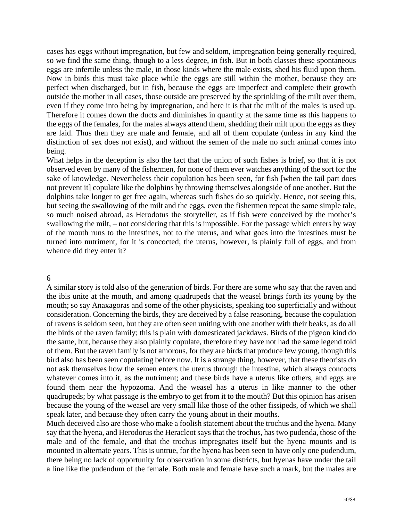cases has eggs without impregnation, but few and seldom, impregnation being generally required, so we find the same thing, though to a less degree, in fish. But in both classes these spontaneous eggs are infertile unless the male, in those kinds where the male exists, shed his fluid upon them. Now in birds this must take place while the eggs are still within the mother, because they are perfect when discharged, but in fish, because the eggs are imperfect and complete their growth outside the mother in all cases, those outside are preserved by the sprinkling of the milt over them, even if they come into being by impregnation, and here it is that the milt of the males is used up. Therefore it comes down the ducts and diminishes in quantity at the same time as this happens to the eggs of the females, for the males always attend them, shedding their milt upon the eggs as they are laid. Thus then they are male and female, and all of them copulate (unless in any kind the distinction of sex does not exist), and without the semen of the male no such animal comes into being.

What helps in the deception is also the fact that the union of such fishes is brief, so that it is not observed even by many of the fishermen, for none of them ever watches anything of the sort for the sake of knowledge. Nevertheless their copulation has been seen, for fish [when the tail part does not prevent it] copulate like the dolphins by throwing themselves alongside of one another. But the dolphins take longer to get free again, whereas such fishes do so quickly. Hence, not seeing this, but seeing the swallowing of the milt and the eggs, even the fishermen repeat the same simple tale, so much noised abroad, as Herodotus the storyteller, as if fish were conceived by the mother's swallowing the milt, – not considering that this is impossible. For the passage which enters by way of the mouth runs to the intestines, not to the uterus, and what goes into the intestines must be turned into nutriment, for it is concocted; the uterus, however, is plainly full of eggs, and from whence did they enter it?

## 6

A similar story is told also of the generation of birds. For there are some who say that the raven and the ibis unite at the mouth, and among quadrupeds that the weasel brings forth its young by the mouth; so say Anaxagoras and some of the other physicists, speaking too superficially and without consideration. Concerning the birds, they are deceived by a false reasoning, because the copulation of ravens is seldom seen, but they are often seen uniting with one another with their beaks, as do all the birds of the raven family; this is plain with domesticated jackdaws. Birds of the pigeon kind do the same, but, because they also plainly copulate, therefore they have not had the same legend told of them. But the raven family is not amorous, for they are birds that produce few young, though this bird also has been seen copulating before now. It is a strange thing, however, that these theorists do not ask themselves how the semen enters the uterus through the intestine, which always concocts whatever comes into it, as the nutriment; and these birds have a uterus like others, and eggs are found them near the hypozoma. And the weasel has a uterus in like manner to the other quadrupeds; by what passage is the embryo to get from it to the mouth? But this opinion has arisen because the young of the weasel are very small like those of the other fissipeds, of which we shall speak later, and because they often carry the young about in their mouths.

Much deceived also are those who make a foolish statement about the trochus and the hyena. Many say that the hyena, and Herodorus the Heracleot says that the trochus, has two pudenda, those of the male and of the female, and that the trochus impregnates itself but the hyena mounts and is mounted in alternate years. This is untrue, for the hyena has been seen to have only one pudendum, there being no lack of opportunity for observation in some districts, but hyenas have under the tail a line like the pudendum of the female. Both male and female have such a mark, but the males are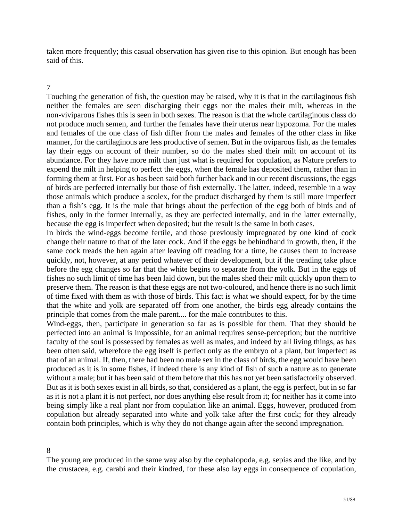taken more frequently; this casual observation has given rise to this opinion. But enough has been said of this.

# 7

Touching the generation of fish, the question may be raised, why it is that in the cartilaginous fish neither the females are seen discharging their eggs nor the males their milt, whereas in the non-viviparous fishes this is seen in both sexes. The reason is that the whole cartilaginous class do not produce much semen, and further the females have their uterus near hypozoma. For the males and females of the one class of fish differ from the males and females of the other class in like manner, for the cartilaginous are less productive of semen. But in the oviparous fish, as the females lay their eggs on account of their number, so do the males shed their milt on account of its abundance. For they have more milt than just what is required for copulation, as Nature prefers to expend the milt in helping to perfect the eggs, when the female has deposited them, rather than in forming them at first. For as has been said both further back and in our recent discussions, the eggs of birds are perfected internally but those of fish externally. The latter, indeed, resemble in a way those animals which produce a scolex, for the product discharged by them is still more imperfect than a fish's egg. It is the male that brings about the perfection of the egg both of birds and of fishes, only in the former internally, as they are perfected internally, and in the latter externally, because the egg is imperfect when deposited; but the result is the same in both cases.

In birds the wind-eggs become fertile, and those previously impregnated by one kind of cock change their nature to that of the later cock. And if the eggs be behindhand in growth, then, if the same cock treads the hen again after leaving off treading for a time, he causes them to increase quickly, not, however, at any period whatever of their development, but if the treading take place before the egg changes so far that the white begins to separate from the yolk. But in the eggs of fishes no such limit of time has been laid down, but the males shed their milt quickly upon them to preserve them. The reason is that these eggs are not two-coloured, and hence there is no such limit of time fixed with them as with those of birds. This fact is what we should expect, for by the time that the white and yolk are separated off from one another, the birds egg already contains the principle that comes from the male parent.... for the male contributes to this.

perfected into an animal is impossible, for an animal requires sense-perception; but the nutritive faculty of the soul is possessed by females as well as males, and indeed by all living things, as has been often said, wherefore the egg itself is perfect only as the embryo of a plant, but imperfect as that of an animal. If, then, there had been no male sex in the class of birds, the egg would have been Wind-eggs, then, participate in generation so far as is possible for them. That they should be produced as it is in some fishes, if indeed there is any kind of fish of such a nature as to generate without a male; but it has been said of them before that this has not yet been satisfactorily observed. But as it is both sexes exist in all birds, so that, considered as a plant, the egg is perfect, but in so far as it is not a plant it is not perfect, nor does anything else result from it; for neither has it come into being simply like a real plant nor from copulation like an animal. Eggs, however, produced from copulation but already separated into white and yolk take after the first cock; for they already contain both principles, which is why they do not change again after the second impregnation.

#### 8

The young are produced in the same way also by the cephalopoda, e.g. sepias and the like, and by the crustacea, e.g. carabi and their kindred, for these also lay eggs in consequence of copulation,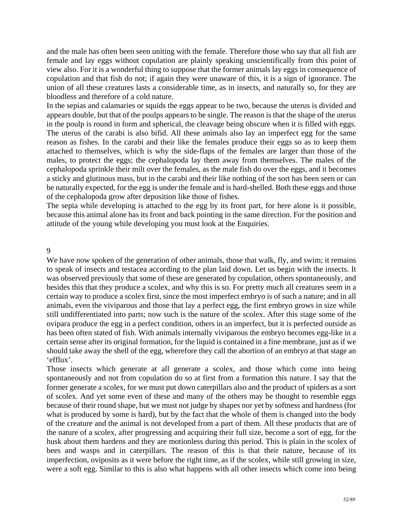and the male has often been seen uniting with the female. Therefore those who say that all fish are female and lay eggs without copulation are plainly speaking unscientifically from this point of view also. For it is a wonderful thing to suppose that the former animals lay eggs in consequence of copulation and that fish do not; if again they were unaware of this, it is a sign of ignorance. The union of all these creatures lasts a considerable time, as in insects, and naturally so, for they are bloodless and therefore of a cold nature.

attached to themselves, which is why the side-flaps of the females are larger than those of the males, to protect the eggs; the cephalopoda lay them away from themselves. The males of the ephalopoda sprinkle their milt over the females, as the male fish do over the eggs, and it becomes c a sticky and glutinous mass, but in the carabi and their like nothing of the sort has been seen or can In the sepias and calamaries or squids the eggs appear to be two, because the uterus is divided and appears double, but that of the poulps appears to be single. The reason is that the shape of the uterus in the poulp is round in form and spherical, the cleavage being obscure when it is filled with eggs. The uterus of the carabi is also bifid. All these animals also lay an imperfect egg for the same reason as fishes. In the carabi and their like the females produce their eggs so as to keep them be naturally expected, for the egg is under the female and is hard-shelled. Both these eggs and those of the cephalopoda grow after deposition like those of fishes.

The sepia while developing is attached to the egg by its front part, for here alone is it possible, because this animal alone has its front and back pointing in the same direction. For the position and attitude of the young while developing you must look at the Enquiries.

## 9

ovipara produce the egg in a perfect condition, others in an imperfect, but it is perfected outside as We have now spoken of the generation of other animals, those that walk, fly, and swim; it remains to speak of insects and testacea according to the plan laid down. Let us begin with the insects. It was observed previously that some of these are generated by copulation, others spontaneously, and besides this that they produce a scolex, and why this is so. For pretty much all creatures seem in a certain way to produce a scolex first, since the most imperfect embryo is of such a nature; and in all animals, even the viviparous and those that lay a perfect egg, the first embryo grows in size while still undifferentiated into parts; now such is the nature of the scolex. After this stage some of the has been often stated of fish. With animals internally viviparous the embryo becomes egg-like in a certain sense after its original formation, for the liquid is contained in a fine membrane, just as if we should take away the shell of the egg, wherefore they call the abortion of an embryo at that stage an 'efflux'.

what is produced by some is hard), but by the fact that the whole of them is changed into the body Those insects which generate at all generate a scolex, and those which come into being spontaneously and not from copulation do so at first from a formation this nature. I say that the former generate a scolex, for we must put down caterpillars also and the product of spiders as a sort of scolex. And yet some even of these and many of the others may be thought to resemble eggs because of their round shape, but we must not judge by shapes nor yet by softness and hardness (for of the creature and the animal is not developed from a part of them. All these products that are of the nature of a scolex, after progressing and acquiring their full size, become a sort of egg, for the husk about them hardens and they are motionless during this period. This is plain in the scolex of bees and wasps and in caterpillars. The reason of this is that their nature, because of its imperfection, oviposits as it were before the right time, as if the scolex, while still growing in size, were a soft egg. Similar to this is also what happens with all other insects which come into being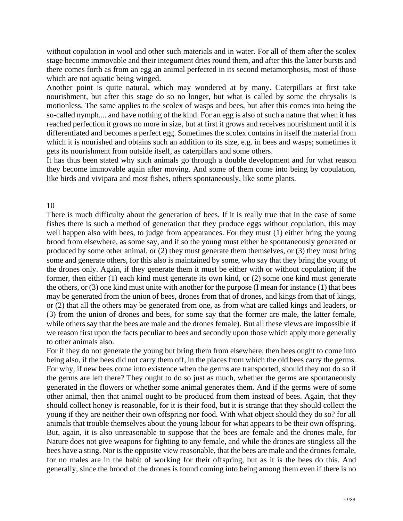without copulation in wool and other such materials and in water. For all of them after the scolex stage become immovable and their integument dries round them, and after this the latter bursts and there comes forth as from an egg an animal perfected in its second metamorphosis, most of those which are not aquatic being winged.

Another point is quite natural, which may wondered at by many. Caterpillars at first take nourishment, but after this stage do so no longer, but what is called by some the chrysalis is motionless. The same applies to the scolex of wasps and bees, but after this comes into being the so-called nymph.... and have nothing of the kind. For an egg is also of such a nature that when it has reached perfection it grows no more in size, but at first it grows and receives nourishment until it is differentiated and becomes a perfect egg. Sometimes the scolex contains in itself the material from which it is nourished and obtains such an addition to its size, e.g. in bees and wasps; sometimes it gets its nourishment from outside itself, as caterpillars and some others.

It has thus been stated why such animals go through a double development and for what reason they become immovable again after moving. And some of them come into being by copulation, like birds and vivipara and most fishes, others spontaneously, like some plants.

# 10

or (2) that all the others may be generated from one, as from what are called kings and leaders, or we reason first upon the facts peculiar to bees and secondly upon those which apply more generally to other animals also. There is much difficulty about the generation of bees. If it is really true that in the case of some fishes there is such a method of generation that they produce eggs without copulation, this may well happen also with bees, to judge from appearances. For they must (1) either bring the young brood from elsewhere, as some say, and if so the young must either be spontaneously generated or produced by some other animal, or (2) they must generate them themselves, or (3) they must bring some and generate others, for this also is maintained by some, who say that they bring the young of the drones only. Again, if they generate them it must be either with or without copulation; if the former, then either (1) each kind must generate its own kind, or (2) some one kind must generate the others, or (3) one kind must unite with another for the purpose (I mean for instance (1) that bees may be generated from the union of bees, drones from that of drones, and kings from that of kings, (3) from the union of drones and bees, for some say that the former are male, the latter female, while others say that the bees are male and the drones female). But all these views are impossible if

For if they do not generate the young but bring them from elsewhere, then bees ought to come into being also, if the bees did not carry them off, in the places from which the old bees carry the germs. generally, since the brood of the drones is found coming into being among them even if there is no For why, if new bees come into existence when the germs are transported, should they not do so if the germs are left there? They ought to do so just as much, whether the germs are spontaneously generated in the flowers or whether some animal generates them. And if the germs were of some other animal, then that animal ought to be produced from them instead of bees. Again, that they should collect honey is reasonable, for it is their food, but it is strange that they should collect the young if they are neither their own offspring nor food. With what object should they do so? for all animals that trouble themselves about the young labour for what appears to be their own offspring. But, again, it is also unreasonable to suppose that the bees are female and the drones male, for Nature does not give weapons for fighting to any female, and while the drones are stingless all the bees have a sting. Nor is the opposite view reasonable, that the bees are male and the drones female, for no males are in the habit of working for their offspring, but as it is the bees do this. And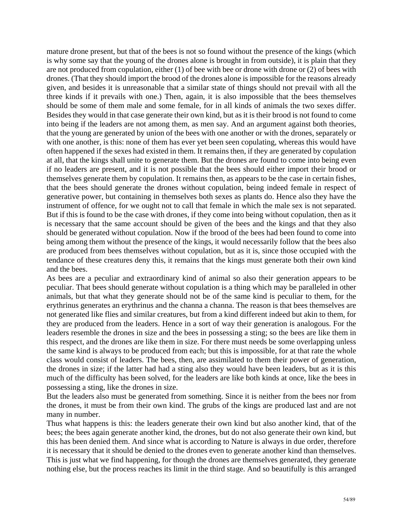mature drone present, but that of the bees is not so found without the presence of the kings (which is why some say that the young of the drones alone is brought in from outside), it is plain that they are not produced from copulation, either (1) of bee with bee or drone with drone or (2) of bees with drones. (That they should import the brood of the drones alone is impossible for the reasons already given, and besides it is unreasonable that a similar state of things should not prevail with all the three kinds if it prevails with one.) Then, again, it is also impossible that the bees themselves should be some of them male and some female, for in all kinds of animals the two sexes differ. Besides they would in that case generate their own kind, but as it is their brood is not found to come into being if the leaders are not among them, as men say. And an argument against both theories, that the young are generated by union of the bees with one another or with the drones, separately or with one another, is this: none of them has ever yet been seen copulating, whereas this would have often happened if the sexes had existed in them. It remains then, if they are generated by copulation at all, that the kings shall unite to generate them. But the drones are found to come into being even if no leaders are present, and it is not possible that the bees should either import their brood or themselves generate them by copulation. It remains then, as appears to be the case in certain fishes, that the bees should generate the drones without copulation, being indeed female in respect of tendance of these creatures deny this, it remains that the kings must generate both their own kind generative power, but containing in themselves both sexes as plants do. Hence also they have the instrument of offence, for we ought not to call that female in which the male sex is not separated. But if this is found to be the case with drones, if they come into being without copulation, then as it is necessary that the same account should be given of the bees and the kings and that they also should be generated without copulation. Now if the brood of the bees had been found to come into being among them without the presence of the kings, it would necessarily follow that the bees also are produced from bees themselves without copulation, but as it is, since those occupied with the and the bees.

peculiar. That bees should generate without copulation is a thing which may be paralleled in other nimals, but that what they generate should not be of the same kind is peculiar to them, for the a erythrinus generates an erythrinus and the channa a channa. The reason is that bees themselves are not generated like flies and similar creatures, but from a kind different indeed but akin to them, for As bees are a peculiar and extraordinary kind of animal so also their generation appears to be they are produced from the leaders. Hence in a sort of way their generation is analogous. For the leaders resemble the drones in size and the bees in possessing a sting; so the bees are like them in this respect, and the drones are like them in size. For there must needs be some overlapping unless the same kind is always to be produced from each; but this is impossible, for at that rate the whole class would consist of leaders. The bees, then, are assimilated to them their power of generation, the drones in size; if the latter had had a sting also they would have been leaders, but as it is this much of the difficulty has been solved, for the leaders are like both kinds at once, like the bees in possessing a sting, like the drones in size.

But the leaders also must be generated from something. Since it is neither from the bees nor from the drones, it must be from their own kind. The grubs of the kings are produced last and are not many in number.

it is necessary that it should be denied to the drones even to generate another kind than themselves. Thus what happens is this: the leaders generate their own kind but also another kind, that of the bees; the bees again generate another kind, the drones, but do not also generate their own kind, but this has been denied them. And since what is according to Nature is always in due order, therefore This is just what we find happening, for though the drones are themselves generated, they generate nothing else, but the process reaches its limit in the third stage. And so beautifully is this arranged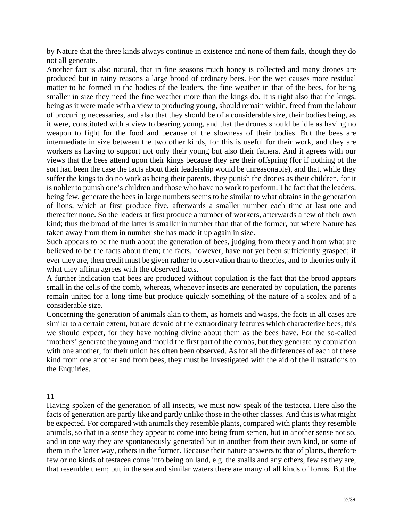by Nature that the three kinds always continue in existence and none of them fails, though they do not all generate.

Another fact is also natural, that in fine seasons much honey is collected and many drones are produced but in rainy reasons a large brood of ordinary bees. For the wet causes more residual matter to be formed in the bodies of the leaders, the fine weather in that of the bees, for being smaller in size they need the fine weather more than the kings do. It is right also that the kings, being as it were made with a view to producing young, should remain within, freed from the labour of procuring necessaries, and also that they should be of a considerable size, their bodies being, as it were, constituted with a view to bearing young, and that the drones should be idle as having no weapon to fight for the food and because of the slowness of their bodies. But the bees are intermediate in size between the two other kinds, for this is useful for their work, and they are workers as having to support not only their young but also their fathers. And it agrees with our views that the bees attend upon their kings because they are their offspring (for if nothing of the sort had been the case the facts about their leadership would be unreasonable), and that, while they suffer the kings to do no work as being their parents, they punish the drones as their children, for it is nobler to punish one's children and those who have no work to perform. The fact that the leaders, being few, generate the bees in large numbers seems to be similar to what obtains in the generation of lions, which at first produce five, afterwards a smaller number each time at last one and thereafter none. So the leaders at first produce a number of workers, afterwards a few of their own kind; thus the brood of the latter is smaller in number than that of the former, but where Nature has taken away from them in number she has made it up again in size.

Such appears to be the truth about the generation of bees, judging from theory and from what are believed to be the facts about them; the facts, however, have not yet been sufficiently grasped; if ever they are, then credit must be given rather to observation than to theories, and to theories only if what they affirm agrees with the observed facts.

A further indication that bees are produced without copulation is the fact that the brood appears small in the cells of the comb, whereas, whenever insects are generated by copulation, the parents remain united for a long time but produce quickly something of the nature of a scolex and of a considerable size.

Concerning the generation of animals akin to them, as hornets and wasps, the facts in all cases are similar to a certain extent, but are devoid of the extraordinary features which characterize bees; this we should expect, for they have nothing divine about them as the bees have. For the so-called 'mothers' generate the young and mould the first part of the combs, but they generate by copulation with one another, for their union has often been observed. As for all the differences of each of these kind from one another and from bees, they must be investigated with the aid of the illustrations to the Enquiries.

# 11

Having spoken of the generation of all insects, we must now speak of the testacea. Here also the facts of generation are partly like and partly unlike those in the other classes. And this is what might be expected. For compared with animals they resemble plants, compared with plants they resemble animals, so that in a sense they appear to come into being from semen, but in another sense not so, and in one way they are spontaneously generated but in another from their own kind, or some of them in the latter way, others in the former. Because their nature answers to that of plants, therefore few or no kinds of testacea come into being on land, e.g. the snails and any others, few as they are, that resemble them; but in the sea and similar waters there are many of all kinds of forms. But the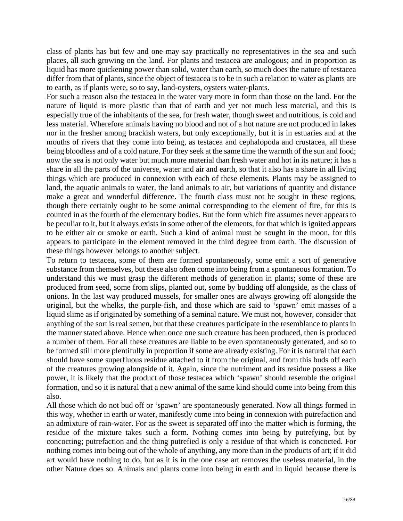class of plants has but few and one may say practically no representatives in the sea and such places, all such growing on the land. For plants and testacea are analogous; and in proportion as liquid has more quickening power than solid, water than earth, so much does the nature of testacea differ from that of plants, since the object of testacea is to be in such a relation to water as plants are to earth, as if plants were, so to say, land-oysters, oysters water-plants.

nature of liquid is more plastic than that of earth and yet not much less material, and this is things which are produced in connexion with each of these elements. Plants may be assigned to For such a reason also the testacea in the water vary more in form than those on the land. For the especially true of the inhabitants of the sea, for fresh water, though sweet and nutritious, is cold and less material. Wherefore animals having no blood and not of a hot nature are not produced in lakes nor in the fresher among brackish waters, but only exceptionally, but it is in estuaries and at the mouths of rivers that they come into being, as testacea and cephalopoda and crustacea, all these being bloodless and of a cold nature. For they seek at the same time the warmth of the sun and food; now the sea is not only water but much more material than fresh water and hot in its nature; it has a share in all the parts of the universe, water and air and earth, so that it also has a share in all living land, the aquatic animals to water, the land animals to air, but variations of quantity and distance make a great and wonderful difference. The fourth class must not be sought in these regions, though there certainly ought to be some animal corresponding to the element of fire, for this is counted in as the fourth of the elementary bodies. But the form which fire assumes never appears to be peculiar to it, but it always exists in some other of the elements, for that which is ignited appears to be either air or smoke or earth. Such a kind of animal must be sought in the moon, for this appears to participate in the element removed in the third degree from earth. The discussion of these things however belongs to another subject.

should have some superfluous residue attached to it from the original, and from this buds off each To return to testacea, some of them are formed spontaneously, some emit a sort of generative substance from themselves, but these also often come into being from a spontaneous formation. To understand this we must grasp the different methods of generation in plants; some of these are produced from seed, some from slips, planted out, some by budding off alongside, as the class of onions. In the last way produced mussels, for smaller ones are always growing off alongside the original, but the whelks, the purple-fish, and those which are said to 'spawn' emit masses of a liquid slime as if originated by something of a seminal nature. We must not, however, consider that anything of the sort is real semen, but that these creatures participate in the resemblance to plants in the manner stated above. Hence when once one such creature has been produced, then is produced a number of them. For all these creatures are liable to be even spontaneously generated, and so to be formed still more plentifully in proportion if some are already existing. For it is natural that each of the creatures growing alongside of it. Again, since the nutriment and its residue possess a like power, it is likely that the product of those testacea which 'spawn' should resemble the original formation, and so it is natural that a new animal of the same kind should come into being from this also.

residue of the mixture takes such a form. Nothing comes into being by putrefying, but by All those which do not bud off or 'spawn' are spontaneously generated. Now all things formed in this way, whether in earth or water, manifestly come into being in connexion with putrefaction and an admixture of rain-water. For as the sweet is separated off into the matter which is forming, the concocting; putrefaction and the thing putrefied is only a residue of that which is concocted. For nothing comes into being out of the whole of anything, any more than in the products of art; if it did art would have nothing to do, but as it is in the one case art removes the useless material, in the other Nature does so. Animals and plants come into being in earth and in liquid because there is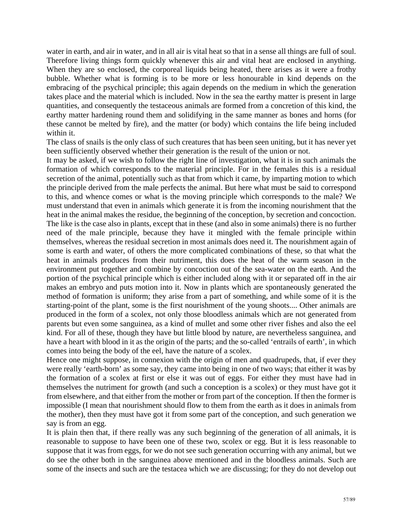water in earth, and air in water, and in all air is vital heat so that in a sense all things are full of soul. Therefore living things form quickly whenever this air and vital heat are enclosed in anything. When they are so enclosed, the corporeal liquids being heated, there arises as it were a frothy bubble. Whether what is forming is to be more or less honourable in kind depends on the embracing of the psychical principle; this again depends on the medium in which the generation takes place and the material which is included. Now in the sea the earthy matter is present in large quantities, and consequently the testaceous animals are formed from a concretion of this kind, the earthy matter hardening round them and solidifying in the same manner as bones and horns (for these cannot be melted by fire), and the matter (or body) which contains the life being included within it.

The class of snails is the only class of such creatures that has been seen uniting, but it has never yet been sufficiently observed whether their generation is the result of the union or not.

The like is the case also in plants, except that in these (and also in some animals) there is no further It may be asked, if we wish to follow the right line of investigation, what it is in such animals the formation of which corresponds to the material principle. For in the females this is a residual secretion of the animal, potentially such as that from which it came, by imparting motion to which the principle derived from the male perfects the animal. But here what must be said to correspond to this, and whence comes or what is the moving principle which corresponds to the male? We must understand that even in animals which generate it is from the incoming nourishment that the heat in the animal makes the residue, the beginning of the conception, by secretion and concoction. need of the male principle, because they have it mingled with the female principle within themselves, whereas the residual secretion in most animals does need it. The nourishment again of some is earth and water, of others the more complicated combinations of these, so that what the heat in animals produces from their nutriment, this does the heat of the warm season in the environment put together and combine by concoction out of the sea-water on the earth. And the portion of the psychical principle which is either included along with it or separated off in the air makes an embryo and puts motion into it. Now in plants which are spontaneously generated the method of formation is uniform; they arise from a part of something, and while some of it is the starting-point of the plant, some is the first nourishment of the young shoots.... Other animals are produced in the form of a scolex, not only those bloodless animals which are not generated from parents but even some sanguinea, as a kind of mullet and some other river fishes and also the eel kind. For all of these, though they have but little blood by nature, are nevertheless sanguinea, and have a heart with blood in it as the origin of the parts; and the so-called 'entrails of earth', in which comes into being the body of the eel, have the nature of a scolex.

themselves the nutriment for growth (and such a conception is a scolex) or they must have got it Hence one might suppose, in connexion with the origin of men and quadrupeds, that, if ever they were really 'earth-born' as some say, they came into being in one of two ways; that either it was by the formation of a scolex at first or else it was out of eggs. For either they must have had in from elsewhere, and that either from the mother or from part of the conception. If then the former is impossible (I mean that nourishment should flow to them from the earth as it does in animals from the mother), then they must have got it from some part of the conception, and such generation we say is from an egg.

It is plain then that, if there really was any such beginning of the generation of all animals, it is reasonable to suppose to have been one of these two, scolex or egg. But it is less reasonable to suppose that it was from eggs, for we do not see such generation occurring with any animal, but we do see the other both in the sanguinea above mentioned and in the bloodless animals. Such are some of the insects and such are the testacea which we are discussing; for they do not develop out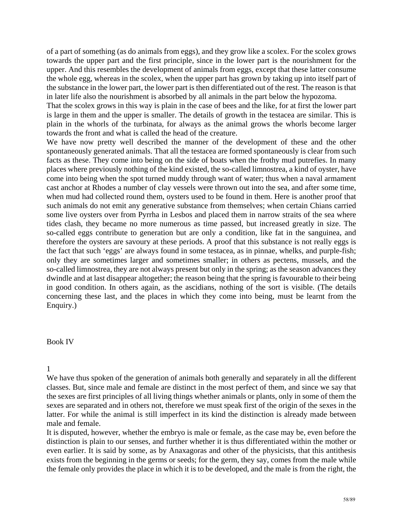of a part of something (as do animals from eggs), and they grow like a scolex. For the scolex grows towards the upper part and the first principle, since in the lower part is the nourishment for the upper. And this resembles the development of animals from eggs, except that these latter consume the whole egg, whereas in the scolex, when the upper part has grown by taking up into itself part of the substance in the lower part, the lower part is then differentiated out of the rest. The reason is that in later life also the nourishment is absorbed by all animals in the part below the hypozoma.

That the scolex grows in this way is plain in the case of bees and the like, for at first the lower part is large in them and the upper is smaller. The details of growth in the testacea are similar. This is plain in the whorls of the turbinata, for always as the animal grows the whorls become larger towards the front and what is called the head of the creature.

so-called limnostrea, they are not always present but only in the spring; as the season advances they in good condition. In others again, as the ascidians, nothing of the sort is visible. (The details We have now pretty well described the manner of the development of these and the other spontaneously generated animals. That all the testacea are formed spontaneously is clear from such facts as these. They come into being on the side of boats when the frothy mud putrefies. In many places where previously nothing of the kind existed, the so-called limnostrea, a kind of oyster, have come into being when the spot turned muddy through want of water; thus when a naval armament cast anchor at Rhodes a number of clay vessels were thrown out into the sea, and after some time, when mud had collected round them, oysters used to be found in them. Here is another proof that such animals do not emit any generative substance from themselves; when certain Chians carried some live oysters over from Pyrrha in Lesbos and placed them in narrow straits of the sea where tides clash, they became no more numerous as time passed, but increased greatly in size. The so-called eggs contribute to generation but are only a condition, like fat in the sanguinea, and therefore the oysters are savoury at these periods. A proof that this substance is not really eggs is the fact that such 'eggs' are always found in some testacea, as in pinnae, whelks, and purple-fish; only they are sometimes larger and sometimes smaller; in others as pectens, mussels, and the dwindle and at last disappear altogether; the reason being that the spring is favourable to their being concerning these last, and the places in which they come into being, must be learnt from the Enquiry.)

# Book IV

1

We have thus spoken of the generation of animals both generally and separately in all the different classes. But, since male and female are distinct in the most perfect of them, and since we say that the sexes are first principles of all living things whether animals or plants, only in some of them the sexes are separated and in others not, therefore we must speak first of the origin of the sexes in the latter. For while the animal is still imperfect in its kind the distinction is already made between male and female.

It is disputed, however, whether the embryo is male or female, as the case may be, even before the distinction is plain to our senses, and further whether it is thus differentiated within the mother or even earlier. It is said by some, as by Anaxagoras and other of the physicists, that this antithesis exists from the beginning in the germs or seeds; for the germ, they say, comes from the male while the female only provides the place in which it is to be developed, and the male is from the right, the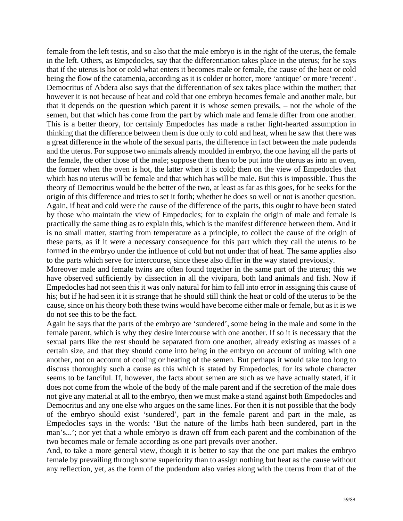female from the left testis, and so also that the male embryo is in the right of the uterus, the female in the left. Others, as Empedocles, say that the differentiation takes place in the uterus; for he says that if the uterus is hot or cold what enters it becomes male or female, the cause of the heat or cold a great difference in the whole of the sexual parts, the difference in fact between the male pudenda formed in the embryo under the influence of cold but not under that of heat. The same applies also being the flow of the catamenia, according as it is colder or hotter, more 'antique' or more 'recent'. Democritus of Abdera also says that the differentiation of sex takes place within the mother; that however it is not because of heat and cold that one embryo becomes female and another male, but that it depends on the question which parent it is whose semen prevails, – not the whole of the semen, but that which has come from the part by which male and female differ from one another. This is a better theory, for certainly Empedocles has made a rather light-hearted assumption in thinking that the difference between them is due only to cold and heat, when he saw that there was and the uterus. For suppose two animals already moulded in embryo, the one having all the parts of the female, the other those of the male; suppose them then to be put into the uterus as into an oven, the former when the oven is hot, the latter when it is cold; then on the view of Empedocles that which has no uterus will be female and that which has will be male. But this is impossible. Thus the theory of Democritus would be the better of the two, at least as far as this goes, for he seeks for the origin of this difference and tries to set it forth; whether he does so well or not is another question. Again, if heat and cold were the cause of the difference of the parts, this ought to have been stated by those who maintain the view of Empedocles; for to explain the origin of male and female is practically the same thing as to explain this, which is the manifest difference between them. And it is no small matter, starting from temperature as a principle, to collect the cause of the origin of these parts, as if it were a necessary consequence for this part which they call the uterus to be to the parts which serve for intercourse, since these also differ in the way stated previously.

Empedocles had not seen this it was only natural for him to fall into error in assigning this cause of Moreover male and female twins are often found together in the same part of the uterus; this we have observed sufficiently by dissection in all the vivipara, both land animals and fish. Now if his; but if he had seen it it is strange that he should still think the heat or cold of the uterus to be the cause, since on his theory both these twins would have become either male or female, but as it is we do not see this to be the fact.

Again he says that the parts of the embryo are 'sundered', some being in the male and some in the female parent, which is why they desire intercourse with one another. If so it is necessary that the sexual parts like the rest should be separated from one another, already existing as masses of a certain size, and that they should come into being in the embryo on account of uniting with one another, not on account of cooling or heating of the semen. But perhaps it would take too long to discuss thoroughly such a cause as this which is stated by Empedocles, for its whole character seems to be fanciful. If, however, the facts about semen are such as we have actually stated, if it does not come from the whole of the body of the male parent and if the secretion of the male does not give any material at all to the embryo, then we must make a stand against both Empedocles and Democritus and any one else who argues on the same lines. For then it is not possible that the body of the embryo should exist 'sundered', part in the female parent and part in the male, as Empedocles says in the words: 'But the nature of the limbs hath been sundered, part in the man's...'; nor yet that a whole embryo is drawn off from each parent and the combination of the two becomes male or female according as one part prevails over another.

female by prevailing through some superiority than to assign nothing but heat as the cause without ny reflection, yet, as the form of the pudendum also varies along with the uterus from that of the a And, to take a more general view, though it is better to say that the one part makes the embryo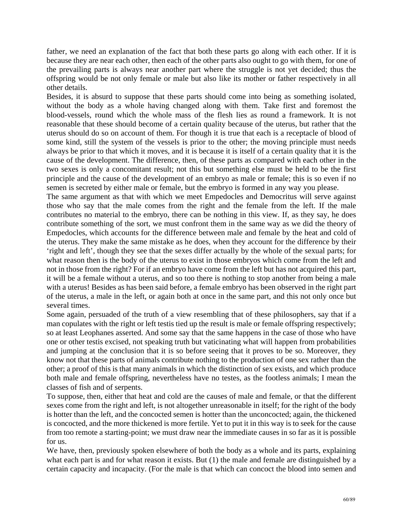father, we need an explanation of the fact that both these parts go along with each other. If it is because they are near each other, then each of the other parts also ought to go with them, for one of the prevailing parts is always near another part where the struggle is not yet decided; thus the ffspring would be not only female or male but also like its mother or father respectively in all o other details.

Besides, it is absurd to suppose that these parts should come into being as something isolated, always be prior to that which it moves, and it is because it is itself of a certain quality that it is the without the body as a whole having changed along with them. Take first and foremost the blood-vessels, round which the whole mass of the flesh lies as round a framework. It is not reasonable that these should become of a certain quality because of the uterus, but rather that the uterus should do so on account of them. For though it is true that each is a receptacle of blood of some kind, still the system of the vessels is prior to the other; the moving principle must needs cause of the development. The difference, then, of these parts as compared with each other in the two sexes is only a concomitant result; not this but something else must be held to be the first principle and the cause of the development of an embryo as male or female; this is so even if no semen is secreted by either male or female, but the embryo is formed in any way you please.

The same argument as that with which we meet Empedocles and Democritus will serve against those who say that the male comes from the right and the female from the left. If the male contributes no material to the embryo, there can be nothing in this view. If, as they say, he does contribute something of the sort, we must confront them in the same way as we did the theory of Empedocles, which accounts for the difference between male and female by the heat and cold of the uterus. They make the same mistake as he does, when they account for the difference by their 'right and left', though they see that the sexes differ actually by the whole of the sexual parts; for what reason then is the body of the uterus to exist in those embryos which come from the left and not in those from the right? For if an embryo have come from the left but has not acquired this part, it will be a female without a uterus, and so too there is nothing to stop another from being a male with a uterus! Besides as has been said before, a female embryo has been observed in the right part of the uterus, a male in the left, or again both at once in the same part, and this not only once but several times.

know not that these parts of animals contribute nothing to the production of one sex rather than the Some again, persuaded of the truth of a view resembling that of these philosophers, say that if a man copulates with the right or left testis tied up the result is male or female offspring respectively; so at least Leophanes asserted. And some say that the same happens in the case of those who have one or other testis excised, not speaking truth but vaticinating what will happen from probabilities and jumping at the conclusion that it is so before seeing that it proves to be so. Moreover, they other; a proof of this is that many animals in which the distinction of sex exists, and which produce both male and female offspring, nevertheless have no testes, as the footless animals; I mean the classes of fish and of serpents.

from too remote a starting-point; we must draw near the immediate causes in so far as it is possible To suppose, then, either that heat and cold are the causes of male and female, or that the different sexes come from the right and left, is not altogether unreasonable in itself; for the right of the body is hotter than the left, and the concocted semen is hotter than the unconcocted; again, the thickened is concocted, and the more thickened is more fertile. Yet to put it in this way is to seek for the cause for us.

We have, then, previously spoken elsewhere of both the body as a whole and its parts, explaining what each part is and for what reason it exists. But (1) the male and female are distinguished by a certain capacity and incapacity. (For the male is that which can concoct the blood into semen and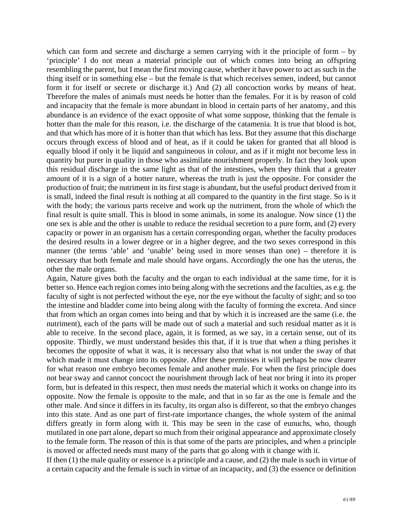which can form and secrete and discharge a semen carrying with it the principle of form – by 'principle' I do not mean a material principle out of which comes into being an offspring production of fruit; the nutriment in its first stage is abundant, but the useful product derived from it necessary that both female and male should have organs. Accordingly the one has the uterus, the resembling the parent, but I mean the first moving cause, whether it have power to act as such in the thing itself or in something else – but the female is that which receives semen, indeed, but cannot form it for itself or secrete or discharge it.) And (2) all concoction works by means of heat. Therefore the males of animals must needs be hotter than the females. For it is by reason of cold and incapacity that the female is more abundant in blood in certain parts of her anatomy, and this abundance is an evidence of the exact opposite of what some suppose, thinking that the female is hotter than the male for this reason, i.e. the discharge of the catamenia. It is true that blood is hot, and that which has more of it is hotter than that which has less. But they assume that this discharge occurs through excess of blood and of heat, as if it could be taken for granted that all blood is equally blood if only it be liquid and sanguineous in colour, and as if it might not become less in quantity but purer in quality in those who assimilate nourishment properly. In fact they look upon this residual discharge in the same light as that of the intestines, when they think that a greater amount of it is a sign of a hotter nature, whereas the truth is just the opposite. For consider the is small, indeed the final result is nothing at all compared to the quantity in the first stage. So is it with the body; the various parts receive and work up the nutriment, from the whole of which the final result is quite small. This is blood in some animals, in some its analogue. Now since (1) the one sex is able and the other is unable to reduce the residual secretion to a pure form, and (2) every capacity or power in an organism has a certain corresponding organ, whether the faculty produces the desired results in a lower degree or in a higher degree, and the two sexes correspond in this manner (the terms 'able' and 'unable' being used in more senses than one) – therefore it is other the male organs.

which made it must change into its opposite. After these premisses it will perhaps be now clearer Again, Nature gives both the faculty and the organ to each individual at the same time, for it is better so. Hence each region comes into being along with the secretions and the faculties, as e.g. the faculty of sight is not perfected without the eye, nor the eye without the faculty of sight; and so too the intestine and bladder come into being along with the faculty of forming the excreta. And since that from which an organ comes into being and that by which it is increased are the same (i.e. the nutriment), each of the parts will be made out of such a material and such residual matter as it is able to receive. In the second place, again, it is formed, as we say, in a certain sense, out of its opposite. Thirdly, we must understand besides this that, if it is true that when a thing perishes it becomes the opposite of what it was, it is necessary also that what is not under the sway of that for what reason one embryo becomes female and another male. For when the first principle does not bear sway and cannot concoct the nourishment through lack of heat nor bring it into its proper form, but is defeated in this respect, then must needs the material which it works on change into its opposite. Now the female is opposite to the male, and that in so far as the one is female and the other male. And since it differs in its faculty, its organ also is different, so that the embryo changes into this state. And as one part of first-rate importance changes, the whole system of the animal differs greatly in form along with it. This may be seen in the case of eunuchs, who, though mutilated in one part alone, depart so much from their original appearance and approximate closely to the female form. The reason of this is that some of the parts are principles, and when a principle is moved or affected needs must many of the parts that go along with it change with it.

a certain capacity and the female is such in virtue of an incapacity, and (3) the essence or definition If then (1) the male quality or essence is a principle and a cause, and (2) the male is such in virtue of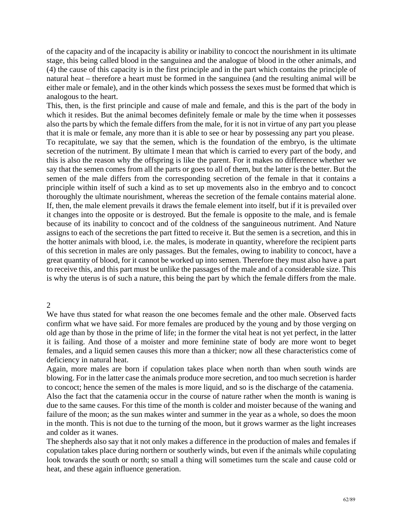of the capacity and of the incapacity is ability or inability to concoct the nourishment in its ultimate stage, this being called blood in the sanguinea and the analogue of blood in the other animals, and (4) the cause of this capacity is in the first principle and in the part which contains the principle of natural heat – therefore a heart must be formed in the sanguinea (and the resulting animal will be either male or female), and in the other kinds which possess the sexes must be formed that which is analogous to the heart.

To recapitulate, we say that the semen, which is the foundation of the embryo, is the ultimate thoroughly the ultimate nourishment, whereas the secretion of the female contains material alone. This, then, is the first principle and cause of male and female, and this is the part of the body in which it resides. But the animal becomes definitely female or male by the time when it possesses also the parts by which the female differs from the male, for it is not in virtue of any part you please that it is male or female, any more than it is able to see or hear by possessing any part you please. secretion of the nutriment. By ultimate I mean that which is carried to every part of the body, and this is also the reason why the offspring is like the parent. For it makes no difference whether we say that the semen comes from all the parts or goes to all of them, but the latter is the better. But the semen of the male differs from the corresponding secretion of the female in that it contains a principle within itself of such a kind as to set up movements also in the embryo and to concoct If, then, the male element prevails it draws the female element into itself, but if it is prevailed over it changes into the opposite or is destroyed. But the female is opposite to the male, and is female because of its inability to concoct and of the coldness of the sanguineous nutriment. And Nature assigns to each of the secretions the part fitted to receive it. But the semen is a secretion, and this in the hotter animals with blood, i.e. the males, is moderate in quantity, wherefore the recipient parts of this secretion in males are only passages. But the females, owing to inability to concoct, have a great quantity of blood, for it cannot be worked up into semen. Therefore they must also have a part to receive this, and this part must be unlike the passages of the male and of a considerable size. This is why the uterus is of such a nature, this being the part by which the female differs from the male.

# $\mathfrak{D}$

We have thus stated for what reason the one becomes female and the other male. Observed facts confirm what we have said. For more females are produced by the young and by those verging on old age than by those in the prime of life; in the former the vital heat is not yet perfect, in the latter it is failing. And those of a moister and more feminine state of body are more wont to beget females, and a liquid semen causes this more than a thicker; now all these characteristics come of deficiency in natural heat.

Again, more males are born if copulation takes place when north than when south winds are blowing. For in the latter case the animals produce more secretion, and too much secretion is harder to concoct; hence the semen of the males is more liquid, and so is the discharge of the catamenia.

Also the fact that the catamenia occur in the course of nature rather when the month is waning is due to the same causes. For this time of the month is colder and moister because of the waning and failure of the moon; as the sun makes winter and summer in the year as a whole, so does the moon in the month. This is not due to the turning of the moon, but it grows warmer as the light increases and colder as it wanes.

copulation takes place during northern or southerly winds, but even if the animals while copulating The shepherds also say that it not only makes a difference in the production of males and females if look towards the south or north; so small a thing will sometimes turn the scale and cause cold or heat, and these again influence generation.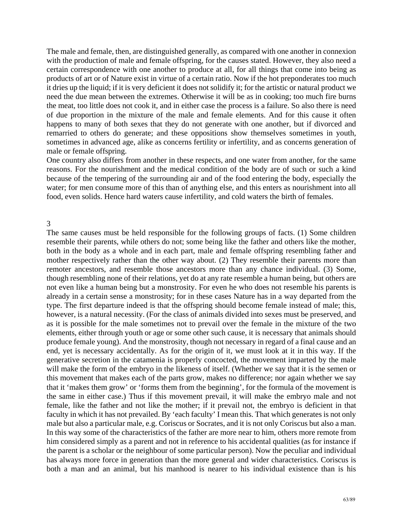The male and female, then, are distinguished generally, as compared with one another in connexion with the production of male and female offspring, for the causes stated. However, they also need a certain correspondence with one another to produce at all, for all things that come into being as products of art or of Nature exist in virtue of a certain ratio. Now if the hot preponderates too much it dries up the liquid; if it is very deficient it does not solidify it; for the artistic or natural product we need the due mean between the extremes. Otherwise it will be as in cooking; too much fire burns the meat, too little does not cook it, and in either case the process is a failure. So also there is need of due proportion in the mixture of the male and female elements. And for this cause it often happens to many of both sexes that they do not generate with one another, but if divorced and remarried to others do generate; and these oppositions show themselves sometimes in youth, sometimes in advanced age, alike as concerns fertility or infertility, and as concerns generation of male or female offspring.

One country also differs from another in these respects, and one water from another, for the same reasons. For the nourishment and the medical condition of the body are of such or such a kind because of the tempering of the surrounding air and of the food entering the body, especially the water; for men consume more of this than of anything else, and this enters as nourishment into all food, even solids. Hence hard waters cause infertility, and cold waters the birth of females.

## 3

The same causes must be held responsible for the following groups of facts. (1) Some children resemble their parents, while others do not; some being like the father and others like the mother, both in the body as a whole and in each part, male and female offspring resembling father and mother respectively rather than the other way about. (2) They resemble their parents more than remoter ancestors, and resemble those ancestors more than any chance individual. (3) Some, though resembling none of their relations, yet do at any rate resemble a human being, but others are not even like a human being but a monstrosity. For even he who does not resemble his parents is elements, either through youth or age or some other such cause, it is necessary that animals should already in a certain sense a monstrosity; for in these cases Nature has in a way departed from the type. The first departure indeed is that the offspring should become female instead of male; this, however, is a natural necessity. (For the class of animals divided into sexes must be preserved, and as it is possible for the male sometimes not to prevail over the female in the mixture of the two produce female young). And the monstrosity, though not necessary in regard of a final cause and an end, yet is necessary accidentally. As for the origin of it, we must look at it in this way. If the generative secretion in the catamenia is properly concocted, the movement imparted by the male will make the form of the embryo in the likeness of itself. (Whether we say that it is the semen or this movement that makes each of the parts grow, makes no difference; nor again whether we say that it 'makes them grow' or 'forms them from the beginning', for the formula of the movement is the same in either case.) Thus if this movement prevail, it will make the embryo male and not female, like the father and not like the mother; if it prevail not, the embryo is deficient in that faculty in which it has not prevailed. By 'each faculty' I mean this. That which generates is not only male but also a particular male, e.g. Coriscus or Socrates, and it is not only Coriscus but also a man. In this way some of the characteristics of the father are more near to him, others more remote from him considered simply as a parent and not in reference to his accidental qualities (as for instance if the parent is a scholar or the neighbour of some particular person). Now the peculiar and individual has always more force in generation than the more general and wider characteristics. Coriscus is both a man and an animal, but his manhood is nearer to his individual existence than is his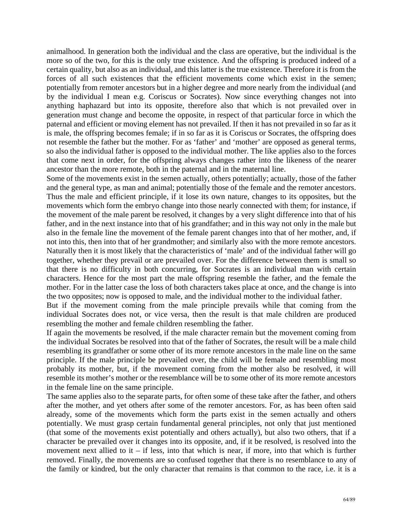animalhood. In generation both the individual and the class are operative, but the individual is the more so of the two, for this is the only true existence. And the offspring is produced indeed of a ertain quality, but also as an individual, and this latter is the true existence. Therefore it is from the c forces of all such existences that the efficient movements come which exist in the semen; potentially from remoter ancestors but in a higher degree and more nearly from the individual (and not resemble the father but the mother. For as 'father' and 'mother' are opposed as general terms, by the individual I mean e.g. Coriscus or Socrates). Now since everything changes not into anything haphazard but into its opposite, therefore also that which is not prevailed over in generation must change and become the opposite, in respect of that particular force in which the paternal and efficient or moving element has not prevailed. If then it has not prevailed in so far as it is male, the offspring becomes female; if in so far as it is Coriscus or Socrates, the offspring does so also the individual father is opposed to the individual mother. The like applies also to the forces that come next in order, for the offspring always changes rather into the likeness of the nearer ancestor than the more remote, both in the paternal and in the maternal line.

Some of the movements exist in the semen actually, others potentially; actually, those of the father father, and in the next instance into that of his grandfather; and in this way not only in the male but together, whether they prevail or are prevailed over. For the difference between them is small so and the general type, as man and animal; potentially those of the female and the remoter ancestors. Thus the male and efficient principle, if it lose its own nature, changes to its opposites, but the movements which form the embryo change into those nearly connected with them; for instance, if the movement of the male parent be resolved, it changes by a very slight difference into that of his also in the female line the movement of the female parent changes into that of her mother, and, if not into this, then into that of her grandmother; and similarly also with the more remote ancestors. Naturally then it is most likely that the characteristics of 'male' and of the individual father will go that there is no difficulty in both concurring, for Socrates is an individual man with certain characters. Hence for the most part the male offspring resemble the father, and the female the mother. For in the latter case the loss of both characters takes place at once, and the change is into the two opposites; now is opposed to male, and the individual mother to the individual father.

But if the movement coming from the male principle prevails while that coming from the individual Socrates does not, or vice versa, then the result is that male children are produced resembling the mother and female children resembling the father.

probably its mother, but, if the movement coming from the mother also be resolved, it will If again the movements be resolved, if the male character remain but the movement coming from the individual Socrates be resolved into that of the father of Socrates, the result will be a male child resembling its grandfather or some other of its more remote ancestors in the male line on the same principle. If the male principle be prevailed over, the child will be female and resembling most resemble its mother's mother or the resemblance will be to some other of its more remote ancestors in the female line on the same principle.

already, some of the movements which form the parts exist in the semen actually and others potentially. We must grasp certain fundamental general principles, not only that just mentioned (that some of the movements exist potentially and others actually), but also two others, that if a character be prevailed over it changes into its opposite, and, if it be resolved, is resolved into the The same applies also to the separate parts, for often some of these take after the father, and others after the mother, and yet others after some of the remoter ancestors. For, as has been often said movement next allied to it  $-$  if less, into that which is near, if more, into that which is further removed. Finally, the movements are so confused together that there is no resemblance to any of the family or kindred, but the only character that remains is that common to the race, i.e. it is a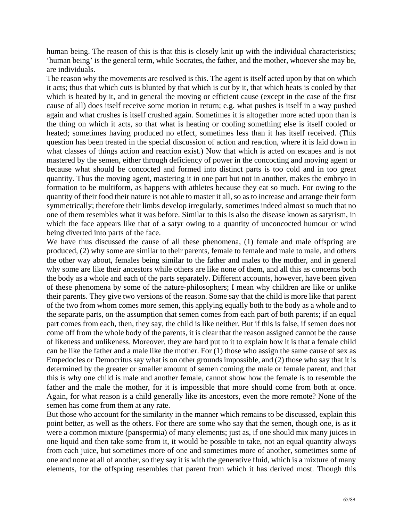human being. The reason of this is that this is closely knit up with the individual characteristics; 'human being' is the general term, while Socrates, the father, and the mother, whoever she may be, are individuals.

The reason why the movements are resolved is this. The agent is itself acted upon by that on which it acts; thus that which cuts is blunted by that which is cut by it, that which heats is cooled by that which is heated by it, and in general the moving or efficient cause (except in the case of the first cause of all) does itself receive some motion in return; e.g. what pushes is itself in a way pushed again and what crushes is itself crushed again. Sometimes it is altogether more acted upon than is the thing on which it acts, so that what is heating or cooling something else is itself cooled or heated; sometimes having produced no effect, sometimes less than it has itself received. (This question has been treated in the special discussion of action and reaction, where it is laid down in what classes of things action and reaction exist.) Now that which is acted on escapes and is not mastered by the semen, either through deficiency of power in the concocting and moving agent or because what should be concocted and formed into distinct parts is too cold and in too great quantity. Thus the moving agent, mastering it in one part but not in another, makes the embryo in formation to be multiform, as happens with athletes because they eat so much. For owing to the quantity of their food their nature is not able to master it all, so as to increase and arrange their form symmetrically; therefore their limbs develop irregularly, sometimes indeed almost so much that no one of them resembles what it was before. Similar to this is also the disease known as satyrism, in which the face appears like that of a satyr owing to a quantity of unconcocted humour or wind being diverted into parts of the face.

We have thus discussed the cause of all these phenomena, (1) female and male offspring are produced, (2) why some are similar to their parents, female to female and male to male, and others the other way about, females being similar to the father and males to the mother, and in general why some are like their ancestors while others are like none of them, and all this as concerns both the body as a whole and each of the parts separately. Different accounts, however, have been given of these phenomena by some of the nature-philosophers; I mean why children are like or unlike their parents. They give two versions of the reason. Some say that the child is more like that parent of the two from whom comes more semen, this applying equally both to the body as a whole and to the separate parts, on the assumption that semen comes from each part of both parents; if an equal part comes from each, then, they say, the child is like neither. But if this is false, if semen does not come off from the whole body of the parents, it is clear that the reason assigned cannot be the cause of likeness and unlikeness. Moreover, they are hard put to it to explain how it is that a female child can be like the father and a male like the mother. For (1) those who assign the same cause of sex as Empedocles or Democritus say what is on other grounds impossible, and (2) those who say that it is determined by the greater or smaller amount of semen coming the male or female parent, and that this is why one child is male and another female, cannot show how the female is to resemble the father and the male the mother, for it is impossible that more should come from both at once. Again, for what reason is a child generally like its ancestors, even the more remote? None of the semen has come from them at any rate.

elements, for the offspring resembles that parent from which it has derived most. Though this But those who account for the similarity in the manner which remains to be discussed, explain this point better, as well as the others. For there are some who say that the semen, though one, is as it were a common mixture (panspermia) of many elements; just as, if one should mix many juices in one liquid and then take some from it, it would be possible to take, not an equal quantity always from each juice, but sometimes more of one and sometimes more of another, sometimes some of one and none at all of another, so they say it is with the generative fluid, which is a mixture of many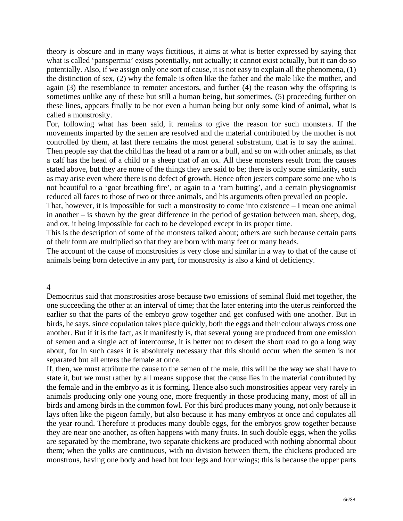theory is obscure and in many ways fictitious, it aims at what is better expressed by saying that what is called 'panspermia' exists potentially, not actually; it cannot exist actually, but it can do so potentially. Also, if we assign only one sort of cause, it is not easy to explain all the phenomena, (1) the distinction of sex, (2) why the female is often like the father and the male like the mother, and again (3) the resemblance to remoter ancestors, and further (4) the reason why the offspring is sometimes unlike any of these but still a human being, but sometimes, (5) proceeding further on these lines, appears finally to be not even a human being but only some kind of animal, what is called a monstrosity.

controlled by them, at last there remains the most general substratum, that is to say the animal. For, following what has been said, it remains to give the reason for such monsters. If the movements imparted by the semen are resolved and the material contributed by the mother is not Then people say that the child has the head of a ram or a bull, and so on with other animals, as that a calf has the head of a child or a sheep that of an ox. All these monsters result from the causes stated above, but they are none of the things they are said to be; there is only some similarity, such as may arise even where there is no defect of growth. Hence often jesters compare some one who is not beautiful to a 'goat breathing fire', or again to a 'ram butting', and a certain physiognomist reduced all faces to those of two or three animals, and his arguments often prevailed on people.

That, however, it is impossible for such a monstrosity to come into existence  $-1$  mean one animal in another – is shown by the great difference in the period of gestation between man, sheep, dog, and ox, it being impossible for each to be developed except in its proper time.

This is the description of some of the monsters talked about; others are such because certain parts of their form are multiplied so that they are born with many feet or many heads.

The account of the cause of monstrosities is very close and similar in a way to that of the cause of animals being born defective in any part, for monstrosity is also a kind of deficiency.

4

earlier so that the parts of the embryo grow together and get confused with one another. But in Democritus said that monstrosities arose because two emissions of seminal fluid met together, the one succeeding the other at an interval of time; that the later entering into the uterus reinforced the birds, he says, since copulation takes place quickly, both the eggs and their colour always cross one another. But if it is the fact, as it manifestly is, that several young are produced from one emission of semen and a single act of intercourse, it is better not to desert the short road to go a long way about, for in such cases it is absolutely necessary that this should occur when the semen is not separated but all enters the female at once.

If, then, we must attribute the cause to the semen of the male, this will be the way we shall have to state it, but we must rather by all means suppose that the cause lies in the material contributed by the female and in the embryo as it is forming. Hence also such monstrosities appear very rarely in animals producing only one young one, more frequently in those producing many, most of all in birds and among birds in the common fowl. For this bird produces many young, not only because it lays often like the pigeon family, but also because it has many embryos at once and copulates all the year round. Therefore it produces many double eggs, for the embryos grow together because they are near one another, as often happens with many fruits. In such double eggs, when the yolks are separated by the membrane, two separate chickens are produced with nothing abnormal about them; when the yolks are continuous, with no division between them, the chickens produced are monstrous, having one body and head but four legs and four wings; this is because the upper parts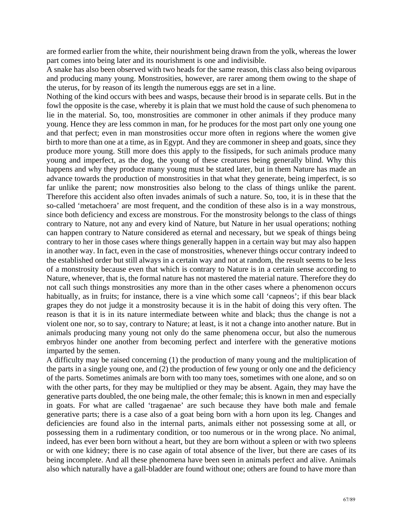are formed earlier from the white, their nourishment being drawn from the yolk, whereas the lower part comes into being later and its nourishment is one and indivisible.

A snake has also been observed with two heads for the same reason, this class also being oviparous and producing many young. Monstrosities, however, are rarer among them owing to the shape of the uterus, for by reason of its length the numerous eggs are set in a line.

can happen contrary to Nature considered as eternal and necessary, but we speak of things being Nothing of the kind occurs with bees and wasps, because their brood is in separate cells. But in the fowl the opposite is the case, whereby it is plain that we must hold the cause of such phenomena to lie in the material. So, too, monstrosities are commoner in other animals if they produce many young. Hence they are less common in man, for he produces for the most part only one young one and that perfect; even in man monstrosities occur more often in regions where the women give birth to more than one at a time, as in Egypt. And they are commoner in sheep and goats, since they produce more young. Still more does this apply to the fissipeds, for such animals produce many young and imperfect, as the dog, the young of these creatures being generally blind. Why this happens and why they produce many young must be stated later, but in them Nature has made an advance towards the production of monstrosities in that what they generate, being imperfect, is so far unlike the parent; now monstrosities also belong to the class of things unlike the parent. Therefore this accident also often invades animals of such a nature. So, too, it is in these that the so-called 'metachoera' are most frequent, and the condition of these also is in a way monstrous, since both deficiency and excess are monstrous. For the monstrosity belongs to the class of things contrary to Nature, not any and every kind of Nature, but Nature in her usual operations; nothing contrary to her in those cases where things generally happen in a certain way but may also happen in another way. In fact, even in the case of monstrosities, whenever things occur contrary indeed to the established order but still always in a certain way and not at random, the result seems to be less of a monstrosity because even that which is contrary to Nature is in a certain sense according to Nature, whenever, that is, the formal nature has not mastered the material nature. Therefore they do not call such things monstrosities any more than in the other cases where a phenomenon occurs habitually, as in fruits; for instance, there is a vine which some call 'capneos'; if this bear black grapes they do not judge it a monstrosity because it is in the habit of doing this very often. The reason is that it is in its nature intermediate between white and black; thus the change is not a violent one nor, so to say, contrary to Nature; at least, is it not a change into another nature. But in animals producing many young not only do the same phenomena occur, but also the numerous embryos hinder one another from becoming perfect and interfere with the generative motions imparted by the semen.

the parts in a single young one, and (2) the production of few young or only one and the deficiency being incomplete. And all these phenomena have been seen in animals perfect and alive. Animals also which naturally have a gall-bladder are found without one; others are found to have more than A difficulty may be raised concerning (1) the production of many young and the multiplication of of the parts. Sometimes animals are born with too many toes, sometimes with one alone, and so on with the other parts, for they may be multiplied or they may be absent. Again, they may have the generative parts doubled, the one being male, the other female; this is known in men and especially in goats. For what are called 'tragaenae' are such because they have both male and female generative parts; there is a case also of a goat being born with a horn upon its leg. Changes and deficiencies are found also in the internal parts, animals either not possessing some at all, or possessing them in a rudimentary condition, or too numerous or in the wrong place. No animal, indeed, has ever been born without a heart, but they are born without a spleen or with two spleens or with one kidney; there is no case again of total absence of the liver, but there are cases of its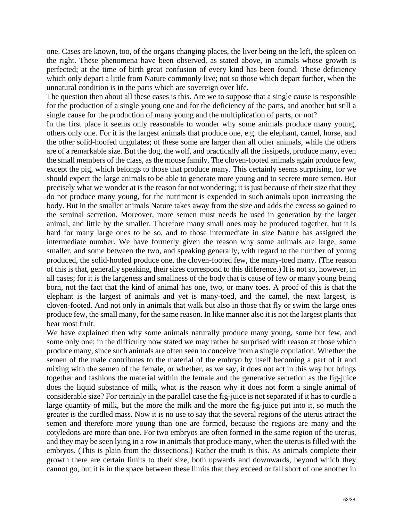one. Cases are known, too, of the organs changing places, the liver being on the left, the spleen on the right. These phenomena have been observed, as stated above, in animals whose growth is perfected; at the time of birth great confusion of every kind has been found. Those deficiency which only depart a little from Nature commonly live; not so those which depart further, when the unnatural condition is in the parts which are sovereign over life.

for the production of a single young one and for the deficiency of the parts, and another but still a single cause for the production of many young and the multiplication of parts, or not? The question then about all these cases is this. Are we to suppose that a single cause is responsible

In the first place it seems only reasonable to wonder why some animals produce many young, others only one. For it is the largest animals that produce one, e.g. the elephant, camel, horse, and body. But in the smaller animals Nature takes away from the size and adds the excess so gained to the other solid-hoofed ungulates; of these some are larger than all other animals, while the others are of a remarkable size. But the dog, the wolf, and practically all the fissipeds, produce many, even the small members of the class, as the mouse family. The cloven-footed animals again produce few, except the pig, which belongs to those that produce many. This certainly seems surprising, for we should expect the large animals to be able to generate more young and to secrete more semen. But precisely what we wonder at is the reason for not wondering; it is just because of their size that they do not produce many young, for the nutriment is expended in such animals upon increasing the the seminal secretion. Moreover, more semen must needs be used in generation by the larger animal, and little by the smaller. Therefore many small ones may be produced together, but it is hard for many large ones to be so, and to those intermediate in size Nature has assigned the intermediate number. We have formerly given the reason why some animals are large, some smaller, and some between the two, and speaking generally, with regard to the number of young produced, the solid-hoofed produce one, the cloven-footed few, the many-toed many. (The reason of this is that, generally speaking, their sizes correspond to this difference.) It is not so, however, in all cases; for it is the largeness and smallness of the body that is cause of few or many young being born, not the fact that the kind of animal has one, two, or many toes. A proof of this is that the elephant is the largest of animals and yet is many-toed, and the camel, the next largest, is cloven-footed. And not only in animals that walk but also in those that fly or swim the large ones produce few, the small many, for the same reason. In like manner also it is not the largest plants that bear most fruit.

produce many, since such animals are often seen to conceive from a single copulation. Whether the We have explained then why some animals naturally produce many young, some but few, and some only one; in the difficulty now stated we may rather be surprised with reason at those which semen of the male contributes to the material of the embryo by itself becoming a part of it and mixing with the semen of the female, or whether, as we say, it does not act in this way but brings together and fashions the material within the female and the generative secretion as the fig-juice does the liquid substance of milk, what is the reason why it does not form a single animal of considerable size? For certainly in the parallel case the fig-juice is not separated if it has to curdle a large quantity of milk, but the more the milk and the more the fig-juice put into it, so much the greater is the curdled mass. Now it is no use to say that the several regions of the uterus attract the semen and therefore more young than one are formed, because the regions are many and the cotyledons are more than one. For two embryos are often formed in the same region of the uterus, and they may be seen lying in a row in animals that produce many, when the uterus is filled with the embryos. (This is plain from the dissections.) Rather the truth is this. As animals complete their growth there are certain limits to their size, both upwards and downwards, beyond which they cannot go, but it is in the space between these limits that they exceed or fall short of one another in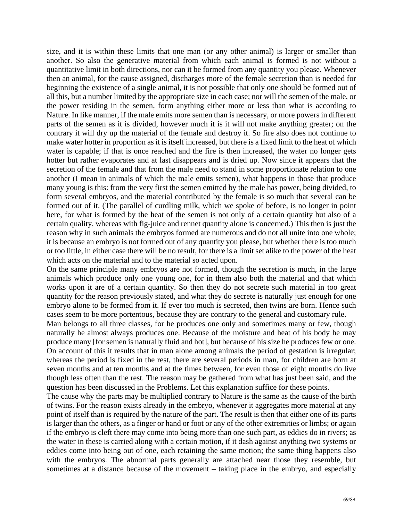size, and it is within these limits that one man (or any other animal) is larger or smaller than another. So also the generative material from which each animal is formed is not without a quantitative limit in both directions, nor can it be formed from any quantity you please. Whenever then an animal, for the cause assigned, discharges more of the female secretion than is needed for beginning the existence of a single animal, it is not possible that only one should be formed out of all this, but a number limited by the appropriate size in each case; nor will the semen of the male, or the power residing in the semen, form anything either more or less than what is according to Nature. In like manner, if the male emits more semen than is necessary, or more powers in different parts of the semen as it is divided, however much it is it will not make anything greater; on the contrary it will dry up the material of the female and destroy it. So fire also does not continue to make water hotter in proportion as it is itself increased, but there is a fixed limit to the heat of which water is capable; if that is once reached and the fire is then increased, the water no longer gets hotter but rather evaporates and at last disappears and is dried up. Now since it appears that the secretion of the female and that from the male need to stand in some proportionate relation to one another (I mean in animals of which the male emits semen), what happens in those that produce many young is this: from the very first the semen emitted by the male has power, being divided, to form several embryos, and the material contributed by the female is so much that several can be formed out of it. (The parallel of curdling milk, which we spoke of before, is no longer in point here, for what is formed by the heat of the semen is not only of a certain quantity but also of a certain quality, whereas with fig-juice and rennet quantity alone is concerned.) This then is just the reason why in such animals the embryos formed are numerous and do not all unite into one whole; it is because an embryo is not formed out of any quantity you please, but whether there is too much or too little, in either case there will be no result, for there is a limit set alike to the power of the heat which acts on the material and to the material so acted upon.

On the same principle many embryos are not formed, though the secretion is much, in the large animals which produce only one young one, for in them also both the material and that which works upon it are of a certain quantity. So then they do not secrete such material in too great quantity for the reason previously stated, and what they do secrete is naturally just enough for one embryo alone to be formed from it. If ever too much is secreted, then twins are born. Hence such cases seem to be more portentous, because they are contrary to the general and customary rule.

On account of this it results that in man alone among animals the period of gestation is irregular; question has been discussed in the Problems. Let this explanation suffice for these points. Man belongs to all three classes, for he produces one only and sometimes many or few, though naturally he almost always produces one. Because of the moisture and heat of his body he may produce many [for semen is naturally fluid and hot], but because of his size he produces few or one. whereas the period is fixed in the rest, there are several periods in man, for children are born at seven months and at ten months and at the times between, for even those of eight months do live though less often than the rest. The reason may be gathered from what has just been said, and the

The cause why the parts may be multiplied contrary to Nature is the same as the cause of the birth of twins. For the reason exists already in the embryo, whenever it aggregates more material at any point of itself than is required by the nature of the part. The result is then that either one of its parts is larger than the others, as a finger or hand or foot or any of the other extremities or limbs; or again if the embryo is cleft there may come into being more than one such part, as eddies do in rivers; as the water in these is carried along with a certain motion, if it dash against anything two systems or eddies come into being out of one, each retaining the same motion; the same thing happens also with the embryos. The abnormal parts generally are attached near those they resemble, but sometimes at a distance because of the movement – taking place in the embryo, and especially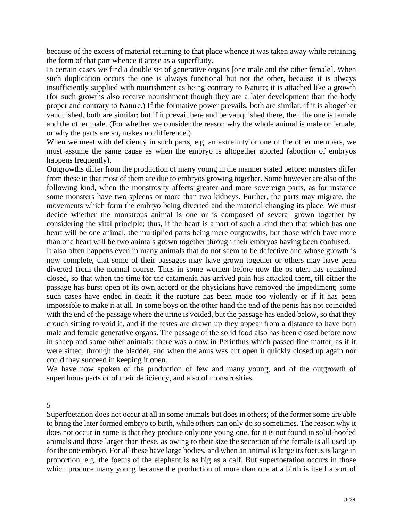because of the excess of material returning to that place whence it was taken away while retaining the form of that part whence it arose as a superfluity.

In certain cases we find a double set of generative organs [one male and the other female]. When such duplication occurs the one is always functional but not the other, because it is always insufficiently supplied with nourishment as being contrary to Nature; it is attached like a growth (for such growths also receive nourishment though they are a later development than the body proper and contrary to Nature.) If the formative power prevails, both are similar; if it is altogether vanquished, both are similar; but if it prevail here and be vanquished there, then the one is female and the other male. (For whether we consider the reason why the whole animal is male or female, or why the parts are so, makes no difference.)

When we meet with deficiency in such parts, e.g. an extremity or one of the other members, we must assume the same cause as when the embryo is altogether aborted (abortion of embryos happens frequently).

Outgrowths differ from the production of many young in the manner stated before; monsters differ from these in that most of them are due to embryos growing together. Some however are also of the following kind, when the monstrosity affects greater and more sovereign parts, as for instance some monsters have two spleens or more than two kidneys. Further, the parts may migrate, the movements which form the embryo being diverted and the material changing its place. We must decide whether the monstrous animal is one or is composed of several grown together by considering the vital principle; thus, if the heart is a part of such a kind then that which has one heart will be one animal, the multiplied parts being mere outgrowths, but those which have more than one heart will be two animals grown together through their embryos having been confused.

It also often happens even in many animals that do not seem to be defective and whose growth is now complete, that some of their passages may have grown together or others may have been diverted from the normal course. Thus in some women before now the os uteri has remained closed, so that when the time for the catamenia has arrived pain has attacked them, till either the passage has burst open of its own accord or the physicians have removed the impediment; some such cases have ended in death if the rupture has been made too violently or if it has been impossible to make it at all. In some boys on the other hand the end of the penis has not coincided with the end of the passage where the urine is voided, but the passage has ended below, so that they crouch sitting to void it, and if the testes are drawn up they appear from a distance to have both male and female generative organs. The passage of the solid food also has been closed before now in sheep and some other animals; there was a cow in Perinthus which passed fine matter, as if it were sifted, through the bladder, and when the anus was cut open it quickly closed up again nor could they succeed in keeping it open.

We have now spoken of the production of few and many young, and of the outgrowth of superfluous parts or of their deficiency, and also of monstrosities.

5

Superfoetation does not occur at all in some animals but does in others; of the former some are able to bring the later formed embryo to birth, while others can only do so sometimes. The reason why it does not occur in some is that they produce only one young one, for it is not found in solid-hoofed animals and those larger than these, as owing to their size the secretion of the female is all used up for the one embryo. For all these have large bodies, and when an animal is large its foetus is large in proportion, e.g. the foetus of the elephant is as big as a calf. But superfoetation occurs in those which produce many young because the production of more than one at a birth is itself a sort of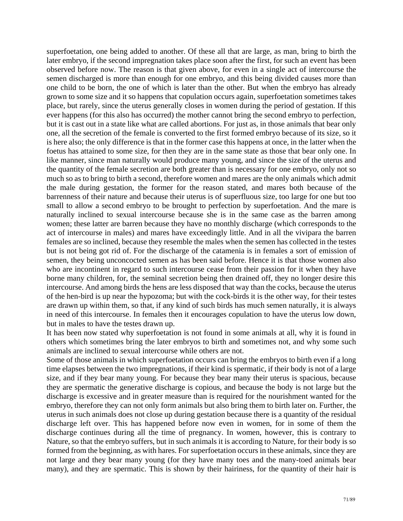superfoetation, one being added to another. Of these all that are large, as man, bring to birth the later embryo, if the second impregnation takes place soon after the first, for such an event has been observed before now. The reason is that given above, for even in a single act of intercourse the semen discharged is more than enough for one embryo, and this being divided causes more than one child to be born, the one of which is later than the other. But when the embryo has already grown to some size and it so happens that copulation occurs again, superfoetation sometimes takes place, but rarely, since the uterus generally closes in women during the period of gestation. If this ever happens (for this also has occurred) the mother cannot bring the second embryo to perfection, the quantity of the female secretion are both greater than is necessary for one embryo, only not so but it is cast out in a state like what are called abortions. For just as, in those animals that bear only one, all the secretion of the female is converted to the first formed embryo because of its size, so it is here also; the only difference is that in the former case this happens at once, in the latter when the foetus has attained to some size, for then they are in the same state as those that bear only one. In like manner, since man naturally would produce many young, and since the size of the uterus and much so as to bring to birth a second, therefore women and mares are the only animals which admit the male during gestation, the former for the reason stated, and mares both because of the barrenness of their nature and because their uterus is of superfluous size, too large for one but too small to allow a second embryo to be brought to perfection by superfoetation. And the mare is naturally inclined to sexual intercourse because she is in the same case as the barren among women; these latter are barren because they have no monthly discharge (which corresponds to the act of intercourse in males) and mares have exceedingly little. And in all the vivipara the barren females are so inclined, because they resemble the males when the semen has collected in the testes but is not being got rid of. For the discharge of the catamenia is in females a sort of emission of semen, they being unconcocted semen as has been said before. Hence it is that those women also who are incontinent in regard to such intercourse cease from their passion for it when they have borne many children, for, the seminal secretion being then drained off, they no longer desire this intercourse. And among birds the hens are less disposed that way than the cocks, because the uterus of the hen-bird is up near the hypozoma; but with the cock-birds it is the other way, for their testes are drawn up within them, so that, if any kind of such birds has much semen naturally, it is always in need of this intercourse. In females then it encourages copulation to have the uterus low down, but in males to have the testes drawn up.

others which sometimes bring the later embryos to birth and sometimes not, and why some such It has been now stated why superfoetation is not found in some animals at all, why it is found in animals are inclined to sexual intercourse while others are not.

uterus in such animals does not close up during gestation because there is a quantity of the residual Nature, so that the embryo suffers, but in such animals it is according to Nature, for their body is so Some of those animals in which superfoetation occurs can bring the embryos to birth even if a long time elapses between the two impregnations, if their kind is spermatic, if their body is not of a large size, and if they bear many young. For because they bear many their uterus is spacious, because they are spermatic the generative discharge is copious, and because the body is not large but the discharge is excessive and in greater measure than is required for the nourishment wanted for the embryo, therefore they can not only form animals but also bring them to birth later on. Further, the discharge left over. This has happened before now even in women, for in some of them the discharge continues during all the time of pregnancy. In women, however, this is contrary to formed from the beginning, as with hares. For superfoetation occurs in these animals, since they are not large and they bear many young (for they have many toes and the many-toed animals bear many), and they are spermatic. This is shown by their hairiness, for the quantity of their hair is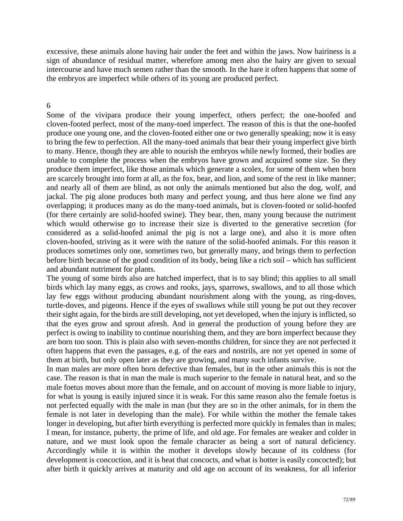excessive, these animals alone having hair under the feet and within the jaws. Now hairiness is a sign of abundance of residual matter, wherefore among men also the hairy are given to sexual intercourse and have much semen rather than the smooth. In the hare it often happens that some of the embryos are imperfect while others of its young are produced perfect.

## 6

Some of the vivipara produce their young imperfect, others perfect; the one-hoofed and cloven-footed perfect, most of the many-toed imperfect. The reason of this is that the one-hoofed produce one young one, and the cloven-footed either one or two generally speaking; now it is easy to bring the few to perfection. All the many-toed animals that bear their young imperfect give birth to many. Hence, though they are able to nourish the embryos while newly formed, their bodies are unable to complete the process when the embryos have grown and acquired some size. So they produce them imperfect, like those animals which generate a scolex, for some of them when born are scarcely brought into form at all, as the fox, bear, and lion, and some of the rest in like manner; and nearly all of them are blind, as not only the animals mentioned but also the dog, wolf, and jackal. The pig alone produces both many and perfect young, and thus here alone we find any overlapping; it produces many as do the many-toed animals, but is cloven-footed or solid-hoofed (for there certainly are solid-hoofed swine). They bear, then, many young because the nutriment which would otherwise go to increase their size is diverted to the generative secretion (for cloven-hoofed, striving as it were with the nature of the solid-hoofed animals. For this reason it produces sometimes only one, sometimes two, but generally many, and brings them to perfection before birth because of the good condition of its body, being like a rich soil – which has sufficient and abundant nutriment for plants. considered as a solid-hoofed animal the pig is not a large one), and also it is more often

The young of some birds also are hatched imperfect, that is to say blind; this applies to all small birds which lay many eggs, as crows and rooks, jays, sparrows, swallows, and to all those which lay few eggs without producing abundant nourishment along with the young, as ring-doves, turtle-doves, and pigeons. Hence if the eyes of swallows while still young be put out they recover their sight again, for the birds are still developing, not yet developed, when the injury is inflicted, so that the eyes grow and sprout afresh. And in general the production of young before they are perfect is owing to inability to continue nourishing them, and they are born imperfect because they are born too soon. This is plain also with seven-months children, for since they are not perfected it often happens that even the passages, e.g. of the ears and nostrils, are not yet opened in some of them at birth, but only open later as they are growing, and many such infants survive.

In man males are more often born defective than females, but in the other animals this is not the case. The reason is that in man the male is much superior to the female in natural heat, and so the male foetus moves about more than the female, and on account of moving is more liable to injury, for what is young is easily injured since it is weak. For this same reason also the female foetus is not perfected equally with the male in man (but they are so in the other animals, for in them the female is not later in developing than the male). For while within the mother the female takes longer in developing, but after birth everything is perfected more quickly in females than in males; I mean, for instance, puberty, the prime of life, and old age. For females are weaker and colder in nature, and we must look upon the female character as being a sort of natural deficiency. Accordingly while it is within the mother it develops slowly because of its coldness (for development is concoction, and it is heat that concocts, and what is hotter is easily concocted); but after birth it quickly arrives at maturity and old age on account of its weakness, for all inferior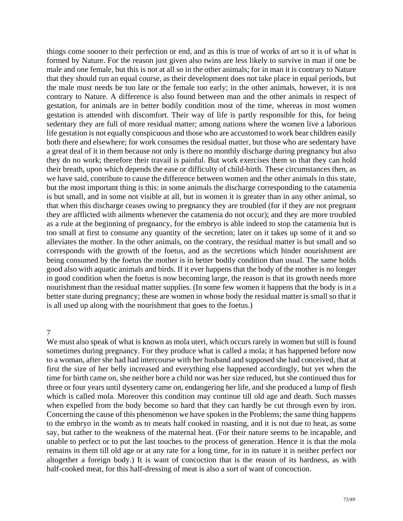things come sooner to their perfection or end, and as this is true of works of art so it is of what is formed by Nature. For the reason just given also twins are less likely to survive in man if one be male and one female, but this is not at all so in the other animals; for in man it is contrary to Nature that they should run an equal course, as their development does not take place in equal periods, but the male must needs be too late or the female too early; in the other animals, however, it is not contrary to Nature. A difference is also found between man and the other animals in respect of gestation, for animals are in better bodily condition most of the time, whereas in most women gestation is attended with discomfort. Their way of life is partly responsible for this, for being sedentary they are full of more residual matter; among nations where the women live a laborious life gestation is not equally conspicuous and those who are accustomed to work bear children easily both there and elsewhere; for work consumes the residual matter, but those who are sedentary have a great deal of it in them because not only is there no monthly discharge during pregnancy but also they do no work; therefore their travail is painful. But work exercises them so that they can hold their breath, upon which depends the ease or difficulty of child-birth. These circumstances then, as we have said, contribute to cause the difference between women and the other animals in this state, but the most important thing is this: in some animals the discharge corresponding to the catamenia is but small, and in some not visible at all, but in women it is greater than in any other animal, so as a rule at the beginning of pregnancy, for the embryo is able indeed to stop the catamenia but is that when this discharge ceases owing to pregnancy they are troubled (for if they are not pregnant they are afflicted with ailments whenever the catamenia do not occur); and they are more troubled too small at first to consume any quantity of the secretion; later on it takes up some of it and so alleviates the mother. In the other animals, on the contrary, the residual matter is but small and so corresponds with the growth of the foetus, and as the secretions which hinder nourishment are being consumed by the foetus the mother is in better bodily condition than usual. The same holds good also with aquatic animals and birds. If it ever happens that the body of the mother is no longer in good condition when the foetus is now becoming large, the reason is that its growth needs more nourishment than the residual matter supplies. (In some few women it happens that the body is in a better state during pregnancy; these are women in whose body the residual matter is small so that it is all used up along with the nourishment that goes to the foetus.)

#### 7

three or four years until dysentery came on, endangering her life, and she produced a lump of flesh which is called mola. Moreover this condition may continue till old age and death. Such masses when expelled from the body become so hard that they can hardly be cut through even by iron. Concerning the cause of this phenomenon we have spoken in the Problems; the same thing happens We must also speak of what is known as mola uteri, which occurs rarely in women but still is found sometimes during pregnancy. For they produce what is called a mola; it has happened before now to a woman, after she had had intercourse with her husband and supposed she had conceived, that at first the size of her belly increased and everything else happened accordingly, but yet when the time for birth came on, she neither bore a child nor was her size reduced, but she continued thus for to the embryo in the womb as to meats half cooked in roasting, and it is not due to heat, as some say, but rather to the weakness of the maternal heat. (For their nature seems to be incapable, and unable to perfect or to put the last touches to the process of generation. Hence it is that the mola remains in them till old age or at any rate for a long time, for in its nature it is neither perfect nor altogether a foreign body.) It is want of concoction that is the reason of its hardness, as with half-cooked meat, for this half-dressing of meat is also a sort of want of concoction.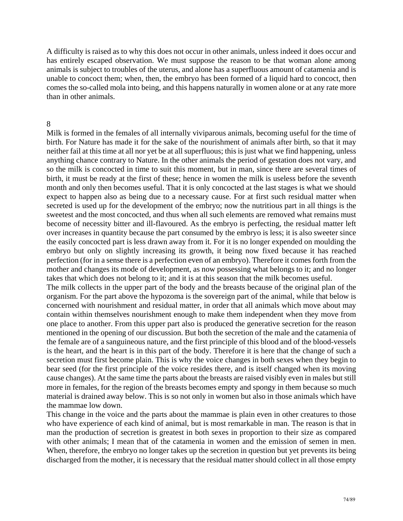A difficulty is raised as to why this does not occur in other animals, unless indeed it does occur and has entirely escaped observation. We must suppose the reason to be that woman alone among animals is subject to troubles of the uterus, and alone has a superfluous amount of catamenia and is unable to concoct them; when, then, the embryo has been formed of a liquid hard to concoct, then comes the so-called mola into being, and this happens naturally in women alone or at any rate more than in other animals.

### 8

Milk is formed in the females of all internally viviparous animals, becoming useful for the time of birth. For Nature has made it for the sake of the nourishment of animals after birth, so that it may neither fail at this time at all nor yet be at all superfluous; this is just what we find happening, unless anything chance contrary to Nature. In the other animals the period of gestation does not vary, and so the milk is concocted in time to suit this moment, but in man, since there are several times of birth, it must be ready at the first of these; hence in women the milk is useless before the seventh month and only then becomes useful. That it is only concocted at the last stages is what we should expect to happen also as being due to a necessary cause. For at first such residual matter when secreted is used up for the development of the embryo; now the nutritious part in all things is the sweetest and the most concocted, and thus when all such elements are removed what remains must become of necessity bitter and ill-flavoured. As the embryo is perfecting, the residual matter left over increases in quantity because the part consumed by the embryo is less; it is also sweeter since the easily concocted part is less drawn away from it. For it is no longer expended on moulding the embryo but only on slightly increasing its growth, it being now fixed because it has reached perfection (for in a sense there is a perfection even of an embryo). Therefore it comes forth from the mother and changes its mode of development, as now possessing what belongs to it; and no longer takes that which does not belong to it; and it is at this season that the milk becomes useful.

The milk collects in the upper part of the body and the breasts because of the original plan of the organism. For the part above the hypozoma is the sovereign part of the animal, while that below is concerned with nourishment and residual matter, in order that all animals which move about may contain within themselves nourishment enough to make them independent when they move from one place to another. From this upper part also is produced the generative secretion for the reason mentioned in the opening of our discussion. But both the secretion of the male and the catamenia of the female are of a sanguineous nature, and the first principle of this blood and of the blood-vessels is the heart, and the heart is in this part of the body. Therefore it is here that the change of such a secretion must first become plain. This is why the voice changes in both sexes when they begin to bear seed (for the first principle of the voice resides there, and is itself changed when its moving cause changes). At the same time the parts about the breasts are raised visibly even in males but still more in females, for the region of the breasts becomes empty and spongy in them because so much material is drained away below. This is so not only in women but also in those animals which have the mammae low down.

This change in the voice and the parts about the mammae is plain even in other creatures to those who have experience of each kind of animal, but is most remarkable in man. The reason is that in man the production of secretion is greatest in both sexes in proportion to their size as compared with other animals; I mean that of the catamenia in women and the emission of semen in men. When, therefore, the embryo no longer takes up the secretion in question but yet prevents its being discharged from the mother, it is necessary that the residual matter should collect in all those empty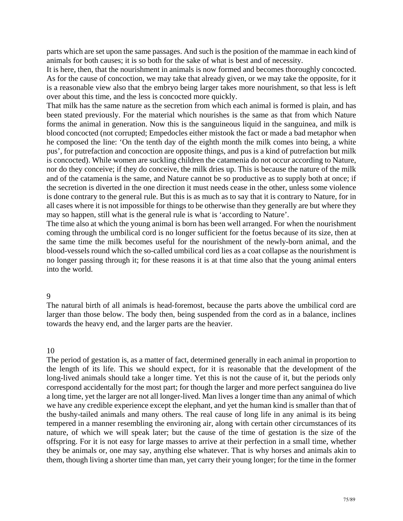parts which are set upon the same passages. And such is the position of the mammae in each kind of animals for both causes; it is so both for the sake of what is best and of necessity.

It is here, then, that the nourishment in animals is now formed and becomes thoroughly concocted. As for the cause of concoction, we may take that already given, or we may take the opposite, for it is a reasonable view also that the embryo being larger takes more nourishment, so that less is left over about this time, and the less is concocted more quickly.

That milk has the same nature as the secretion from which each animal is formed is plain, and has been stated previously. For the material which nourishes is the same as that from which Nature forms the animal in generation. Now this is the sanguineous liquid in the sanguinea, and milk is blood concocted (not corrupted; Empedocles either mistook the fact or made a bad metaphor when he composed the line: 'On the tenth day of the eighth month the milk comes into being, a white pus', for putrefaction and concoction are opposite things, and pus is a kind of putrefaction but milk is concocted). While women are suckling children the catamenia do not occur according to Nature, nor do they conceive; if they do conceive, the milk dries up. This is because the nature of the milk and of the catamenia is the same, and Nature cannot be so productive as to supply both at once; if the secretion is diverted in the one direction it must needs cease in the other, unless some violence is done contrary to the general rule. But this is as much as to say that it is contrary to Nature, for in all cases where it is not impossible for things to be otherwise than they generally are but where they may so happen, still what is the general rule is what is 'according to Nature'.

The time also at which the young animal is born has been well arranged. For when the nourishment coming through the umbilical cord is no longer sufficient for the foetus because of its size, then at the same time the milk becomes useful for the nourishment of the newly-born animal, and the blood-vessels round which the so-called umbilical cord lies as a coat collapse as the nourishment is no longer passing through it; for these reasons it is at that time also that the young animal enters into the world.

# 9

The natural birth of all animals is head-foremost, because the parts above the umbilical cord are larger than those below. The body then, being suspended from the cord as in a balance, inclines towards the heavy end, and the larger parts are the heavier.

# 10

the length of its life. This we should expect, for it is reasonable that the development of the tempered in a manner resembling the environing air, along with certain other circumstances of its ature, of which we will speak later; but the cause of the time of gestation is the size of the n offspring. For it is not easy for large masses to arrive at their perfection in a small time, whether they be animals or, one may say, anything else whatever. That is why horses and animals akin to The period of gestation is, as a matter of fact, determined generally in each animal in proportion to long-lived animals should take a longer time. Yet this is not the cause of it, but the periods only correspond accidentally for the most part; for though the larger and more perfect sanguinea do live a long time, yet the larger are not all longer-lived. Man lives a longer time than any animal of which we have any credible experience except the elephant, and yet the human kind is smaller than that of the bushy-tailed animals and many others. The real cause of long life in any animal is its being them, though living a shorter time than man, yet carry their young longer; for the time in the former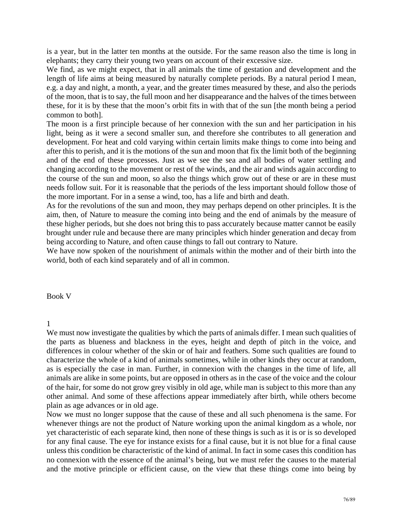is a year, but in the latter ten months at the outside. For the same reason also the time is long in elephants; they carry their young two years on account of their excessive size.

We find, as we might expect, that in all animals the time of gestation and development and the length of life aims at being measured by naturally complete periods. By a natural period I mean, e.g. a day and night, a month, a year, and the greater times measured by these, and also the periods of the moon, that is to say, the full moon and her disappearance and the halves of the times between these, for it is by these that the moon's orbit fits in with that of the sun [the month being a period common to both].

The moon is a first principle because of her connexion with the sun and her participation in his light, being as it were a second smaller sun, and therefore she contributes to all generation and development. For heat and cold varying within certain limits make things to come into being and after this to perish, and it is the motions of the sun and moon that fix the limit both of the beginning and of the end of these processes. Just as we see the sea and all bodies of water settling and changing according to the movement or rest of the winds, and the air and winds again according to the course of the sun and moon, so also the things which grow out of these or are in these must needs follow suit. For it is reasonable that the periods of the less important should follow those of the more important. For in a sense a wind, too, has a life and birth and death.

As for the revolutions of the sun and moon, they may perhaps depend on other principles. It is the aim, then, of Nature to measure the coming into being and the end of animals by the measure of these higher periods, but she does not bring this to pass accurately because matter cannot be easily brought under rule and because there are many principles which hinder generation and decay from being according to Nature, and often cause things to fall out contrary to Nature.

We have now spoken of the nourishment of animals within the mother and of their birth into the world, both of each kind separately and of all in common.

Book V

1

We must now investigate the qualities by which the parts of animals differ. I mean such qualities of the parts as blueness and blackness in the eyes, height and depth of pitch in the voice, and differences in colour whether of the skin or of hair and feathers. Some such qualities are found to characterize the whole of a kind of animals sometimes, while in other kinds they occur at random, as is especially the case in man. Further, in connexion with the changes in the time of life, all animals are alike in some points, but are opposed in others as in the case of the voice and the colour of the hair, for some do not grow grey visibly in old age, while man is subject to this more than any other animal. And some of these affections appear immediately after birth, while others become plain as age advances or in old age.

whenever things are not the product of Nature working upon the animal kingdom as a whole, nor Now we must no longer suppose that the cause of these and all such phenomena is the same. For yet characteristic of each separate kind, then none of these things is such as it is or is so developed for any final cause. The eye for instance exists for a final cause, but it is not blue for a final cause unless this condition be characteristic of the kind of animal. In fact in some cases this condition has no connexion with the essence of the animal's being, but we must refer the causes to the material and the motive principle or efficient cause, on the view that these things come into being by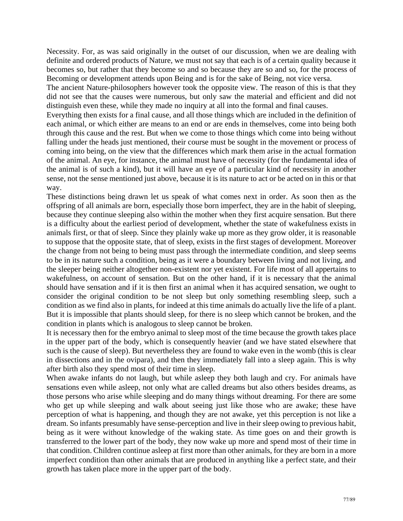Necessity. For, as was said originally in the outset of our discussion, when we are dealing with definite and ordered products of Nature, we must not say that each is of a certain quality because it becomes so, but rather that they become so and so because they are so and so, for the process of Becoming or development attends upon Being and is for the sake of Being, not vice versa.

The ancient Nature-philosophers however took the opposite view. The reason of this is that they did not see that the causes were numerous, but only saw the material and efficient and did not distinguish even these, while they made no inquiry at all into the formal and final causes.

Everything then exists for a final cause, and all those things which are included in the definition of each animal, or which either are means to an end or are ends in themselves, come into being both sense, not the sense mentioned just above, because it is its nature to act or be acted on in this or that way. through this cause and the rest. But when we come to those things which come into being without falling under the heads just mentioned, their course must be sought in the movement or process of coming into being, on the view that the differences which mark them arise in the actual formation of the animal. An eye, for instance, the animal must have of necessity (for the fundamental idea of the animal is of such a kind), but it will have an eye of a particular kind of necessity in another

These distinctions being drawn let us speak of what comes next in order. As soon then as the offspring of all animals are born, especially those born imperfect, they are in the habit of sleeping, animals first, or that of sleep. Since they plainly wake up more as they grow older, it is reasonable to suppose that the opposite state, that of sleep, exists in the first stages of development. Moreover the change from not being to being must pass through the intermediate condition, and sleep seems to be in its nature such a condition, being as it were a boundary between living and not living, and because they continue sleeping also within the mother when they first acquire sensation. But there is a difficulty about the earliest period of development, whether the state of wakefulness exists in the sleeper being neither altogether non-existent nor yet existent. For life most of all appertains to wakefulness, on account of sensation. But on the other hand, if it is necessary that the animal should have sensation and if it is then first an animal when it has acquired sensation, we ought to consider the original condition to be not sleep but only something resembling sleep, such a condition as we find also in plants, for indeed at this time animals do actually live the life of a plant. But it is impossible that plants should sleep, for there is no sleep which cannot be broken, and the condition in plants which is analogous to sleep cannot be broken.

It is necessary then for the embryo animal to sleep most of the time because the growth takes place in the upper part of the body, which is consequently heavier (and we have stated elsewhere that such is the cause of sleep). But nevertheless they are found to wake even in the womb (this is clear in dissections and in the ovipara), and then they immediately fall into a sleep again. This is why after birth also they spend most of their time in sleep.

transferred to the lower part of the body, they now wake up more and spend most of their time in When awake infants do not laugh, but while asleep they both laugh and cry. For animals have sensations even while asleep, not only what are called dreams but also others besides dreams, as those persons who arise while sleeping and do many things without dreaming. For there are some who get up while sleeping and walk about seeing just like those who are awake; these have perception of what is happening, and though they are not awake, yet this perception is not like a dream. So infants presumably have sense-perception and live in their sleep owing to previous habit, being as it were without knowledge of the waking state. As time goes on and their growth is that condition. Children continue asleep at first more than other animals, for they are born in a more imperfect condition than other animals that are produced in anything like a perfect state, and their growth has taken place more in the upper part of the body.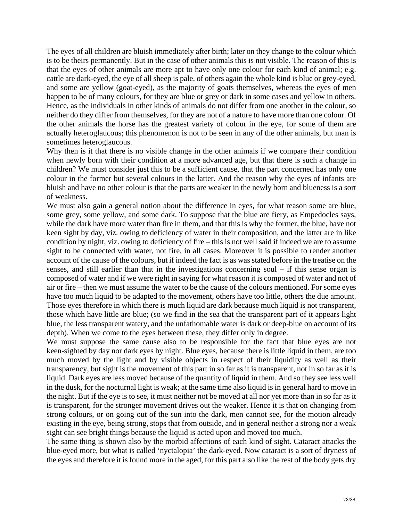The eyes of all children are bluish immediately after birth; later on they change to the colour which is to be theirs permanently. But in the case of other animals this is not visible. The reason of this is that the eyes of other animals are more apt to have only one colour for each kind of animal; e.g. cattle are dark-eyed, the eye of all sheep is pale, of others again the whole kind is blue or grey-eyed, and some are yellow (goat-eyed), as the majority of goats themselves, whereas the eyes of men happen to be of many colours, for they are blue or grey or dark in some cases and yellow in others. Hence, as the individuals in other kinds of animals do not differ from one another in the colour, so neither do they differ from themselves, for they are not of a nature to have more than one colour. Of the other animals the horse has the greatest variety of colour in the eye, for some of them are actually heteroglaucous; this phenomenon is not to be seen in any of the other animals, but man is sometimes heteroglaucous.

when newly born with their condition at a more advanced age, but that there is such a change in children? We must consider just this to be a sufficient cause, that the part concerned has only one colour in the former but several colours in the latter. And the reason why the eyes of infants are bluish and have no other colour is that the parts are weaker in the newly born and blueness is a sort of weakness. Why then is it that there is no visible change in the other animals if we compare their condition

We must also gain a general notion about the difference in eyes, for what reason some are blue, some grey, some yellow, and some dark. To suppose that the blue are fiery, as Empedocles says, while the dark have more water than fire in them, and that this is why the former, the blue, have not Those eyes therefore in which there is much liquid are dark because much liquid is not transparent, keen sight by day, viz. owing to deficiency of water in their composition, and the latter are in like condition by night, viz. owing to deficiency of fire – this is not well said if indeed we are to assume sight to be connected with water, not fire, in all cases. Moreover it is possible to render another account of the cause of the colours, but if indeed the fact is as was stated before in the treatise on the senses, and still earlier than that in the investigations concerning soul – if this sense organ is composed of water and if we were right in saying for what reason it is composed of water and not of air or fire – then we must assume the water to be the cause of the colours mentioned. For some eyes have too much liquid to be adapted to the movement, others have too little, others the due amount. those which have little are blue; (so we find in the sea that the transparent part of it appears light blue, the less transparent watery, and the unfathomable water is dark or deep-blue on account of its depth). When we come to the eyes between these, they differ only in degree.

strong colours, or on going out of the sun into the dark, men cannot see, for the motion already We must suppose the same cause also to be responsible for the fact that blue eyes are not keen-sighted by day nor dark eyes by night. Blue eyes, because there is little liquid in them, are too much moved by the light and by visible objects in respect of their liquidity as well as their transparency, but sight is the movement of this part in so far as it is transparent, not in so far as it is liquid. Dark eyes are less moved because of the quantity of liquid in them. And so they see less well in the dusk, for the nocturnal light is weak; at the same time also liquid is in general hard to move in the night. But if the eye is to see, it must neither not be moved at all nor yet more than in so far as it is transparent, for the stronger movement drives out the weaker. Hence it is that on changing from existing in the eye, being strong, stops that from outside, and in general neither a strong nor a weak sight can see bright things because the liquid is acted upon and moved too much.

The same thing is shown also by the morbid affections of each kind of sight. Cataract attacks the blue-eyed more, but what is called 'nyctalopia' the dark-eyed. Now cataract is a sort of dryness of the eyes and therefore it is found more in the aged, for this part also like the rest of the body gets dry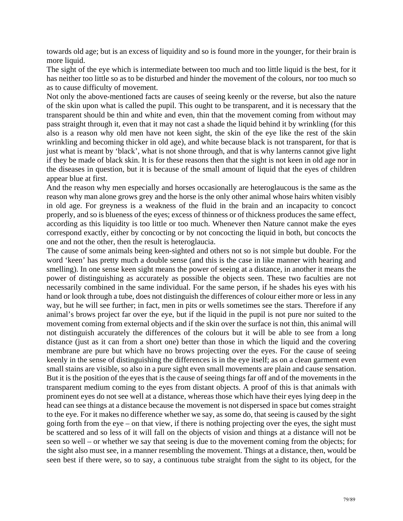towards old age; but is an excess of liquidity and so is found more in the younger, for their brain is more liquid.

The sight of the eye which is intermediate between too much and too little liquid is the best, for it has neither too little so as to be disturbed and hinder the movement of the colours, nor too much so as to cause difficulty of movement.

Not only the above-mentioned facts are causes of seeing keenly or the reverse, but also the nature of the skin upon what is called the pupil. This ought to be transparent, and it is necessary that the transparent should be thin and white and even, thin that the movement coming from without may pass straight through it, even that it may not cast a shade the liquid behind it by wrinkling (for this also is a reason why old men have not keen sight, the skin of the eye like the rest of the skin wrinkling and becoming thicker in old age), and white because black is not transparent, for that is just what is meant by 'black', what is not shone through, and that is why lanterns cannot give light if they be made of black skin. It is for these reasons then that the sight is not keen in old age nor in the diseases in question, but it is because of the small amount of liquid that the eyes of children appear blue at first.

one and not the other, then the result is heteroglaucia. And the reason why men especially and horses occasionally are heteroglaucous is the same as the reason why man alone grows grey and the horse is the only other animal whose hairs whiten visibly in old age. For greyness is a weakness of the fluid in the brain and an incapacity to concoct properly, and so is blueness of the eyes; excess of thinness or of thickness produces the same effect, according as this liquidity is too little or too much. Whenever then Nature cannot make the eyes correspond exactly, either by concocting or by not concocting the liquid in both, but concocts the

necessarily combined in the same individual. For the same person, if he shades his eyes with his transparent medium coming to the eyes from distant objects. A proof of this is that animals with The cause of some animals being keen-sighted and others not so is not simple but double. For the word 'keen' has pretty much a double sense (and this is the case in like manner with hearing and smelling). In one sense keen sight means the power of seeing at a distance, in another it means the power of distinguishing as accurately as possible the objects seen. These two faculties are not hand or look through a tube, does not distinguish the differences of colour either more or less in any way, but he will see further; in fact, men in pits or wells sometimes see the stars. Therefore if any animal's brows project far over the eye, but if the liquid in the pupil is not pure nor suited to the movement coming from external objects and if the skin over the surface is not thin, this animal will not distinguish accurately the differences of the colours but it will be able to see from a long distance (just as it can from a short one) better than those in which the liquid and the covering membrane are pure but which have no brows projecting over the eyes. For the cause of seeing keenly in the sense of distinguishing the differences is in the eye itself; as on a clean garment even small stains are visible, so also in a pure sight even small movements are plain and cause sensation. But it is the position of the eyes that is the cause of seeing things far off and of the movements in the prominent eyes do not see well at a distance, whereas those which have their eyes lying deep in the head can see things at a distance because the movement is not dispersed in space but comes straight to the eye. For it makes no difference whether we say, as some do, that seeing is caused by the sight going forth from the eye – on that view, if there is nothing projecting over the eyes, the sight must be scattered and so less of it will fall on the objects of vision and things at a distance will not be seen so well – or whether we say that seeing is due to the movement coming from the objects; for the sight also must see, in a manner resembling the movement. Things at a distance, then, would be seen best if there were, so to say, a continuous tube straight from the sight to its object, for the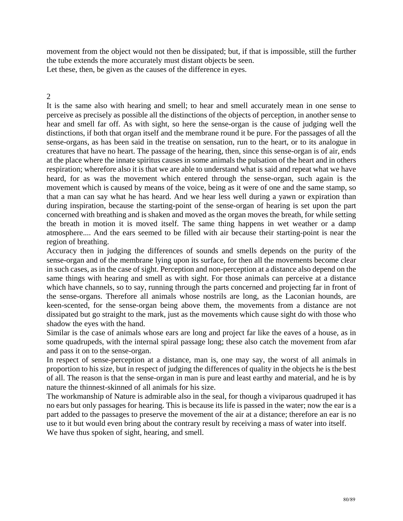movement from the object would not then be dissipated; but, if that is impossible, still the further the tube extends the more accurately must distant objects be seen. Let these, then, be given as the causes of the difference in eyes.

#### $\mathcal{D}_{\mathcal{L}}$

perceive as precisely as possible all the distinctions of the objects of perception, in another sense to It is the same also with hearing and smell; to hear and smell accurately mean in one sense to hear and smell far off. As with sight, so here the sense-organ is the cause of judging well the distinctions, if both that organ itself and the membrane round it be pure. For the passages of all the sense-organs, as has been said in the treatise on sensation, run to the heart, or to its analogue in creatures that have no heart. The passage of the hearing, then, since this sense-organ is of air, ends at the place where the innate spiritus causes in some animals the pulsation of the heart and in others respiration; wherefore also it is that we are able to understand what is said and repeat what we have heard, for as was the movement which entered through the sense-organ, such again is the movement which is caused by means of the voice, being as it were of one and the same stamp, so that a man can say what he has heard. And we hear less well during a yawn or expiration than during inspiration, because the starting-point of the sense-organ of hearing is set upon the part concerned with breathing and is shaken and moved as the organ moves the breath, for while setting the breath in motion it is moved itself. The same thing happens in wet weather or a damp atmosphere.... And the ears seemed to be filled with air because their starting-point is near the region of breathing.

sense-organ and of the membrane lying upon its surface, for then all the movements become clear Accuracy then in judging the differences of sounds and smells depends on the purity of the in such cases, as in the case of sight. Perception and non-perception at a distance also depend on the same things with hearing and smell as with sight. For those animals can perceive at a distance which have channels, so to say, running through the parts concerned and projecting far in front of the sense-organs. Therefore all animals whose nostrils are long, as the Laconian hounds, are keen-scented, for the sense-organ being above them, the movements from a distance are not dissipated but go straight to the mark, just as the movements which cause sight do with those who shadow the eyes with the hand.

Similar is the case of animals whose ears are long and project far like the eaves of a house, as in some quadrupeds, with the internal spiral passage long; these also catch the movement from afar and pass it on to the sense-organ.

proportion to his size, but in respect of judging the differences of quality in the objects he is the best In respect of sense-perception at a distance, man is, one may say, the worst of all animals in of all. The reason is that the sense-organ in man is pure and least earthy and material, and he is by nature the thinnest-skinned of all animals for his size.

part added to the passages to preserve the movement of the air at a distance; therefore an ear is no The workmanship of Nature is admirable also in the seal, for though a viviparous quadruped it has no ears but only passages for hearing. This is because its life is passed in the water; now the ear is a use to it but would even bring about the contrary result by receiving a mass of water into itself. We have thus spoken of sight, hearing, and smell.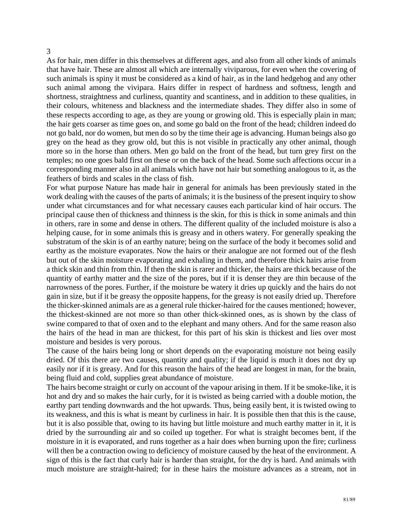#### 3

As for hair, men differ in this themselves at different ages, and also from all other kinds of animals that have hair. These are almost all which are internally viviparous, for even when the covering of such animals is spiny it must be considered as a kind of hair, as in the land hedgehog and any other such animal among the vivipara. Hairs differ in respect of hardness and softness, length and shortness, straightness and curliness, quantity and scantiness, and in addition to these qualities, in their colours, whiteness and blackness and the intermediate shades. They differ also in some of these respects according to age, as they are young or growing old. This is especially plain in man; the hair gets coarser as time goes on, and some go bald on the front of the head; children indeed do not go bald, nor do women, but men do so by the time their age is advancing. Human beings also go grey on the head as they grow old, but this is not visible in practically any other animal, though more so in the horse than others. Men go bald on the front of the head, but turn grey first on the temples; no one goes bald first on these or on the back of the head. Some such affections occur in a corresponding manner also in all animals which have not hair but something analogous to it, as the feathers of birds and scales in the class of fish.

For what purpose Nature has made hair in general for animals has been previously stated in the work dealing with the causes of the parts of animals; it is the business of the present inquiry to show under what circumstances and for what necessary causes each particular kind of hair occurs. The principal cause then of thickness and thinness is the skin, for this is thick in some animals and thin in others, rare in some and dense in others. The different quality of the included moisture is also a helping cause, for in some animals this is greasy and in others watery. For generally speaking the substratum of the skin is of an earthy nature; being on the surface of the body it becomes solid and earthy as the moisture evaporates. Now the hairs or their analogue are not formed out of the flesh but out of the skin moisture evaporating and exhaling in them, and therefore thick hairs arise from a thick skin and thin from thin. If then the skin is rarer and thicker, the hairs are thick because of the quantity of earthy matter and the size of the pores, but if it is denser they are thin because of the narrowness of the pores. Further, if the moisture be watery it dries up quickly and the hairs do not gain in size, but if it be greasy the opposite happens, for the greasy is not easily dried up. Therefore the thicker-skinned animals are as a general rule thicker-haired for the causes mentioned; however, the thickest-skinned are not more so than other thick-skinned ones, as is shown by the class of swine compared to that of oxen and to the elephant and many others. And for the same reason also the hairs of the head in man are thickest, for this part of his skin is thickest and lies over most moisture and besides is very porous.

The cause of the hairs being long or short depends on the evaporating moisture not being easily dried. Of this there are two causes, quantity and quality; if the liquid is much it does not dry up easily nor if it is greasy. And for this reason the hairs of the head are longest in man, for the brain, being fluid and cold, supplies great abundance of moisture.

its weakness, and this is what is meant by curliness in hair. It is possible then that this is the cause, but it is also possible that, owing to its having but little moisture and much earthy matter in it, it is dried by the surrounding air and so coiled up together. For what is straight becomes bent, if the moisture in it is evaporated, and runs together as a hair does when burning upon the fire; curliness will then be a contraction owing to deficiency of moisture caused by the heat of the environment. A The hairs become straight or curly on account of the vapour arising in them. If it be smoke-like, it is hot and dry and so makes the hair curly, for it is twisted as being carried with a double motion, the earthy part tending downwards and the hot upwards. Thus, being easily bent, it is twisted owing to sign of this is the fact that curly hair is harder than straight, for the dry is hard. And animals with much moisture are straight-haired; for in these hairs the moisture advances as a stream, not in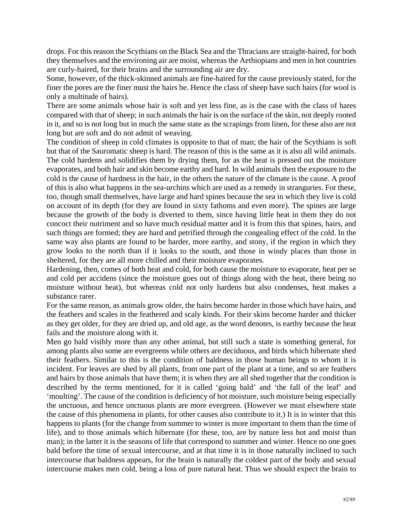drops. For this reason the Scythians on the Black Sea and the Thracians are straight-haired, for both they themselves and the environing air are moist, whereas the Aethiopians and men in hot countries are curly-haired, for their brains and the surrounding air are dry.

Some, however, of the thick-skinned animals are fine-haired for the cause previously stated, for the finer the pores are the finer must the hairs be. Hence the class of sheep have such hairs (for wool is only a multitude of hairs).

There are some animals whose hair is soft and yet less fine, as is the case with the class of hares compared with that of sheep; in such animals the hair is on the surface of the skin, not deeply rooted in it, and so is not long but in much the same state as the scrapings from linen, for these also are not long but are soft and do not admit of weaving.

The condition of sheep in cold climates is opposite to that of man; the hair of the Scythians is soft but that of the Sauromatic sheep is hard. The reason of this is the same as it is also all wild animals. The cold hardens and solidifies them by drying them, for as the heat is pressed out the moisture evaporates, and both hair and skin become earthy and hard. In wild animals then the exposure to the grow looks to the north than if it looks to the south, and those in windy places than those in cold is the cause of hardness in the hair, in the others the nature of the climate is the cause. A proof of this is also what happens in the sea-urchins which are used as a remedy in stranguries. For these, too, though small themselves, have large and hard spines because the sea in which they live is cold on account of its depth (for they are found in sixty fathoms and even more). The spines are large because the growth of the body is diverted to them, since having little heat in them they do not concoct their nutriment and so have much residual matter and it is from this that spines, hairs, and such things are formed; they are hard and petrified through the congealing effect of the cold. In the same way also plants are found to be harder, more earthy, and stony, if the region in which they sheltered, for they are all more chilled and their moisture evaporates.

and cold per accidens (since the moisture goes out of things along with the heat, there being no Hardening, then, comes of both heat and cold, for both cause the moisture to evaporate, heat per se moisture without heat), but whereas cold not only hardens but also condenses, heat makes a substance rarer.

the feathers and scales in the feathered and scaly kinds. For their skins become harder and thicker For the same reason, as animals grow older, the hairs become harder in those which have hairs, and as they get older, for they are dried up, and old age, as the word denotes, is earthy because the heat fails and the moisture along with it.

their feathers. Similar to this is the condition of baldness in those human beings to whom it is incident. For leaves are shed by all plants, from one part of the plant at a time, and so are feathers and hairs by those animals that have them; it is when they are all shed together that the condition is described by the terms mentioned, for it is called 'going bald' and 'the fall of the leaf' and 'moulting'. The cause of the condition is deficiency of hot moisture, such moisture being especially Men go bald visibly more than any other animal, but still such a state is something general, for among plants also some are evergreens while others are deciduous, and birds which hibernate shed the unctuous, and hence unctuous plants are more evergreen. (However we must elsewhere state the cause of this phenomena in plants, for other causes also contribute to it.) It is in winter that this happens to plants (for the change from summer to winter is more important to them than the time of life), and to those animals which hibernate (for these, too, are by nature less hot and moist than man); in the latter it is the seasons of life that correspond to summer and winter. Hence no one goes bald before the time of sexual intercourse, and at that time it is in those naturally inclined to such intercourse that baldness appears, for the brain is naturally the coldest part of the body and sexual intercourse makes men cold, being a loss of pure natural heat. Thus we should expect the brain to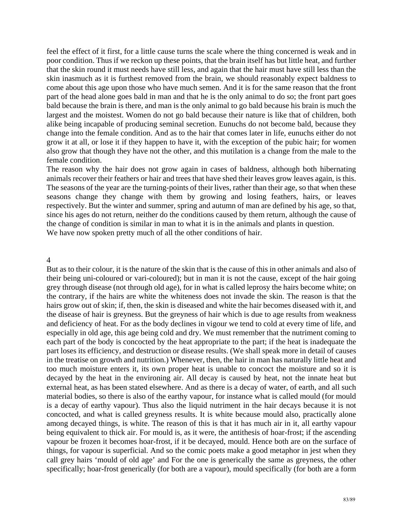feel the effect of it first, for a little cause turns the scale where the thing concerned is weak and in poor condition. Thus if we reckon up these points, that the brain itself has but little heat, and further that the skin round it must needs have still less, and again that the hair must have still less than the skin inasmuch as it is furthest removed from the brain, we should reasonably expect baldness to come about this age upon those who have much semen. And it is for the same reason that the front part of the head alone goes bald in man and that he is the only animal to do so; the front part goes bald because the brain is there, and man is the only animal to go bald because his brain is much the largest and the moistest. Women do not go bald because their nature is like that of children, both alike being incapable of producing seminal secretion. Eunuchs do not become bald, because they change into the female condition. And as to the hair that comes later in life, eunuchs either do not grow it at all, or lose it if they happen to have it, with the exception of the pubic hair; for women also grow that though they have not the other, and this mutilation is a change from the male to the female condition.

The reason why the hair does not grow again in cases of baldness, although both hibernating animals recover their feathers or hair and trees that have shed their leaves grow leaves again, is this. The seasons of the year are the turning-points of their lives, rather than their age, so that when these seasons change they change with them by growing and losing feathers, hairs, or leaves respectively. But the winter and summer, spring and autumn of man are defined by his age, so that, since his ages do not return, neither do the conditions caused by them return, although the cause of the change of condition is similar in man to what it is in the animals and plants in question. We have now spoken pretty much of all the other conditions of hair.

#### 4

But as to their colour, it is the nature of the skin that is the cause of this in other animals and also of hairs grow out of skin; if, then, the skin is diseased and white the hair becomes diseased with it, and being equivalent to thick air. For mould is, as it were, the antithesis of hoar-frost; if the ascending call grey hairs 'mould of old age' and For the one is generically the same as greyness, the other specifically; hoar-frost generically (for both are a vapour), mould specifically (for both are a form their being uni-coloured or vari-coloured); but in man it is not the cause, except of the hair going grey through disease (not through old age), for in what is called leprosy the hairs become white; on the contrary, if the hairs are white the whiteness does not invade the skin. The reason is that the the disease of hair is greyness. But the greyness of hair which is due to age results from weakness and deficiency of heat. For as the body declines in vigour we tend to cold at every time of life, and especially in old age, this age being cold and dry. We must remember that the nutriment coming to each part of the body is concocted by the heat appropriate to the part; if the heat is inadequate the part loses its efficiency, and destruction or disease results. (We shall speak more in detail of causes in the treatise on growth and nutrition.) Whenever, then, the hair in man has naturally little heat and too much moisture enters it, its own proper heat is unable to concoct the moisture and so it is decayed by the heat in the environing air. All decay is caused by heat, not the innate heat but external heat, as has been stated elsewhere. And as there is a decay of water, of earth, and all such material bodies, so there is also of the earthy vapour, for instance what is called mould (for mould is a decay of earthy vapour). Thus also the liquid nutriment in the hair decays because it is not concocted, and what is called greyness results. It is white because mould also, practically alone among decayed things, is white. The reason of this is that it has much air in it, all earthy vapour vapour be frozen it becomes hoar-frost, if it be decayed, mould. Hence both are on the surface of things, for vapour is superficial. And so the comic poets make a good metaphor in jest when they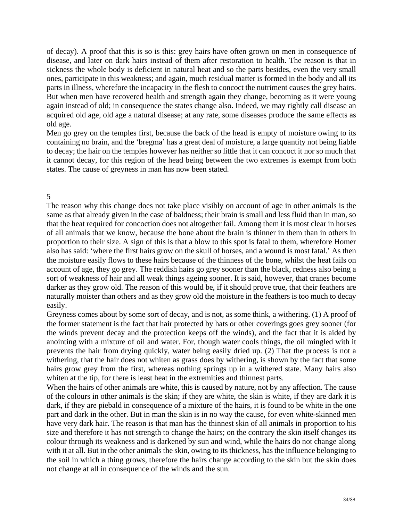of decay). A proof that this is so is this: grey hairs have often grown on men in consequence of disease, and later on dark hairs instead of them after restoration to health. The reason is that in sickness the whole body is deficient in natural heat and so the parts besides, even the very small ones, participate in this weakness; and again, much residual matter is formed in the body and all its parts in illness, wherefore the incapacity in the flesh to concoct the nutriment causes the grey hairs. But when men have recovered health and strength again they change, becoming as it were young again instead of old; in consequence the states change also. Indeed, we may rightly call disease an acquired old age, old age a natural disease; at any rate, some diseases produce the same effects as old age.

Men go grey on the temples first, because the back of the head is empty of moisture owing to its containing no brain, and the 'bregma' has a great deal of moisture, a large quantity not being liable to decay; the hair on the temples however has neither so little that it can concoct it nor so much that it cannot decay, for this region of the head being between the two extremes is exempt from both states. The cause of greyness in man has now been stated.

5

same as that already given in the case of baldness; their brain is small and less fluid than in man, so also has said: 'where the first hairs grow on the skull of horses, and a wound is most fatal.' As then darker as they grow old. The reason of this would be, if it should prove true, that their feathers are The reason why this change does not take place visibly on account of age in other animals is the that the heat required for concoction does not altogether fail. Among them it is most clear in horses of all animals that we know, because the bone about the brain is thinner in them than in others in proportion to their size. A sign of this is that a blow to this spot is fatal to them, wherefore Homer the moisture easily flows to these hairs because of the thinness of the bone, whilst the heat fails on account of age, they go grey. The reddish hairs go grey sooner than the black, redness also being a sort of weakness of hair and all weak things ageing sooner. It is said, however, that cranes become naturally moister than others and as they grow old the moisture in the feathers is too much to decay easily.

Greyness comes about by some sort of decay, and is not, as some think, a withering. (1) A proof of the former statement is the fact that hair protected by hats or other coverings goes grey sooner (for the winds prevent decay and the protection keeps off the winds), and the fact that it is aided by anointing with a mixture of oil and water. For, though water cools things, the oil mingled with it prevents the hair from drying quickly, water being easily dried up. (2) That the process is not a withering, that the hair does not whiten as grass does by withering, is shown by the fact that some hairs grow grey from the first, whereas nothing springs up in a withered state. Many hairs also whiten at the tip, for there is least heat in the extremities and thinnest parts.

When the hairs of other animals are white, this is caused by nature, not by any affection. The cause of the colours in other animals is the skin; if they are white, the skin is white, if they are dark it is dark, if they are piebald in consequence of a mixture of the hairs, it is found to be white in the one part and dark in the other. But in man the skin is in no way the cause, for even white-skinned men have very dark hair. The reason is that man has the thinnest skin of all animals in proportion to his size and therefore it has not strength to change the hairs; on the contrary the skin itself changes its colour through its weakness and is darkened by sun and wind, while the hairs do not change along with it at all. But in the other animals the skin, owing to its thickness, has the influence belonging to the soil in which a thing grows, therefore the hairs change according to the skin but the skin does not change at all in consequence of the winds and the sun.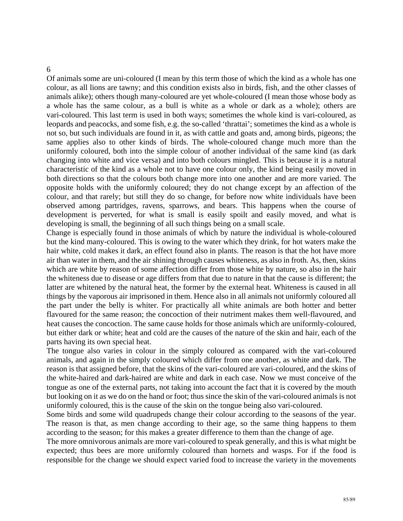#### 6

Of animals some are uni-coloured (I mean by this term those of which the kind as a whole has one colour, as all lions are tawny; and this condition exists also in birds, fish, and the other classes of animals alike); others though many-coloured are yet whole-coloured (I mean those whose body as a whole has the same colour, as a bull is white as a whole or dark as a whole); others are vari-coloured. This last term is used in both ways; sometimes the whole kind is vari-coloured, as opposite holds with the uniformly coloured; they do not change except by an affection of the colour, and that rarely; but still they do so change, for before now white individuals have been observed among partridges, ravens, sparrows, and bears. This happens when the course of development is perverted, for what is small is easily spoilt and easily moved, and what is developing is small, the beginning of all such things being on a small scale. leopards and peacocks, and some fish, e.g. the so-called 'thrattai'; sometimes the kind as a whole is not so, but such individuals are found in it, as with cattle and goats and, among birds, pigeons; the same applies also to other kinds of birds. The whole-coloured change much more than the uniformly coloured, both into the simple colour of another individual of the same kind (as dark changing into white and vice versa) and into both colours mingled. This is because it is a natural characteristic of the kind as a whole not to have one colour only, the kind being easily moved in both directions so that the colours both change more into one another and are more varied. The

Change is especially found in those animals of which by nature the individual is whole-coloured but the kind many-coloured. This is owing to the water which they drink, for hot waters make the hair white, cold makes it dark, an effect found also in plants. The reason is that the hot have more air than water in them, and the air shining through causes whiteness, as also in froth. As, then, skins which are white by reason of some affection differ from those white by nature, so also in the hair the whiteness due to disease or age differs from that due to nature in that the cause is different; the latter are whitened by the natural heat, the former by the external heat. Whiteness is caused in all things by the vaporous air imprisoned in them. Hence also in all animals not uniformly coloured all the part under the belly is whiter. For practically all white animals are both hotter and better flavoured for the same reason; the concoction of their nutriment makes them well-flavoured, and heat causes the concoction. The same cause holds for those animals which are uniformly-coloured, but either dark or white; heat and cold are the causes of the nature of the skin and hair, each of the parts having its own special heat.

The tongue also varies in colour in the simply coloured as compared with the vari-coloured animals, and again in the simply coloured which differ from one another, as white and dark. The reason is that assigned before, that the skins of the vari-coloured are vari-coloured, and the skins of the white-haired and dark-haired are white and dark in each case. Now we must conceive of the tongue as one of the external parts, not taking into account the fact that it is covered by the mouth but looking on it as we do on the hand or foot; thus since the skin of the vari-coloured animals is not uniformly coloured, this is the cause of the skin on the tongue being also vari-coloured.

Some birds and some wild quadrupeds change their colour according to the seasons of the year. The reason is that, as men change according to their age, so the same thing happens to them according to the season; for this makes a greater difference to them than the change of age.

The more omnivorous animals are more vari-coloured to speak generally, and this is what might be expected; thus bees are more uniformly coloured than hornets and wasps. For if the food is responsible for the change we should expect varied food to increase the variety in the movements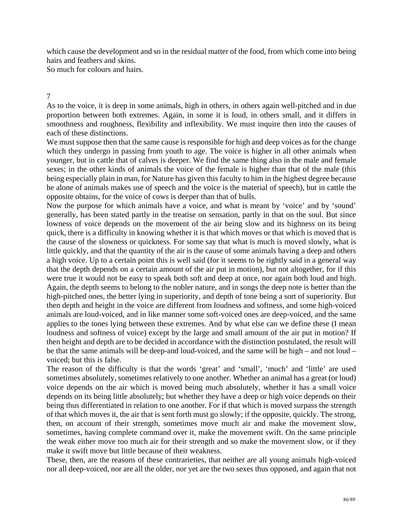which cause the development and so in the residual matter of the food, from which come into being hairs and feathers and skins.

So much for colours and hairs.

## 7

As to the voice, it is deep in some animals, high in others, in others again well-pitched and in due proportion between both extremes. Again, in some it is loud, in others small, and it differs in smoothness and roughness, flexibility and inflexibility. We must inquire then into the causes of each of these distinctions.

We must suppose then that the same cause is responsible for high and deep voices as for the change which they undergo in passing from youth to age. The voice is higher in all other animals when younger, but in cattle that of calves is deeper. We find the same thing also in the male and female sexes; in the other kinds of animals the voice of the female is higher than that of the male (this being especially plain in man, for Nature has given this faculty to him in the highest degree because he alone of animals makes use of speech and the voice is the material of speech), but in cattle the opposite obtains, for the voice of cows is deeper than that of bulls.

that the depth depends on a certain amount of the air put in motion), but not altogether, for if this then height and depth are to be decided in accordance with the distinction postulated, the result will Now the purpose for which animals have a voice, and what is meant by 'voice' and by 'sound' generally, has been stated partly in the treatise on sensation, partly in that on the soul. But since lowness of voice depends on the movement of the air being slow and its highness on its being quick, there is a difficulty in knowing whether it is that which moves or that which is moved that is the cause of the slowness or quickness. For some say that what is much is moved slowly, what is little quickly, and that the quantity of the air is the cause of some animals having a deep and others a high voice. Up to a certain point this is well said (for it seems to be rightly said in a general way were true it would not be easy to speak both soft and deep at once, nor again both loud and high. Again, the depth seems to belong to the nobler nature, and in songs the deep note is better than the high-pitched ones, the better lying in superiority, and depth of tone being a sort of superiority. But then depth and height in the voice are different from loudness and softness, and some high-voiced animals are loud-voiced, and in like manner some soft-voiced ones are deep-voiced, and the same applies to the tones lying between these extremes. And by what else can we define these (I mean loudness and softness of voice) except by the large and small amount of the air put in motion? If be that the same animals will be deep-and loud-voiced, and the same will be high – and not loud – voiced; but this is false.

sometimes, having complete command over it, make the movement swift. On the same principle the weak either move too much air for their strength and so make the movement slow, or if they make it swift move but little because of their weakness. The reason of the difficulty is that the words 'great' and 'small', 'much' and 'little' are used sometimes absolutely, sometimes relatively to one another. Whether an animal has a great (or loud) voice depends on the air which is moved being much absolutely, whether it has a small voice depends on its being little absolutely; but whether they have a deep or high voice depends on their being thus differentiated in relation to one another. For if that which is moved surpass the strength of that which moves it, the air that is sent forth must go slowly; if the opposite, quickly. The strong, then, on account of their strength, sometimes move much air and make the movement slow,

These, then, are the reasons of these contrarieties, that neither are all young animals high-voiced nor all deep-voiced, nor are all the older, nor yet are the two sexes thus opposed, and again that not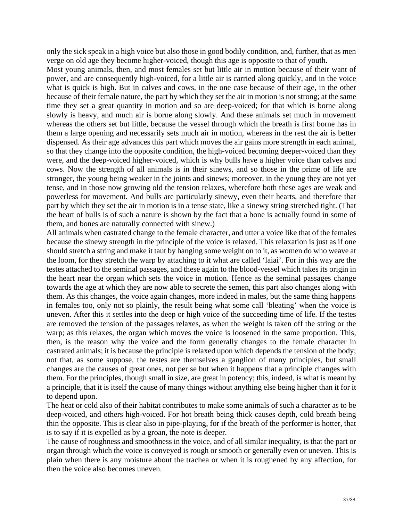only the sick speak in a high voice but also those in good bodily condition, and, further, that as men verge on old age they become higher-voiced, though this age is opposite to that of youth.

part by which they set the air in motion is in a tense state, like a sinewy string stretched tight. (That Most young animals, then, and most females set but little air in motion because of their want of power, and are consequently high-voiced, for a little air is carried along quickly, and in the voice what is quick is high. But in calves and cows, in the one case because of their age, in the other because of their female nature, the part by which they set the air in motion is not strong; at the same time they set a great quantity in motion and so are deep-voiced; for that which is borne along slowly is heavy, and much air is borne along slowly. And these animals set much in movement whereas the others set but little, because the vessel through which the breath is first borne has in them a large opening and necessarily sets much air in motion, whereas in the rest the air is better dispensed. As their age advances this part which moves the air gains more strength in each animal, so that they change into the opposite condition, the high-voiced becoming deeper-voiced than they were, and the deep-voiced higher-voiced, which is why bulls have a higher voice than calves and cows. Now the strength of all animals is in their sinews, and so those in the prime of life are stronger, the young being weaker in the joints and sinews; moreover, in the young they are not yet tense, and in those now growing old the tension relaxes, wherefore both these ages are weak and powerless for movement. And bulls are particularly sinewy, even their hearts, and therefore that the heart of bulls is of such a nature is shown by the fact that a bone is actually found in some of them, and bones are naturally connected with sinew.)

are removed the tension of the passages relaxes, as when the weight is taken off the string or the to depend upon. All animals when castrated change to the female character, and utter a voice like that of the females because the sinewy strength in the principle of the voice is relaxed. This relaxation is just as if one should stretch a string and make it taut by hanging some weight on to it, as women do who weave at the loom, for they stretch the warp by attaching to it what are called 'laiai'. For in this way are the testes attached to the seminal passages, and these again to the blood-vessel which takes its origin in the heart near the organ which sets the voice in motion. Hence as the seminal passages change towards the age at which they are now able to secrete the semen, this part also changes along with them. As this changes, the voice again changes, more indeed in males, but the same thing happens in females too, only not so plainly, the result being what some call 'bleating' when the voice is uneven. After this it settles into the deep or high voice of the succeeding time of life. If the testes warp; as this relaxes, the organ which moves the voice is loosened in the same proportion. This, then, is the reason why the voice and the form generally changes to the female character in castrated animals; it is because the principle is relaxed upon which depends the tension of the body; not that, as some suppose, the testes are themselves a ganglion of many principles, but small changes are the causes of great ones, not per se but when it happens that a principle changes with them. For the principles, though small in size, are great in potency; this, indeed, is what is meant by a principle, that it is itself the cause of many things without anything else being higher than it for it

thin the opposite. This is clear also in pipe-playing, for if the breath of the performer is hotter, that The heat or cold also of their habitat contributes to make some animals of such a character as to be deep-voiced, and others high-voiced. For hot breath being thick causes depth, cold breath being is to say if it is expelled as by a groan, the note is deeper.

then the voice also becomes uneven. The cause of roughness and smoothness in the voice, and of all similar inequality, is that the part or organ through which the voice is conveyed is rough or smooth or generally even or uneven. This is plain when there is any moisture about the trachea or when it is roughened by any affection, for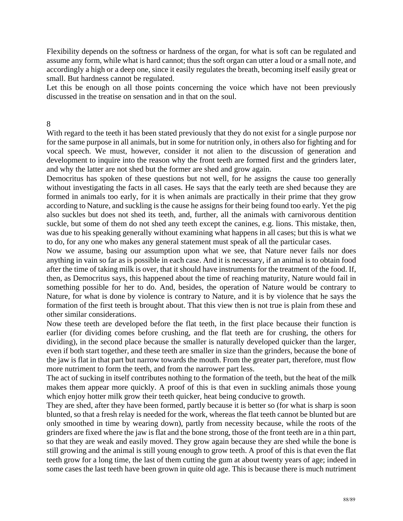Flexibility depends on the softness or hardness of the organ, for what is soft can be regulated and assume any form, while what is hard cannot; thus the soft organ can utter a loud or a small note, and accordingly a high or a deep one, since it easily regulates the breath, becoming itself easily great or small. But hardness cannot be regulated.

Let this be enough on all those points concerning the voice which have not been previously discussed in the treatise on sensation and in that on the soul.

# 8

With regard to the teeth it has been stated previously that they do not exist for a single purpose nor for the same purpose in all animals, but in some for nutrition only, in others also for fighting and for vocal speech. We must, however, consider it not alien to the discussion of generation and development to inquire into the reason why the front teeth are formed first and the grinders later, and why the latter are not shed but the former are shed and grow again.

Democritus has spoken of these questions but not well, for he assigns the cause too generally without investigating the facts in all cases. He says that the early teeth are shed because they are formed in animals too early, for it is when animals are practically in their prime that they grow according to Nature, and suckling is the cause he assigns for their being found too early. Yet the pig also suckles but does not shed its teeth, and, further, all the animals with carnivorous dentition suckle, but some of them do not shed any teeth except the canines, e.g. lions. This mistake, then, was due to his speaking generally without examining what happens in all cases; but this is what we to do, for any one who makes any general statement must speak of all the particular cases.

Now we assume, basing our assumption upon what we see, that Nature never fails nor does anything in vain so far as is possible in each case. And it is necessary, if an animal is to obtain food after the time of taking milk is over, that it should have instruments for the treatment of the food. If, then, as Democritus says, this happened about the time of reaching maturity, Nature would fail in something possible for her to do. And, besides, the operation of Nature would be contrary to Nature, for what is done by violence is contrary to Nature, and it is by violence that he says the formation of the first teeth is brought about. That this view then is not true is plain from these and other similar considerations.

dividing), in the second place because the smaller is naturally developed quicker than the larger, Now these teeth are developed before the flat teeth, in the first place because their function is earlier (for dividing comes before crushing, and the flat teeth are for crushing, the others for even if both start together, and these teeth are smaller in size than the grinders, because the bone of the jaw is flat in that part but narrow towards the mouth. From the greater part, therefore, must flow more nutriment to form the teeth, and from the narrower part less.

The act of sucking in itself contributes nothing to the formation of the teeth, but the heat of the milk makes them appear more quickly. A proof of this is that even in suckling animals those young which enjoy hotter milk grow their teeth quicker, heat being conducive to growth.

grinders are fixed where the jaw is flat and the bone strong, those of the front teeth are in a thin part, They are shed, after they have been formed, partly because it is better so (for what is sharp is soon blunted, so that a fresh relay is needed for the work, whereas the flat teeth cannot be blunted but are only smoothed in time by wearing down), partly from necessity because, while the roots of the so that they are weak and easily moved. They grow again because they are shed while the bone is still growing and the animal is still young enough to grow teeth. A proof of this is that even the flat teeth grow for a long time, the last of them cutting the gum at about twenty years of age; indeed in some cases the last teeth have been grown in quite old age. This is because there is much nutriment